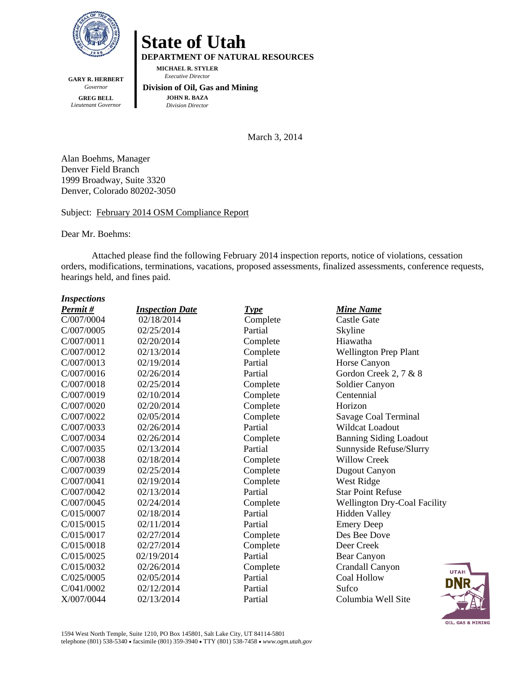

**GARY R. HERBERT**  *Governor*  **GREG BELL**  *Lieutenant Governor* 

# **State of Utah**

**DEPARTMENT OF NATURAL RESOURCES** 

**MICHAEL R. STYLER**   *Executive Director* 

#### **Division of Oil, Gas and Mining JOHN R. BAZA**  *Division Director*

March 3, 2014

Alan Boehms, Manager Denver Field Branch 1999 Broadway, Suite 3320 Denver, Colorado 80202-3050

# Subject: February 2014 OSM Compliance Report

Dear Mr. Boehms:

Attached please find the following February 2014 inspection reports, notice of violations, cessation orders, modifications, terminations, vacations, proposed assessments, finalized assessments, conference requests, hearings held, and fines paid.

#### *Inspections*

| Permit#    | <b>Inspection Date</b> | <b>Type</b> | <b>Mine Name</b>                    |
|------------|------------------------|-------------|-------------------------------------|
| C/007/0004 | 02/18/2014             | Complete    | <b>Castle Gate</b>                  |
| C/007/0005 | 02/25/2014             | Partial     | Skyline                             |
| C/007/0011 | 02/20/2014             | Complete    | Hiawatha                            |
| C/007/0012 | 02/13/2014             | Complete    | <b>Wellington Prep Plant</b>        |
| C/007/0013 | 02/19/2014             | Partial     | Horse Canyon                        |
| C/007/0016 | 02/26/2014             | Partial     | Gordon Creek 2, 7 & 8               |
| C/007/0018 | 02/25/2014             | Complete    | Soldier Canyon                      |
| C/007/0019 | 02/10/2014             | Complete    | Centennial                          |
| C/007/0020 | 02/20/2014             | Complete    | Horizon                             |
| C/007/0022 | 02/05/2014             | Complete    | Savage Coal Terminal                |
| C/007/0033 | 02/26/2014             | Partial     | <b>Wildcat Loadout</b>              |
| C/007/0034 | 02/26/2014             | Complete    | <b>Banning Siding Loadout</b>       |
| C/007/0035 | 02/13/2014             | Partial     | Sunnyside Refuse/Slurry             |
| C/007/0038 | 02/18/2014             | Complete    | <b>Willow Creek</b>                 |
| C/007/0039 | 02/25/2014             | Complete    | Dugout Canyon                       |
| C/007/0041 | 02/19/2014             | Complete    | West Ridge                          |
| C/007/0042 | 02/13/2014             | Partial     | <b>Star Point Refuse</b>            |
| C/007/0045 | 02/24/2014             | Complete    | <b>Wellington Dry-Coal Facility</b> |
| C/015/0007 | 02/18/2014             | Partial     | <b>Hidden Valley</b>                |
| C/015/0015 | 02/11/2014             | Partial     | <b>Emery Deep</b>                   |
| C/015/0017 | 02/27/2014             | Complete    | Des Bee Dove                        |
| C/015/0018 | 02/27/2014             | Complete    | Deer Creek                          |
| C/015/0025 | 02/19/2014             | Partial     | <b>Bear Canyon</b>                  |
| C/015/0032 | 02/26/2014             | Complete    | Crandall Canyon<br><b>UTAH</b>      |
| C/025/0005 | 02/05/2014             | Partial     | Coal Hollow<br>dnr                  |
| C/041/0002 | 02/12/2014             | Partial     | Sufco                               |
| X/007/0044 | 02/13/2014             | Partial     | Columbia Well Site                  |

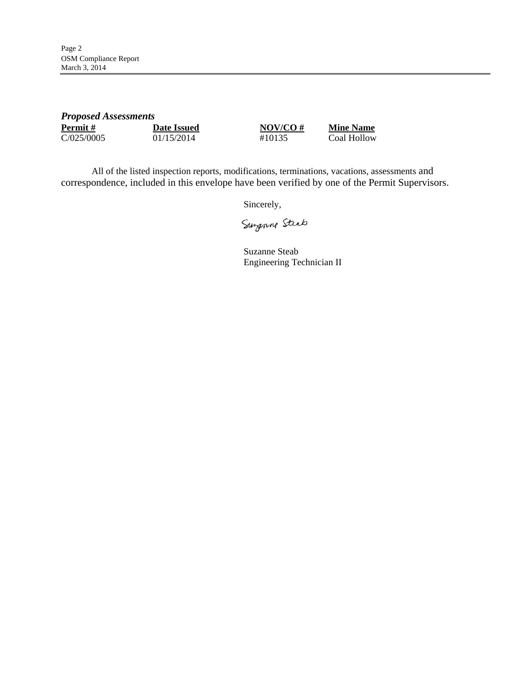| <b>Proposed Assessments</b> |                    |             |                  |
|-----------------------------|--------------------|-------------|------------------|
| <b>Permit</b> #             | <b>Date Issued</b> | $NOV/CO \#$ | <b>Mine Name</b> |
| C/025/0005                  | 01/15/2014         | #10135      | Coal Hollow      |

All of the listed inspection reports, modifications, terminations, vacations, assessments and correspondence, included in this envelope have been verified by one of the Permit Supervisors.

Sincerely,

Surgenne Steab

Suzanne Steab Engineering Technician II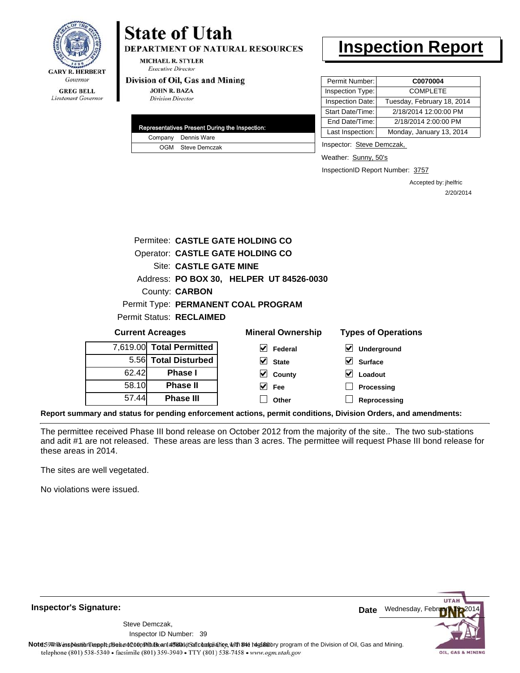

# Lieutenant Governor

# **State of Utah**

**DEPARTMENT OF NATURAL RESOURCES** 

**MICHAEL R. STYLER Executive Director** 

#### Division of Oil, Gas and Mining

**JOHN R. BAZA Division Director** 

| Representatives Present During the Inspection: |
|------------------------------------------------|
| Company Dennis Ware                            |
| OGM Steve Demczak                              |

# **Inspection Report**

| Permit Number:   | C0070004                   |
|------------------|----------------------------|
| Inspection Type: | <b>COMPLETE</b>            |
| Inspection Date: | Tuesday, February 18, 2014 |
| Start Date/Time: | 2/18/2014 12:00:00 PM      |
| End Date/Time:   | 2/18/2014 2:00:00 PM       |
| Last Inspection: | Monday, January 13, 2014   |

Inspector: Steve Demczak,

Weather: Sunny, 50's

InspectionID Report Number: 3757

**Reprocessing**

Accepted by: jhelfric 2/20/2014

|       |                                 | Permitee: CASTLE GATE HOLDING CO         |                                     |
|-------|---------------------------------|------------------------------------------|-------------------------------------|
|       |                                 | Operator: CASTLE GATE HOLDING CO         |                                     |
|       | Site: CASTLE GATE MINE          |                                          |                                     |
|       |                                 | Address: PO BOX 30, HELPER UT 84526-0030 |                                     |
|       | County: <b>CARBON</b>           |                                          |                                     |
|       |                                 | Permit Type: PERMANENT COAL PROGRAM      |                                     |
|       | <b>Permit Status: RECLAIMED</b> |                                          |                                     |
|       | <b>Current Acreages</b>         | <b>Mineral Ownership</b>                 | <b>Types of Operations</b>          |
|       | 7,619.00 Total Permitted        | M<br>Federal                             | $\blacktriangledown$<br>Underground |
| 5.561 | <b>Total Disturbed</b>          | V<br><b>State</b>                        | V<br><b>Surface</b>                 |
| 62.42 | Phase I                         | V<br>County                              | V<br>Loadout                        |
| 58.10 | <b>Phase II</b>                 | Fee                                      | Processing                          |

**Report summary and status for pending enforcement actions, permit conditions, Division Orders, and amendments:**

The permittee received Phase III bond release on October 2012 from the majority of the site.. The two sub-stations and adit #1 are not released. These areas are less than 3 acres. The permittee will request Phase III bond release for these areas in 2014.

**Other**

The sites are well vegetated.

57.44

**Phase III**

No violations were issued.

**Inspector's Signature:**

39 Inspector ID Number:Steve Demczak,



Note59#h% inspection reppt does not constitute an affidavit of compliance, with the regulatory program of the Division of Oil, Gas and Mining. telephone (801) 538-5340 · facsimile (801) 359-3940 · TTY (801) 538-7458 · www.ogm.utah.gov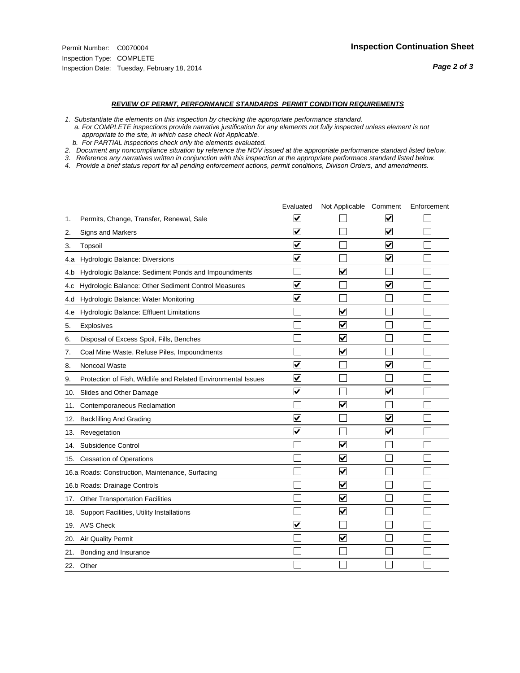#### *REVIEW OF PERMIT, PERFORMANCE STANDARDS PERMIT CONDITION REQUIREMENTS*

*1. Substantiate the elements on this inspection by checking the appropriate performance standard.*

 *a. For COMPLETE inspections provide narrative justification for any elements not fully inspected unless element is not appropriate to the site, in which case check Not Applicable.*

 *b. For PARTIAL inspections check only the elements evaluated.*

*2. Document any noncompliance situation by reference the NOV issued at the appropriate performance standard listed below.*

*3. Reference any narratives written in conjunction with this inspection at the appropriate performace standard listed below.*

|     |                                                               | Evaluated               | Not Applicable Comment          |                         | Enforcement |
|-----|---------------------------------------------------------------|-------------------------|---------------------------------|-------------------------|-------------|
| 1.  | Permits, Change, Transfer, Renewal, Sale                      | ⊻                       |                                 | V                       |             |
| 2.  | <b>Signs and Markers</b>                                      | $\overline{\mathbf{v}}$ |                                 | $\blacktriangledown$    |             |
| 3.  | Topsoil                                                       | $\overline{\mathbf{v}}$ |                                 | $\overline{\mathbf{v}}$ |             |
| 4.a | Hydrologic Balance: Diversions                                | $\overline{\mathsf{v}}$ |                                 | $\overline{\mathbf{v}}$ |             |
| 4.b | Hydrologic Balance: Sediment Ponds and Impoundments           |                         | $\blacktriangledown$            |                         |             |
| 4.C | Hydrologic Balance: Other Sediment Control Measures           | $\overline{\mathbf{v}}$ |                                 | $\blacktriangledown$    |             |
| 4.d | Hydrologic Balance: Water Monitoring                          | $\overline{\mathbf{v}}$ |                                 |                         |             |
| 4.e | Hydrologic Balance: Effluent Limitations                      |                         | $\overline{\blacktriangledown}$ |                         |             |
| 5.  | Explosives                                                    |                         | $\blacktriangledown$            |                         |             |
| 6.  | Disposal of Excess Spoil, Fills, Benches                      |                         | $\blacktriangledown$            |                         |             |
| 7.  | Coal Mine Waste, Refuse Piles, Impoundments                   |                         | $\blacktriangledown$            |                         |             |
| 8.  | Noncoal Waste                                                 | $\overline{\mathsf{v}}$ |                                 | $\overline{\mathbf{v}}$ |             |
| 9.  | Protection of Fish, Wildlife and Related Environmental Issues | $\overline{\mathbf{v}}$ |                                 |                         |             |
| 10. | Slides and Other Damage                                       | $\overline{\mathbf{v}}$ |                                 | ⊽                       |             |
| 11. | Contemporaneous Reclamation                                   |                         | ☑                               |                         |             |
| 12. | <b>Backfilling And Grading</b>                                | $\overline{\mathbf{v}}$ |                                 | $\blacktriangledown$    |             |
| 13. | Revegetation                                                  | $\overline{\mathbf{v}}$ |                                 | $\overline{\mathsf{v}}$ |             |
| 14. | Subsidence Control                                            |                         | $\overline{\mathbf{v}}$         |                         |             |
|     | 15. Cessation of Operations                                   |                         | $\blacktriangledown$            |                         |             |
|     | 16.a Roads: Construction, Maintenance, Surfacing              |                         | $\blacktriangledown$            |                         |             |
|     | 16.b Roads: Drainage Controls                                 |                         | $\blacktriangledown$            |                         |             |
| 17. | <b>Other Transportation Facilities</b>                        |                         | $\overline{\blacktriangledown}$ |                         |             |
| 18. | Support Facilities, Utility Installations                     |                         | $\overline{\mathbf{v}}$         |                         |             |
|     | 19. AVS Check                                                 | $\overline{\mathbf{v}}$ |                                 |                         |             |
| 20. | Air Quality Permit                                            |                         | $\blacktriangledown$            |                         |             |
| 21. | Bonding and Insurance                                         |                         |                                 |                         |             |
|     | 22. Other                                                     |                         |                                 |                         |             |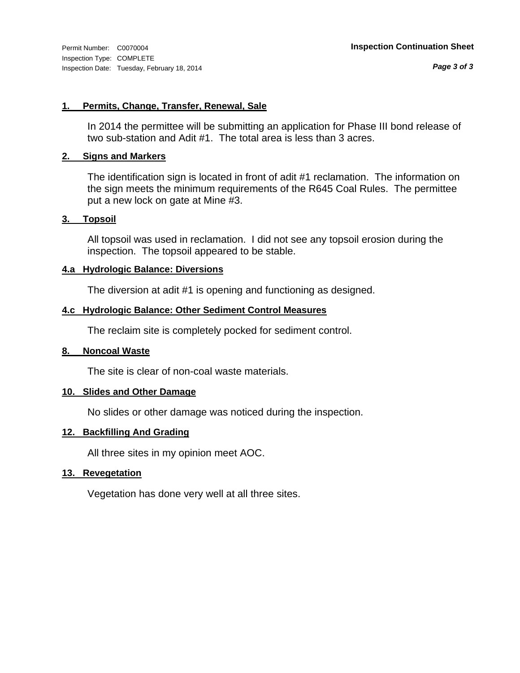# **1. Permits, Change, Transfer, Renewal, Sale**

In 2014 the permittee will be submitting an application for Phase III bond release of two sub-station and Adit #1. The total area is less than 3 acres.

### **2. Signs and Markers**

The identification sign is located in front of adit #1 reclamation. The information on the sign meets the minimum requirements of the R645 Coal Rules. The permittee put a new lock on gate at Mine #3.

### **3. Topsoil**

All topsoil was used in reclamation. I did not see any topsoil erosion during the inspection. The topsoil appeared to be stable.

# **4.a Hydrologic Balance: Diversions**

The diversion at adit #1 is opening and functioning as designed.

# **4.c Hydrologic Balance: Other Sediment Control Measures**

The reclaim site is completely pocked for sediment control.

### **8. Noncoal Waste**

The site is clear of non-coal waste materials.

# **10. Slides and Other Damage**

No slides or other damage was noticed during the inspection.

# **12. Backfilling And Grading**

All three sites in my opinion meet AOC.

# **13. Revegetation**

Vegetation has done very well at all three sites.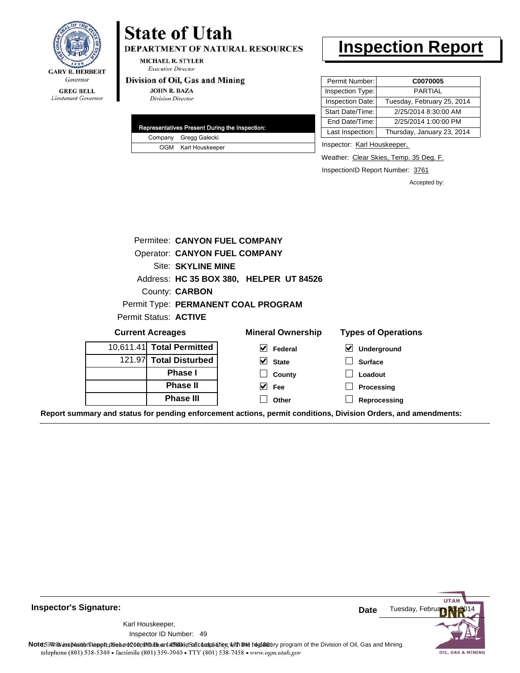

Lieutenant Governor

# **State of Utah**

DEPARTMENT OF NATURAL RESOURCES

**MICHAEL R. STYLER Executive Director** 

#### Division of Oil, Gas and Mining

**JOHN R. BAZA Division Director** 

|  | Representatives Present During the Inspection: |
|--|------------------------------------------------|
|  | Company Gregg Galecki                          |
|  | OGM Karl Houskeeper                            |

# **Inspection Report**

| Permit Number:   | C0070005                   |
|------------------|----------------------------|
| Inspection Type: | PARTIAL                    |
| Inspection Date: | Tuesday, February 25, 2014 |
| Start Date/Time: | 2/25/2014 8:30:00 AM       |
| End Date/Time:   | 2/25/2014 1:00:00 PM       |
| Last Inspection: | Thursday, January 23, 2014 |

Inspector: Karl Houskeeper,

Weather: Clear Skies, Temp. 35 Deg. F.

InspectionID Report Number: 3761

**Reprocessing**

Accepted by:

|                       | Permitee: CANYON FUEL COMPANY        |                                         |                                            |
|-----------------------|--------------------------------------|-----------------------------------------|--------------------------------------------|
|                       | <b>Operator: CANYON FUEL COMPANY</b> |                                         |                                            |
|                       | Site: SKYLINE MINE                   |                                         |                                            |
|                       |                                      | Address: HC 35 BOX 380, HELPER UT 84526 |                                            |
|                       | County: <b>CARBON</b>                |                                         |                                            |
|                       |                                      | Permit Type: PERMANENT COAL PROGRAM     |                                            |
| Permit Status: ACTIVE |                                      |                                         |                                            |
|                       | <b>Current Acreages</b>              | <b>Mineral Ownership</b>                | <b>Types of Operations</b>                 |
|                       | 10.611.41 Total Permitted            | V<br>Federal                            | $\vert\bm{\checkmark}\vert$<br>Underground |
|                       | 121.97 Total Disturbed               | $\vee$ State                            | <b>Surface</b>                             |
|                       | <b>Phase I</b>                       | County                                  | Loadout                                    |
|                       | <b>Phase II</b>                      | Fee<br>M                                | Processing                                 |

**Other**

**Report summary and status for pending enforcement actions, permit conditions, Division Orders, and amendments:**

**Phase III**



49 Inspector ID Number:Karl Houskeeper,

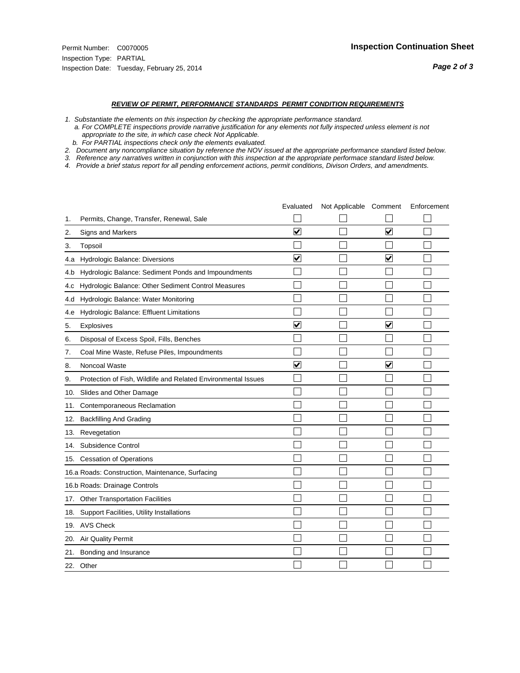#### *REVIEW OF PERMIT, PERFORMANCE STANDARDS PERMIT CONDITION REQUIREMENTS*

*1. Substantiate the elements on this inspection by checking the appropriate performance standard.*

 *a. For COMPLETE inspections provide narrative justification for any elements not fully inspected unless element is not appropriate to the site, in which case check Not Applicable.*

 *b. For PARTIAL inspections check only the elements evaluated.*

*2. Document any noncompliance situation by reference the NOV issued at the appropriate performance standard listed below.*

*3. Reference any narratives written in conjunction with this inspection at the appropriate performace standard listed below.*

|     |                                                               | Evaluated               | Not Applicable Comment |                         | Enforcement |
|-----|---------------------------------------------------------------|-------------------------|------------------------|-------------------------|-------------|
| 1.  | Permits, Change, Transfer, Renewal, Sale                      |                         |                        |                         |             |
| 2.  | <b>Signs and Markers</b>                                      | $\overline{\mathbf{v}}$ |                        | $\overline{\mathbf{v}}$ |             |
| 3.  | Topsoil                                                       |                         |                        |                         |             |
| 4.a | Hydrologic Balance: Diversions                                | ⊽                       |                        | $\blacktriangledown$    |             |
| 4.b | Hydrologic Balance: Sediment Ponds and Impoundments           |                         |                        |                         |             |
| 4.C | Hydrologic Balance: Other Sediment Control Measures           |                         |                        |                         |             |
| 4.d | Hydrologic Balance: Water Monitoring                          |                         |                        |                         |             |
| 4.e | Hydrologic Balance: Effluent Limitations                      |                         |                        |                         |             |
| 5.  | Explosives                                                    | $\overline{\mathbf{v}}$ |                        | $\blacktriangledown$    |             |
| 6.  | Disposal of Excess Spoil, Fills, Benches                      |                         |                        |                         |             |
| 7.  | Coal Mine Waste, Refuse Piles, Impoundments                   |                         |                        |                         |             |
| 8.  | Noncoal Waste                                                 | $\overline{\mathbf{v}}$ |                        | $\overline{\mathbf{v}}$ |             |
| 9.  | Protection of Fish, Wildlife and Related Environmental Issues |                         |                        |                         |             |
| 10. | Slides and Other Damage                                       |                         |                        |                         |             |
| 11. | Contemporaneous Reclamation                                   |                         |                        |                         |             |
| 12. | <b>Backfilling And Grading</b>                                |                         |                        |                         |             |
| 13. | Revegetation                                                  |                         |                        |                         |             |
| 14. | Subsidence Control                                            |                         |                        |                         |             |
|     | 15. Cessation of Operations                                   |                         |                        |                         |             |
|     | 16.a Roads: Construction, Maintenance, Surfacing              |                         |                        |                         |             |
|     | 16.b Roads: Drainage Controls                                 |                         |                        |                         |             |
|     | 17. Other Transportation Facilities                           |                         |                        |                         |             |
| 18. | Support Facilities, Utility Installations                     |                         |                        |                         |             |
|     | 19. AVS Check                                                 |                         |                        |                         |             |
| 20. | Air Quality Permit                                            |                         |                        |                         |             |
| 21. | Bonding and Insurance                                         |                         |                        |                         |             |
|     | 22. Other                                                     |                         |                        |                         |             |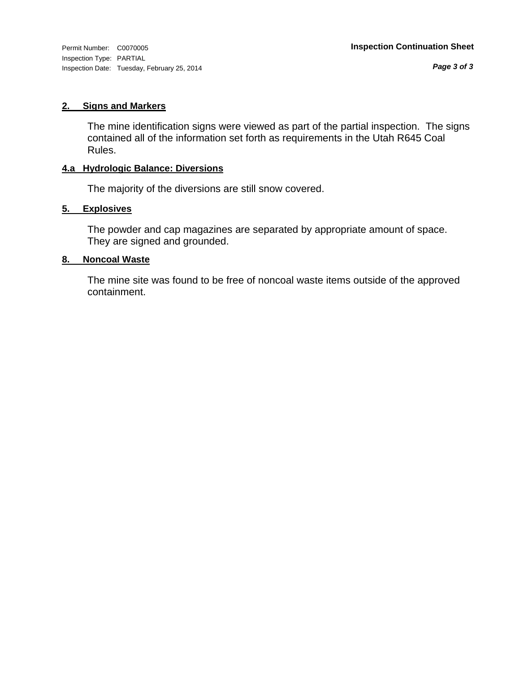Inspection Type: PARTIAL Inspection Date: Tuesday, February 25, 2014

*Page 3 of 3*

### **2. Signs and Markers**

The mine identification signs were viewed as part of the partial inspection. The signs contained all of the information set forth as requirements in the Utah R645 Coal Rules.

# **4.a Hydrologic Balance: Diversions**

The majority of the diversions are still snow covered.

# **5. Explosives**

The powder and cap magazines are separated by appropriate amount of space. They are signed and grounded.

# **8. Noncoal Waste**

The mine site was found to be free of noncoal waste items outside of the approved containment.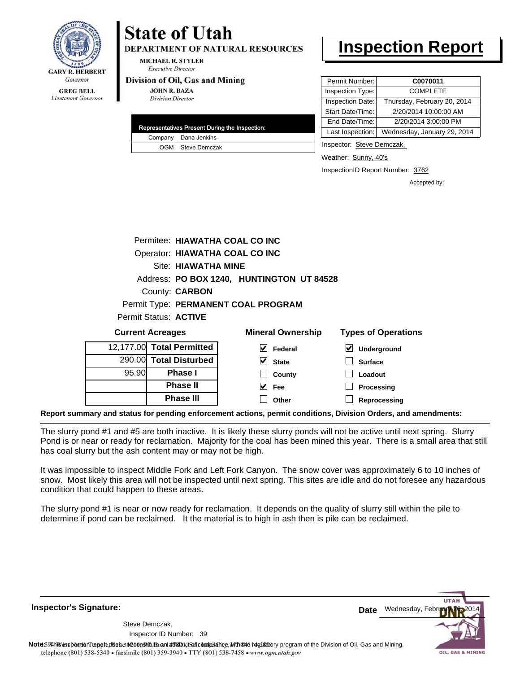

# **State of Utah**

**DEPARTMENT OF NATURAL RESOURCES** 

**MICHAEL R. STYLER Executive Director** 

#### Division of Oil, Gas and Mining

**Phase II Phase III**

**JOHN R. BAZA Division Director** 

|  | Representatives Present During the Inspection: |
|--|------------------------------------------------|
|  | Company Dana Jenkins                           |
|  | OGM Steve Demczak                              |

# **Inspection Report**

| Permit Number:   | C0070011                    |
|------------------|-----------------------------|
| Inspection Type: | <b>COMPLETE</b>             |
| Inspection Date: | Thursday, February 20, 2014 |
| Start Date/Time: | 2/20/2014 10:00:00 AM       |
| End Date/Time:   | 2/20/2014 3:00:00 PM        |
| Last Inspection: | Wednesday, January 29, 2014 |

Inspector: Steve Demczak,

Weather: Sunny, 40's

InspectionID Report Number: 3762

**Processing Reprocessing** Accepted by:

|                         |                                |                          | Permitee: HIAWATHA COAL CO INC            |                            |
|-------------------------|--------------------------------|--------------------------|-------------------------------------------|----------------------------|
|                         | Operator: HIAWATHA COAL CO INC |                          |                                           |                            |
|                         |                                | Site: HIAWATHA MINE      |                                           |                            |
|                         |                                |                          | Address: PO BOX 1240, HUNTINGTON UT 84528 |                            |
|                         |                                | County: <b>CARBON</b>    |                                           |                            |
|                         |                                |                          | Permit Type: PERMANENT COAL PROGRAM       |                            |
|                         |                                | Permit Status: ACTIVE    |                                           |                            |
| <b>Current Acreages</b> |                                |                          | <b>Mineral Ownership</b>                  | <b>Types of Operations</b> |
|                         |                                | 2,177.00 Total Permitted | $\blacktriangledown$<br>Federal           | V<br>Underground           |
|                         |                                | 290.00 Total Disturbed   | V<br><b>State</b>                         | <b>Surface</b>             |
| 95.90                   |                                | <b>Phase I</b>           | County                                    | Loadout                    |

**Report summary and status for pending enforcement actions, permit conditions, Division Orders, and amendments:**

The slurry pond #1 and #5 are both inactive. It is likely these slurry ponds will not be active until next spring. Slurry Pond is or near or ready for reclamation. Majority for the coal has been mined this year. There is a small area that still has coal slurry but the ash content may or may not be high.

 $\blacktriangledown$  $\Box$  **Fee Other**

It was impossible to inspect Middle Fork and Left Fork Canyon. The snow cover was approximately 6 to 10 inches of snow. Most likely this area will not be inspected until next spring. This sites are idle and do not foresee any hazardous condition that could happen to these areas.

The slurry pond #1 is near or now ready for reclamation. It depends on the quality of slurry still within the pile to determine if pond can be reclaimed. It the material is to high in ash then is pile can be reclaimed.

**Inspector's Signature:**

 $12$ 

39 Inspector ID Number:Steve Demczak,



Note59#h% inspection report does not constitute an affidavit of compliance, with the regulatory program of the Division of Oil, Gas and Mining. telephone (801) 538-5340 · facsimile (801) 359-3940 · TTY (801) 538-7458 · www.ogm.utah.gov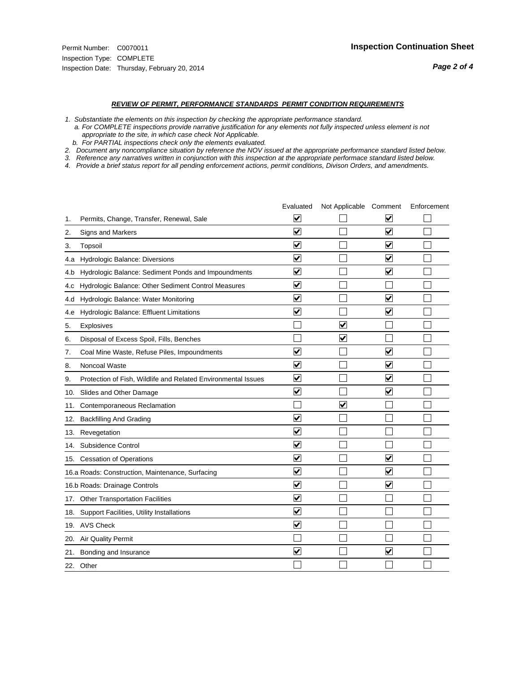#### *REVIEW OF PERMIT, PERFORMANCE STANDARDS PERMIT CONDITION REQUIREMENTS*

*1. Substantiate the elements on this inspection by checking the appropriate performance standard.*

 *a. For COMPLETE inspections provide narrative justification for any elements not fully inspected unless element is not appropriate to the site, in which case check Not Applicable.*

 *b. For PARTIAL inspections check only the elements evaluated.*

*2. Document any noncompliance situation by reference the NOV issued at the appropriate performance standard listed below.*

*3. Reference any narratives written in conjunction with this inspection at the appropriate performace standard listed below.*

|     |                                                               | Evaluated               | Not Applicable Comment  |                         | Enforcement |
|-----|---------------------------------------------------------------|-------------------------|-------------------------|-------------------------|-------------|
| 1.  | Permits, Change, Transfer, Renewal, Sale                      | V                       |                         | V                       |             |
| 2.  | <b>Signs and Markers</b>                                      | $\overline{\mathbf{v}}$ |                         | $\blacktriangledown$    |             |
| 3.  | Topsoil                                                       | $\overline{\mathbf{v}}$ |                         | $\overline{\mathbf{v}}$ |             |
| 4.a | Hydrologic Balance: Diversions                                | ⊽                       |                         | $\blacktriangledown$    |             |
| 4.b | Hydrologic Balance: Sediment Ponds and Impoundments           | $\checkmark$            |                         | $\blacktriangledown$    |             |
| 4.C | Hydrologic Balance: Other Sediment Control Measures           | $\overline{\mathbf{v}}$ |                         |                         |             |
| 4.d | Hydrologic Balance: Water Monitoring                          | $\overline{\mathbf{v}}$ |                         | $\overline{\mathbf{v}}$ |             |
| 4.e | Hydrologic Balance: Effluent Limitations                      | $\overline{\mathbf{v}}$ |                         | $\blacktriangledown$    |             |
| 5.  | <b>Explosives</b>                                             |                         | $\overline{\mathsf{v}}$ |                         |             |
| 6.  | Disposal of Excess Spoil, Fills, Benches                      |                         | $\blacktriangledown$    |                         |             |
| 7.  | Coal Mine Waste, Refuse Piles, Impoundments                   | $\overline{\mathsf{v}}$ |                         | $\overline{\mathbf{v}}$ |             |
| 8.  | Noncoal Waste                                                 | $\overline{\mathbf{v}}$ |                         | $\blacktriangledown$    |             |
| 9.  | Protection of Fish, Wildlife and Related Environmental Issues | $\overline{\mathbf{v}}$ |                         | $\blacktriangledown$    |             |
| 10. | Slides and Other Damage                                       | $\overline{\mathbf{v}}$ |                         | $\overline{\mathbf{v}}$ |             |
| 11. | Contemporaneous Reclamation                                   |                         | $\blacktriangledown$    |                         |             |
| 12. | <b>Backfilling And Grading</b>                                | $\overline{\mathbf{v}}$ |                         |                         |             |
| 13. | Revegetation                                                  | $\overline{\mathbf{v}}$ |                         |                         |             |
| 14. | Subsidence Control                                            | $\overline{\mathbf{v}}$ |                         |                         |             |
|     | 15. Cessation of Operations                                   | $\blacktriangledown$    |                         | ☑                       |             |
|     | 16.a Roads: Construction, Maintenance, Surfacing              | $\blacktriangledown$    |                         | $\blacktriangledown$    |             |
|     | 16.b Roads: Drainage Controls                                 | ⊽                       |                         | $\blacktriangledown$    |             |
|     | 17. Other Transportation Facilities                           | $\overline{\mathbf{v}}$ |                         |                         |             |
| 18. | Support Facilities, Utility Installations                     | $\overline{\mathbf{v}}$ |                         |                         |             |
|     | 19. AVS Check                                                 | $\overline{\mathbf{v}}$ |                         |                         |             |
| 20. | <b>Air Quality Permit</b>                                     |                         |                         |                         |             |
| 21. | Bonding and Insurance                                         | $\overline{\mathbf{v}}$ |                         | $\blacktriangledown$    |             |
|     | 22. Other                                                     |                         |                         |                         |             |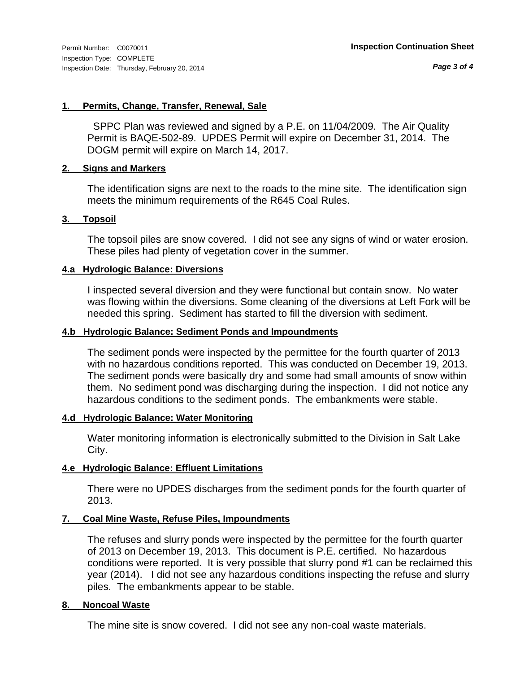*Page 3 of 4*

### **1. Permits, Change, Transfer, Renewal, Sale**

 SPPC Plan was reviewed and signed by a P.E. on 11/04/2009. The Air Quality Permit is BAQE-502-89. UPDES Permit will expire on December 31, 2014. The DOGM permit will expire on March 14, 2017.

# **2. Signs and Markers**

The identification signs are next to the roads to the mine site. The identification sign meets the minimum requirements of the R645 Coal Rules.

# **3. Topsoil**

The topsoil piles are snow covered. I did not see any signs of wind or water erosion. These piles had plenty of vegetation cover in the summer.

# **4.a Hydrologic Balance: Diversions**

I inspected several diversion and they were functional but contain snow. No water was flowing within the diversions. Some cleaning of the diversions at Left Fork will be needed this spring. Sediment has started to fill the diversion with sediment.

# **4.b Hydrologic Balance: Sediment Ponds and Impoundments**

The sediment ponds were inspected by the permittee for the fourth quarter of 2013 with no hazardous conditions reported. This was conducted on December 19, 2013. The sediment ponds were basically dry and some had small amounts of snow within them. No sediment pond was discharging during the inspection. I did not notice any hazardous conditions to the sediment ponds. The embankments were stable.

### **4.d Hydrologic Balance: Water Monitoring**

Water monitoring information is electronically submitted to the Division in Salt Lake City.

# **4.e Hydrologic Balance: Effluent Limitations**

There were no UPDES discharges from the sediment ponds for the fourth quarter of 2013.

# **7. Coal Mine Waste, Refuse Piles, Impoundments**

The refuses and slurry ponds were inspected by the permittee for the fourth quarter of 2013 on December 19, 2013. This document is P.E. certified. No hazardous conditions were reported. It is very possible that slurry pond #1 can be reclaimed this year (2014). I did not see any hazardous conditions inspecting the refuse and slurry piles. The embankments appear to be stable.

# **8. Noncoal Waste**

The mine site is snow covered. I did not see any non-coal waste materials.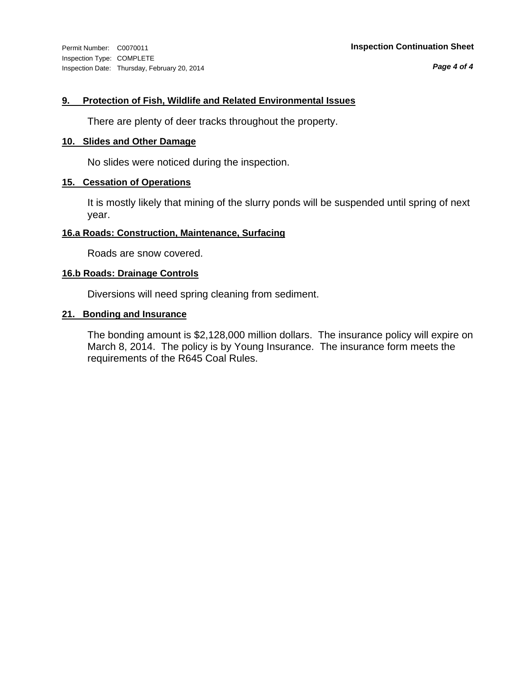Inspection Type: COMPLETE Inspection Date: Thursday, February 20, 2014

*Page 4 of 4*

### **9. Protection of Fish, Wildlife and Related Environmental Issues**

There are plenty of deer tracks throughout the property.

#### **10. Slides and Other Damage**

No slides were noticed during the inspection.

### **15. Cessation of Operations**

It is mostly likely that mining of the slurry ponds will be suspended until spring of next year.

#### **16.a Roads: Construction, Maintenance, Surfacing**

Roads are snow covered.

### **16.b Roads: Drainage Controls**

Diversions will need spring cleaning from sediment.

# **21. Bonding and Insurance**

The bonding amount is \$2,128,000 million dollars. The insurance policy will expire on March 8, 2014. The policy is by Young Insurance. The insurance form meets the requirements of the R645 Coal Rules.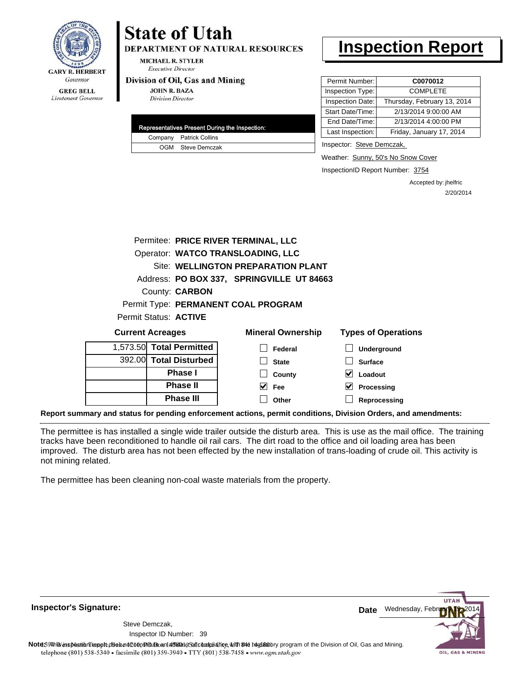

# **State of Utah**

**DEPARTMENT OF NATURAL RESOURCES** 

**MICHAEL R. STYLER Executive Director** 

#### Division of Oil, Gas and Mining

**JOHN R. BAZA Division Director** 

|  | <b>Representatives Present During the Inspection:</b> |
|--|-------------------------------------------------------|
|  | Company Patrick Collins                               |
|  | OGM Steve Demczak                                     |

# **Inspection Report**

| Permit Number:   | C0070012                    |
|------------------|-----------------------------|
| Inspection Type: | <b>COMPLETE</b>             |
| Inspection Date: | Thursday, February 13, 2014 |
| Start Date/Time: | 2/13/2014 9:00:00 AM        |
| End Date/Time:   | 2/13/2014 4:00:00 PM        |
| Last Inspection: | Friday, January 17, 2014    |
|                  |                             |

Inspector: Steve Demczak,

Weather: Sunny, 50's No Snow Cover

InspectionID Report Number: 3754

Accepted by: jhelfric 2/20/2014

|                         |                          | Permitee: PRICE RIVER TERMINAL, LLC       |                            |
|-------------------------|--------------------------|-------------------------------------------|----------------------------|
|                         |                          | Operator: WATCO TRANSLOADING, LLC         |                            |
|                         |                          | Site: WELLINGTON PREPARATION PLANT        |                            |
|                         |                          | Address: PO BOX 337, SPRINGVILLE UT 84663 |                            |
|                         | County: <b>CARBON</b>    |                                           |                            |
|                         |                          | Permit Type: PERMANENT COAL PROGRAM       |                            |
|                         | Permit Status: ACTIVE    |                                           |                            |
| <b>Current Acreages</b> |                          | <b>Mineral Ownership</b>                  | <b>Types of Operations</b> |
|                         | 1,573.50 Total Permitted | Federal                                   | <b>Underground</b>         |
|                         | 392.00 Total Disturbed   | <b>State</b>                              | <b>Surface</b>             |
|                         | <b>Phase I</b>           | County                                    | Loadout                    |
|                         | <b>Phase II</b>          | V<br>Fee                                  | Processing                 |
|                         | <b>Phase III</b>         | Other                                     | Reprocessing               |

**Report summary and status for pending enforcement actions, permit conditions, Division Orders, and amendments:**

The permittee is has installed a single wide trailer outside the disturb area. This is use as the mail office. The training tracks have been reconditioned to handle oil rail cars. The dirt road to the office and oil loading area has been improved. The disturb area has not been effected by the new installation of trans-loading of crude oil. This activity is not mining related.

The permittee has been cleaning non-coal waste materials from the property.

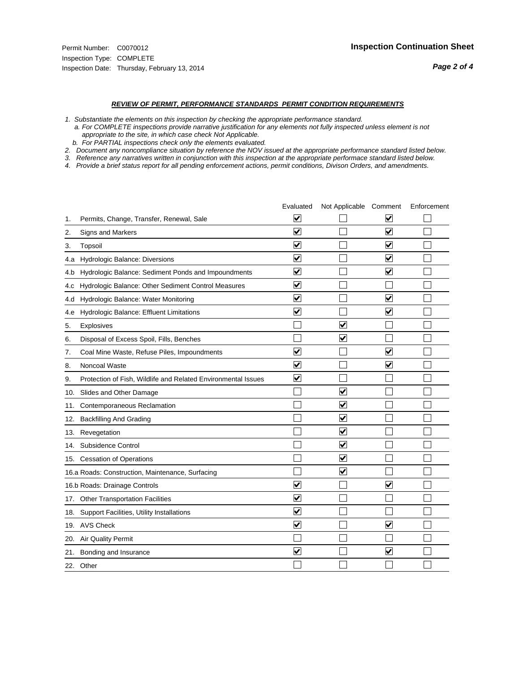#### *REVIEW OF PERMIT, PERFORMANCE STANDARDS PERMIT CONDITION REQUIREMENTS*

*1. Substantiate the elements on this inspection by checking the appropriate performance standard.*

 *a. For COMPLETE inspections provide narrative justification for any elements not fully inspected unless element is not appropriate to the site, in which case check Not Applicable.*

 *b. For PARTIAL inspections check only the elements evaluated.*

*2. Document any noncompliance situation by reference the NOV issued at the appropriate performance standard listed below.*

*3. Reference any narratives written in conjunction with this inspection at the appropriate performace standard listed below.*

|     |                                                               | Evaluated               | Not Applicable Comment          |                         | Enforcement |
|-----|---------------------------------------------------------------|-------------------------|---------------------------------|-------------------------|-------------|
| 1.  | Permits, Change, Transfer, Renewal, Sale                      | ⊻                       |                                 | V                       |             |
| 2.  | <b>Signs and Markers</b>                                      | $\overline{\mathbf{v}}$ |                                 | $\blacktriangledown$    |             |
| 3.  | Topsoil                                                       | $\overline{\mathbf{v}}$ |                                 | $\overline{\mathbf{v}}$ |             |
| 4.a | Hydrologic Balance: Diversions                                | ⊽                       |                                 | $\overline{\mathbf{v}}$ |             |
| 4.b | Hydrologic Balance: Sediment Ponds and Impoundments           | $\blacktriangledown$    |                                 | ⊻                       |             |
| 4.C | Hydrologic Balance: Other Sediment Control Measures           | $\overline{\mathbf{v}}$ |                                 |                         |             |
| 4.d | Hydrologic Balance: Water Monitoring                          | $\overline{\mathbf{v}}$ |                                 | $\blacktriangledown$    |             |
| 4.e | Hydrologic Balance: Effluent Limitations                      | $\overline{\mathbf{v}}$ |                                 | $\overline{\mathbf{v}}$ |             |
| 5.  | Explosives                                                    |                         | $\overline{\mathbf{v}}$         |                         |             |
| 6.  | Disposal of Excess Spoil, Fills, Benches                      |                         | $\blacktriangledown$            |                         |             |
| 7.  | Coal Mine Waste, Refuse Piles, Impoundments                   | $\overline{\mathbf{v}}$ |                                 | $\overline{\mathbf{v}}$ |             |
| 8.  | Noncoal Waste                                                 | $\overline{\mathbf{v}}$ |                                 | $\blacktriangledown$    |             |
| 9.  | Protection of Fish, Wildlife and Related Environmental Issues | $\overline{\mathbf{v}}$ |                                 |                         |             |
| 10. | Slides and Other Damage                                       |                         | ☑                               |                         |             |
| 11. | Contemporaneous Reclamation                                   |                         | ☑                               |                         |             |
| 12. | <b>Backfilling And Grading</b>                                |                         | $\overline{\mathbf{v}}$         |                         |             |
| 13. | Revegetation                                                  |                         | $\overline{\blacktriangledown}$ |                         |             |
| 14. | Subsidence Control                                            |                         | $\overline{\mathbf{v}}$         |                         |             |
|     | 15. Cessation of Operations                                   |                         | $\blacktriangledown$            |                         |             |
|     | 16.a Roads: Construction, Maintenance, Surfacing              |                         | $\blacktriangledown$            |                         |             |
|     | 16.b Roads: Drainage Controls                                 | $\blacktriangledown$    |                                 | V                       |             |
|     | 17. Other Transportation Facilities                           | $\overline{\mathbf{v}}$ |                                 |                         |             |
| 18. | Support Facilities, Utility Installations                     | $\overline{\mathbf{v}}$ |                                 |                         |             |
|     | 19. AVS Check                                                 | $\overline{\mathbf{v}}$ |                                 | $\blacktriangledown$    |             |
| 20. | Air Quality Permit                                            |                         |                                 |                         |             |
| 21. | Bonding and Insurance                                         | $\overline{\mathbf{v}}$ |                                 | $\blacktriangledown$    |             |
|     | 22. Other                                                     |                         |                                 |                         |             |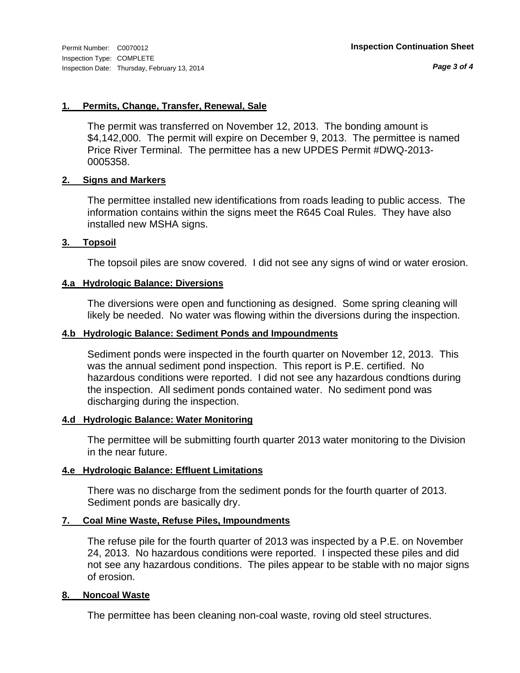*Page 3 of 4*

# **1. Permits, Change, Transfer, Renewal, Sale**

The permit was transferred on November 12, 2013. The bonding amount is \$4,142,000. The permit will expire on December 9, 2013. The permittee is named Price River Terminal. The permittee has a new UPDES Permit #DWQ-2013- 0005358.

# **2. Signs and Markers**

The permittee installed new identifications from roads leading to public access. The information contains within the signs meet the R645 Coal Rules. They have also installed new MSHA signs.

# **3. Topsoil**

The topsoil piles are snow covered. I did not see any signs of wind or water erosion.

# **4.a Hydrologic Balance: Diversions**

The diversions were open and functioning as designed. Some spring cleaning will likely be needed. No water was flowing within the diversions during the inspection.

### **4.b Hydrologic Balance: Sediment Ponds and Impoundments**

Sediment ponds were inspected in the fourth quarter on November 12, 2013. This was the annual sediment pond inspection. This report is P.E. certified. No hazardous conditions were reported. I did not see any hazardous condtions during the inspection. All sediment ponds contained water. No sediment pond was discharging during the inspection.

### **4.d Hydrologic Balance: Water Monitoring**

The permittee will be submitting fourth quarter 2013 water monitoring to the Division in the near future.

### **4.e Hydrologic Balance: Effluent Limitations**

There was no discharge from the sediment ponds for the fourth quarter of 2013. Sediment ponds are basically dry.

# **7. Coal Mine Waste, Refuse Piles, Impoundments**

The refuse pile for the fourth quarter of 2013 was inspected by a P.E. on November 24, 2013. No hazardous conditions were reported. I inspected these piles and did not see any hazardous conditions. The piles appear to be stable with no major signs of erosion.

### **8. Noncoal Waste**

The permittee has been cleaning non-coal waste, roving old steel structures.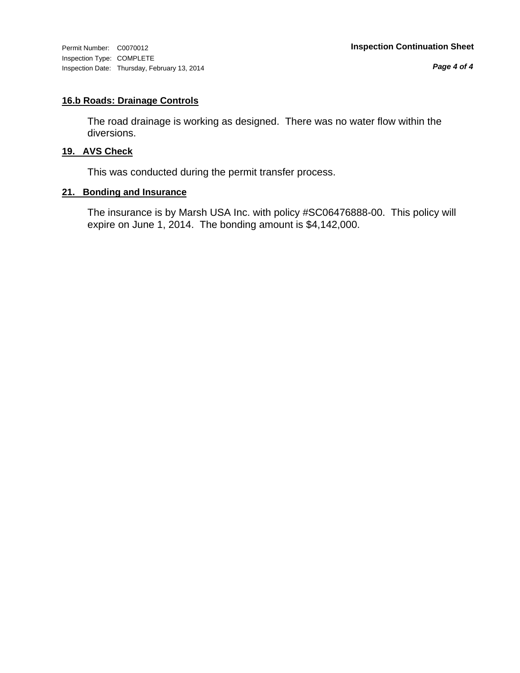Inspection Type: COMPLETE Inspection Date: Thursday, February 13, 2014

*Page 4 of 4*

# **16.b Roads: Drainage Controls**

The road drainage is working as designed. There was no water flow within the diversions.

# **19. AVS Check**

This was conducted during the permit transfer process.

# **21. Bonding and Insurance**

The insurance is by Marsh USA Inc. with policy #SC06476888-00. This policy will expire on June 1, 2014. The bonding amount is \$4,142,000.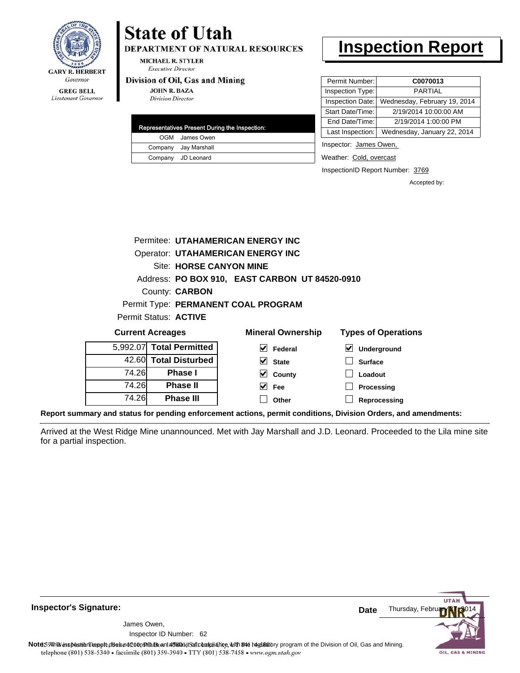

# **State of Utah**

**DEPARTMENT OF NATURAL RESOURCES** 

**MICHAEL R. STYLER Executive Director** 

#### Division of Oil, Gas and Mining

**JOHN R. BAZA Division Director** 

| Representatives Present During the Inspection: |
|------------------------------------------------|
| OGM James Owen                                 |
| Company Jay Marshall                           |
| Company JD Leonard                             |

# **Inspection Report**

| Permit Number:   | C0070013                     |
|------------------|------------------------------|
| Inspection Type: | PARTIAI                      |
| Inspection Date: | Wednesday, February 19, 2014 |
| Start Date/Time: | 2/19/2014 10:00:00 AM        |
| End Date/Time:   | 2/19/2014 1:00:00 PM         |
| Last Inspection: | Wednesday, January 22, 2014  |
|                  |                              |

Inspector: James Owen,

Weather: Cold, overcast

InspectionID Report Number: 3769

Accepted by:

|                          |                         | Permitee: UTAHAMERICAN ENERGY INC              |                            |
|--------------------------|-------------------------|------------------------------------------------|----------------------------|
|                          |                         | <b>Operator: UTAHAMERICAN ENERGY INC</b>       |                            |
|                          | Site: HORSE CANYON MINE |                                                |                            |
|                          |                         | Address: PO BOX 910, EAST CARBON UT 84520-0910 |                            |
|                          | County: <b>CARBON</b>   |                                                |                            |
|                          |                         | Permit Type: PERMANENT COAL PROGRAM            |                            |
| Permit Status: ACTIVE    |                         |                                                |                            |
| <b>Current Acreages</b>  |                         | <b>Mineral Ownership</b>                       | <b>Types of Operations</b> |
| 5,992.07 Total Permitted |                         | Federal                                        | <b>Underaround</b>         |

| 5,992.07 Total Permitted |       |
|--------------------------|-------|
| 42.60 Total Disturbed    |       |
| <b>Phase</b> I           | 74.26 |
| <b>Phase II</b>          | 74.26 |
| <b>Phase III</b>         | 74.26 |

| eral Ownership |                         |  |
|----------------|-------------------------|--|
|                | $\triangledown$ Federal |  |
|                | $\vee$ State            |  |
|                | $\vee$ County           |  |

| $\triangledown$ Underground |
|-----------------------------|
| $\Box$ Surface              |
| $\Box$ Loadout              |
| $\Box$ Processing           |

 $\Box$ **Other Reprocessing**

**Report summary and status for pending enforcement actions, permit conditions, Division Orders, and amendments:**

Arrived at the West Ridge Mine unannounced. Met with Jay Marshall and J.D. Leonard. Proceeded to the Lila mine site for a partial inspection.

 $\blacktriangledown$ 

**Fee**



**Inspector's Signature:**

62 Inspector ID Number:James Owen,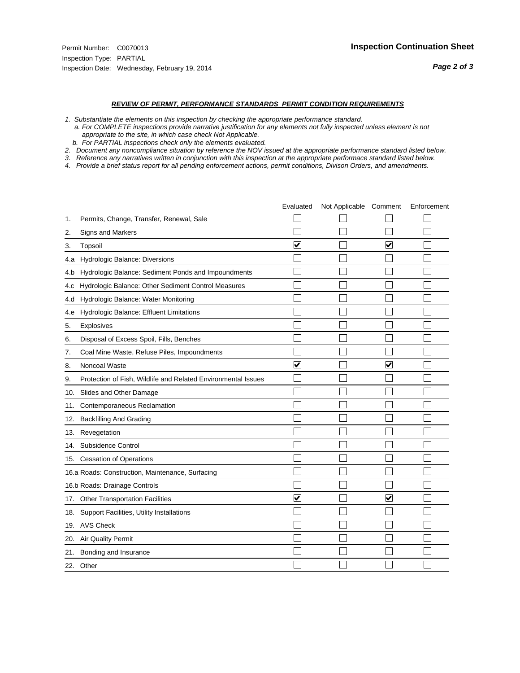#### *REVIEW OF PERMIT, PERFORMANCE STANDARDS PERMIT CONDITION REQUIREMENTS*

*1. Substantiate the elements on this inspection by checking the appropriate performance standard.*

 *a. For COMPLETE inspections provide narrative justification for any elements not fully inspected unless element is not appropriate to the site, in which case check Not Applicable.*

 *b. For PARTIAL inspections check only the elements evaluated.*

*2. Document any noncompliance situation by reference the NOV issued at the appropriate performance standard listed below.*

*3. Reference any narratives written in conjunction with this inspection at the appropriate performace standard listed below.*

|     |                                                               | Evaluated               | Not Applicable Comment |                         | Enforcement |
|-----|---------------------------------------------------------------|-------------------------|------------------------|-------------------------|-------------|
| 1.  | Permits, Change, Transfer, Renewal, Sale                      |                         |                        |                         |             |
| 2.  | <b>Signs and Markers</b>                                      |                         |                        |                         |             |
| 3.  | Topsoil                                                       | $\overline{\mathbf{v}}$ |                        | $\overline{\mathbf{v}}$ |             |
| 4.a | Hydrologic Balance: Diversions                                |                         |                        |                         |             |
| 4.b | Hydrologic Balance: Sediment Ponds and Impoundments           |                         |                        |                         |             |
| 4.c | Hydrologic Balance: Other Sediment Control Measures           |                         |                        |                         |             |
| 4.d | Hydrologic Balance: Water Monitoring                          |                         |                        |                         |             |
| 4.e | Hydrologic Balance: Effluent Limitations                      |                         |                        |                         |             |
| 5.  | Explosives                                                    |                         |                        |                         |             |
| 6.  | Disposal of Excess Spoil, Fills, Benches                      |                         |                        |                         |             |
| 7.  | Coal Mine Waste, Refuse Piles, Impoundments                   |                         |                        |                         |             |
| 8.  | Noncoal Waste                                                 | $\overline{\mathsf{v}}$ |                        | $\overline{\mathbf{v}}$ |             |
| 9.  | Protection of Fish, Wildlife and Related Environmental Issues |                         |                        |                         |             |
| 10. | Slides and Other Damage                                       |                         |                        |                         |             |
| 11. | Contemporaneous Reclamation                                   |                         |                        |                         |             |
| 12. | <b>Backfilling And Grading</b>                                |                         |                        |                         |             |
| 13. | Revegetation                                                  |                         |                        |                         |             |
| 14. | Subsidence Control                                            |                         |                        |                         |             |
| 15. | <b>Cessation of Operations</b>                                |                         |                        |                         |             |
|     | 16.a Roads: Construction, Maintenance, Surfacing              |                         |                        |                         |             |
|     | 16.b Roads: Drainage Controls                                 |                         |                        |                         |             |
| 17. | <b>Other Transportation Facilities</b>                        | $\overline{\mathbf{v}}$ |                        | $\overline{\mathsf{v}}$ |             |
| 18. | Support Facilities, Utility Installations                     |                         |                        |                         |             |
| 19. | <b>AVS Check</b>                                              |                         |                        |                         |             |
| 20. | Air Quality Permit                                            |                         |                        |                         |             |
| 21. | Bonding and Insurance                                         |                         |                        |                         |             |
|     | 22. Other                                                     |                         |                        |                         |             |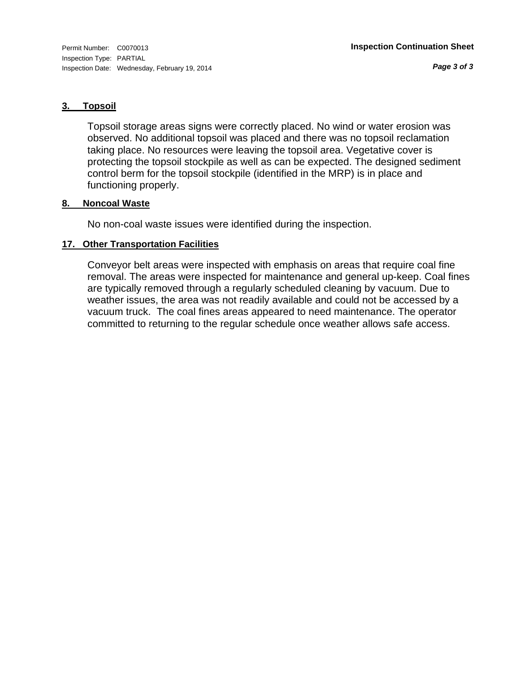*Page 3 of 3*

# **3. Topsoil**

Topsoil storage areas signs were correctly placed. No wind or water erosion was observed. No additional topsoil was placed and there was no topsoil reclamation taking place. No resources were leaving the topsoil area. Vegetative cover is protecting the topsoil stockpile as well as can be expected. The designed sediment control berm for the topsoil stockpile (identified in the MRP) is in place and functioning properly.

# **8. Noncoal Waste**

No non-coal waste issues were identified during the inspection.

# **17. Other Transportation Facilities**

Conveyor belt areas were inspected with emphasis on areas that require coal fine removal. The areas were inspected for maintenance and general up-keep. Coal fines are typically removed through a regularly scheduled cleaning by vacuum. Due to weather issues, the area was not readily available and could not be accessed by a vacuum truck. The coal fines areas appeared to need maintenance. The operator committed to returning to the regular schedule once weather allows safe access.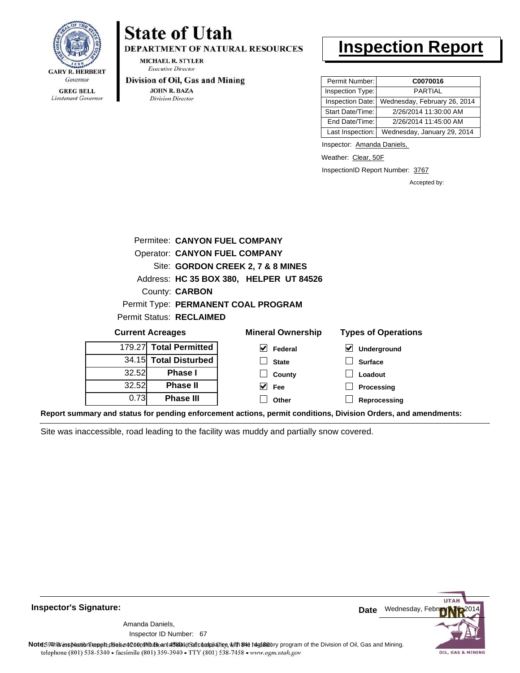

Lieutenant Governor

# **State of Utah**

**DEPARTMENT OF NATURAL RESOURCES** 

**MICHAEL R. STYLER Executive Director** 

#### Division of Oil, Gas and Mining

**JOHN R. BAZA Division Director** 

# **Inspection Report**

| Permit Number:   | C0070016                     |
|------------------|------------------------------|
| Inspection Type: | <b>PARTIAL</b>               |
| Inspection Date: | Wednesday, February 26, 2014 |
| Start Date/Time: | 2/26/2014 11:30:00 AM        |
| End Date/Time:   | 2/26/2014 11:45:00 AM        |
| Last Inspection: | Wednesday, January 29, 2014  |

Inspector: Amanda Daniels,

Weather: Clear, 50F

InspectionID Report Number: 3767

**Processing Reprocessing** Accepted by:

| Permitee: CANYON FUEL COMPANY |                                      |                                         |                            |  |  |
|-------------------------------|--------------------------------------|-----------------------------------------|----------------------------|--|--|
|                               | <b>Operator: CANYON FUEL COMPANY</b> |                                         |                            |  |  |
|                               | Site: GORDON CREEK 2, 7 & 8 MINES    |                                         |                            |  |  |
|                               |                                      | Address: HC 35 BOX 380, HELPER UT 84526 |                            |  |  |
|                               | County: <b>CARBON</b>                |                                         |                            |  |  |
|                               |                                      | Permit Type: PERMANENT COAL PROGRAM     |                            |  |  |
|                               | <b>Permit Status: RECLAIMED</b>      |                                         |                            |  |  |
| <b>Current Acreages</b>       |                                      | <b>Mineral Ownership</b>                | <b>Types of Operations</b> |  |  |
| 179.27                        | <b>Total Permitted</b>               | V<br>Federal                            | ⊻<br>Underground           |  |  |
|                               | 34.15 Total Disturbed                | <b>State</b>                            | <b>Surface</b>             |  |  |
| 32.52                         | <b>Phase I</b>                       | County                                  | Loadout                    |  |  |
| 32.52                         | <b>Phase II</b>                      | M<br>Fee                                | Processing                 |  |  |

**Other**

**Report summary and status for pending enforcement actions, permit conditions, Division Orders, and amendments:**

Site was inaccessible, road leading to the facility was muddy and partially snow covered.

**Phase II Phase III**



#### **Inspector's Signature:**

67 Inspector ID Number:Amanda Daniels,

0.73

Note: This inspection report does not constitute and affidavitor compliance with the regulatory program of the Division of Oil, Gas and Mining. telephone (801) 538-5340 · facsimile (801) 359-3940 · TTY (801) 538-7458 · www.ogm.utah.gov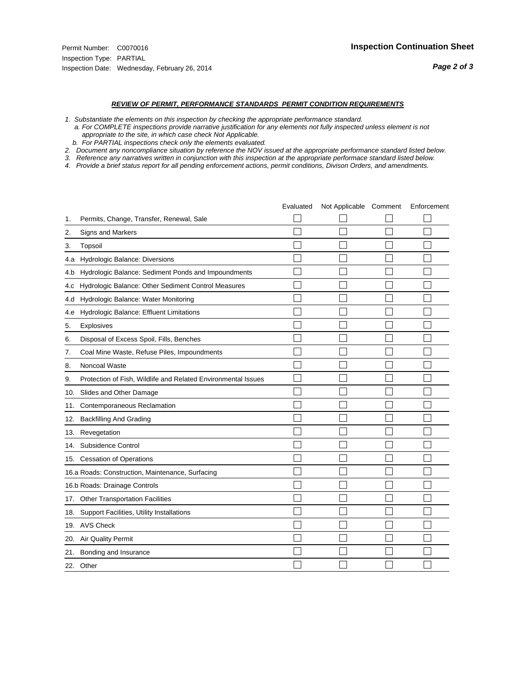#### *REVIEW OF PERMIT, PERFORMANCE STANDARDS PERMIT CONDITION REQUIREMENTS*

*1. Substantiate the elements on this inspection by checking the appropriate performance standard.*

 *a. For COMPLETE inspections provide narrative justification for any elements not fully inspected unless element is not appropriate to the site, in which case check Not Applicable.*

 *b. For PARTIAL inspections check only the elements evaluated.*

*2. Document any noncompliance situation by reference the NOV issued at the appropriate performance standard listed below.*

*3. Reference any narratives written in conjunction with this inspection at the appropriate performace standard listed below.*

|     |                                                               | Evaluated | Not Applicable Comment | Enforcement |
|-----|---------------------------------------------------------------|-----------|------------------------|-------------|
| 1.  | Permits, Change, Transfer, Renewal, Sale                      |           |                        |             |
| 2.  | <b>Signs and Markers</b>                                      |           |                        |             |
| 3.  | Topsoil                                                       |           |                        |             |
| 4.a | Hydrologic Balance: Diversions                                |           |                        |             |
| 4.b | Hydrologic Balance: Sediment Ponds and Impoundments           |           |                        |             |
| 4.C | Hydrologic Balance: Other Sediment Control Measures           |           |                        |             |
| 4.d | Hydrologic Balance: Water Monitoring                          |           |                        |             |
| 4.e | Hydrologic Balance: Effluent Limitations                      |           |                        |             |
| 5.  | Explosives                                                    |           |                        |             |
| 6.  | Disposal of Excess Spoil, Fills, Benches                      |           |                        |             |
| 7.  | Coal Mine Waste, Refuse Piles, Impoundments                   |           |                        |             |
| 8.  | Noncoal Waste                                                 |           |                        |             |
| 9.  | Protection of Fish, Wildlife and Related Environmental Issues |           |                        |             |
| 10. | Slides and Other Damage                                       |           |                        |             |
| 11. | Contemporaneous Reclamation                                   |           |                        |             |
| 12. | <b>Backfilling And Grading</b>                                |           |                        |             |
| 13. | Revegetation                                                  |           |                        |             |
| 14. | Subsidence Control                                            |           |                        |             |
| 15. | <b>Cessation of Operations</b>                                |           |                        |             |
|     | 16.a Roads: Construction, Maintenance, Surfacing              |           |                        |             |
|     | 16.b Roads: Drainage Controls                                 |           |                        |             |
| 17. | <b>Other Transportation Facilities</b>                        |           |                        |             |
| 18. | Support Facilities, Utility Installations                     |           |                        |             |
|     | 19. AVS Check                                                 |           |                        |             |
| 20. | Air Quality Permit                                            |           |                        |             |
| 21. | Bonding and Insurance                                         |           |                        |             |
|     | 22. Other                                                     |           |                        |             |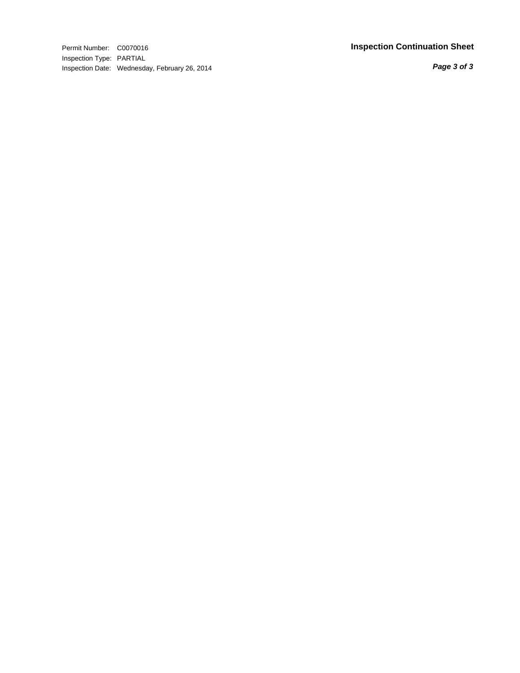Permit Number: C0070016 **Inspection Continuation Sheet** Inspection Type: PARTIAL Inspection Date: Wednesday, February 26, 2014

*Page 3 of 3*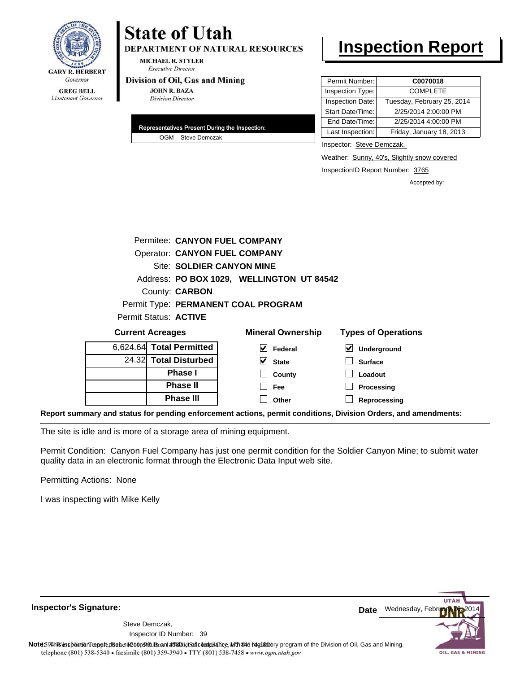

# **State of Utah**

**DEPARTMENT OF NATURAL RESOURCES** 

**MICHAEL R. STYLER Executive Director** 

#### Division of Oil, Gas and Mining

**JOHN R. BAZA Division Director** 

| Representatives Present During the Inspection: |
|------------------------------------------------|
| OGM Steve Demczak                              |

# **Inspection Report**

| Permit Number:   | C0070018                   |
|------------------|----------------------------|
| Inspection Type: | <b>COMPLETE</b>            |
| Inspection Date: | Tuesday, February 25, 2014 |
| Start Date/Time: | 2/25/2014 2:00:00 PM       |
| End Date/Time:   | 2/25/2014 4:00:00 PM       |
| Last Inspection: | Friday, January 18, 2013   |

Inspector: Steve Demczak,

**Loadout Processing**

Weather: Sunny, 40's, Slightly snow covered

InspectionID Report Number: 3765

Accepted by:

|                                     |                                           |                          |  | Permitee: CANYON FUEL COMPANY |  |                            |
|-------------------------------------|-------------------------------------------|--------------------------|--|-------------------------------|--|----------------------------|
|                                     | <b>Operator: CANYON FUEL COMPANY</b>      |                          |  |                               |  |                            |
|                                     | Site: SOLDIER CANYON MINE                 |                          |  |                               |  |                            |
|                                     | Address: PO BOX 1029, WELLINGTON UT 84542 |                          |  |                               |  |                            |
| County: <b>CARBON</b>               |                                           |                          |  |                               |  |                            |
| Permit Type: PERMANENT COAL PROGRAM |                                           |                          |  |                               |  |                            |
| Permit Status: ACTIVE               |                                           |                          |  |                               |  |                            |
| <b>Current Acreages</b>             |                                           |                          |  | <b>Mineral Ownership</b>      |  | <b>Types of Operations</b> |
|                                     |                                           | 6,624.64 Total Permitted |  | V<br>Federal                  |  | $\bm{\vee}$<br>Underground |
|                                     |                                           | 24.32 Total Disturbed    |  | <b>State</b>                  |  | <b>Surface</b>             |

**County Fee Other**

 $\Box$ 

**Reprocessing Report summary and status for pending enforcement actions, permit conditions, Division Orders, and amendments:**

The site is idle and is more of a storage area of mining equipment.

**Phase I Phase II Phase III**

Permit Condition: Canyon Fuel Company has just one permit condition for the Soldier Canyon Mine; to submit water quality data in an electronic format through the Electronic Data Input web site.

Permitting Actions: None

I was inspecting with Mike Kelly



39 Inspector ID Number:Steve Demczak,

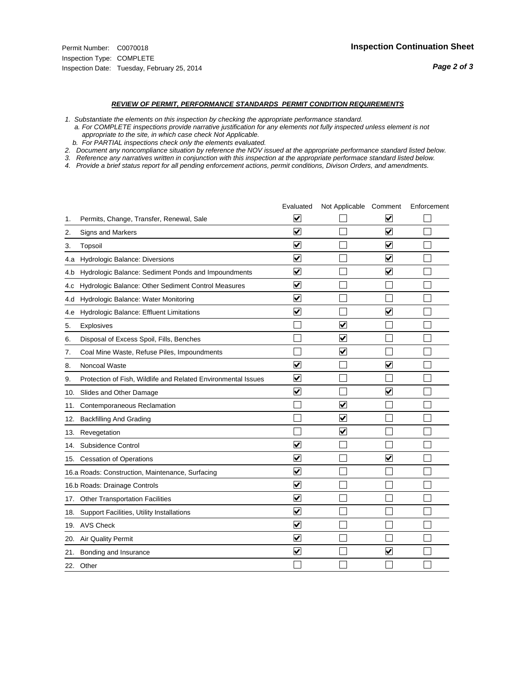#### *REVIEW OF PERMIT, PERFORMANCE STANDARDS PERMIT CONDITION REQUIREMENTS*

*1. Substantiate the elements on this inspection by checking the appropriate performance standard.*

 *a. For COMPLETE inspections provide narrative justification for any elements not fully inspected unless element is not appropriate to the site, in which case check Not Applicable.*

 *b. For PARTIAL inspections check only the elements evaluated.*

*2. Document any noncompliance situation by reference the NOV issued at the appropriate performance standard listed below.*

*3. Reference any narratives written in conjunction with this inspection at the appropriate performace standard listed below.*

|     |                                                               | Evaluated                       | Not Applicable Comment  |                                 | Enforcement |
|-----|---------------------------------------------------------------|---------------------------------|-------------------------|---------------------------------|-------------|
| 1.  | Permits, Change, Transfer, Renewal, Sale                      | V                               |                         | V                               |             |
| 2.  | <b>Signs and Markers</b>                                      | $\overline{\mathbf{v}}$         |                         | $\overline{\blacktriangledown}$ |             |
| 3.  | Topsoil                                                       | $\overline{\mathbf{v}}$         |                         | $\overline{\mathbf{v}}$         |             |
| 4.a | Hydrologic Balance: Diversions                                | ⊽                               |                         | $\blacktriangledown$            |             |
| 4.b | Hydrologic Balance: Sediment Ponds and Impoundments           | $\blacktriangledown$            |                         | $\blacktriangledown$            |             |
| 4.C | Hydrologic Balance: Other Sediment Control Measures           | $\overline{\blacktriangledown}$ |                         |                                 |             |
| 4.d | Hydrologic Balance: Water Monitoring                          | ✓                               |                         |                                 |             |
| 4.e | Hydrologic Balance: Effluent Limitations                      | $\overline{\blacktriangledown}$ |                         | $\overline{\mathbf{v}}$         |             |
| 5.  | Explosives                                                    |                                 | $\overline{\mathsf{v}}$ |                                 |             |
| 6.  | Disposal of Excess Spoil, Fills, Benches                      |                                 | $\overline{\mathbf{v}}$ |                                 |             |
| 7.  | Coal Mine Waste, Refuse Piles, Impoundments                   |                                 | $\overline{\mathbf{v}}$ |                                 |             |
| 8.  | Noncoal Waste                                                 | $\overline{\mathbf{v}}$         |                         | $\blacktriangledown$            |             |
| 9.  | Protection of Fish, Wildlife and Related Environmental Issues | $\blacktriangledown$            |                         |                                 |             |
| 10. | Slides and Other Damage                                       | $\blacktriangledown$            |                         | $\overline{\mathbf{v}}$         |             |
| 11. | Contemporaneous Reclamation                                   |                                 | V                       |                                 |             |
| 12. | <b>Backfilling And Grading</b>                                |                                 | $\overline{\mathbf{v}}$ |                                 |             |
| 13. | Revegetation                                                  |                                 | $\overline{\mathbf{v}}$ |                                 |             |
| 14. | Subsidence Control                                            | $\overline{\mathbf{v}}$         |                         |                                 |             |
|     | 15. Cessation of Operations                                   | $\blacktriangledown$            |                         | ▽                               |             |
|     | 16.a Roads: Construction, Maintenance, Surfacing              | $\blacktriangledown$            |                         |                                 |             |
|     | 16.b Roads: Drainage Controls                                 | $\blacktriangledown$            |                         |                                 |             |
|     | 17. Other Transportation Facilities                           | $\overline{\mathbf{v}}$         |                         |                                 |             |
| 18. | Support Facilities, Utility Installations                     | $\overline{\mathbf{v}}$         |                         |                                 |             |
|     | 19. AVS Check                                                 | $\blacktriangledown$            |                         |                                 |             |
| 20. | <b>Air Quality Permit</b>                                     | ⊻                               |                         |                                 |             |
|     | 21. Bonding and Insurance                                     | $\overline{\blacktriangledown}$ |                         | $\blacktriangledown$            |             |
|     | 22. Other                                                     |                                 |                         |                                 |             |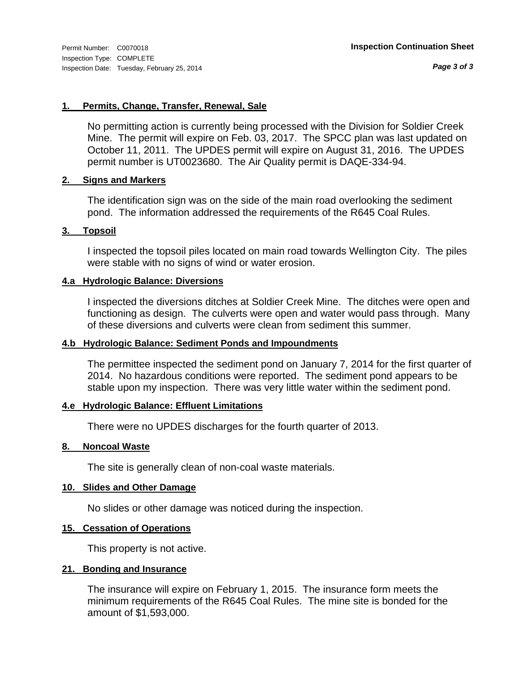*Page 3 of 3*

# **1. Permits, Change, Transfer, Renewal, Sale**

No permitting action is currently being processed with the Division for Soldier Creek Mine. The permit will expire on Feb. 03, 2017. The SPCC plan was last updated on October 11, 2011. The UPDES permit will expire on August 31, 2016. The UPDES permit number is UT0023680. The Air Quality permit is DAQE-334-94.

# **2. Signs and Markers**

The identification sign was on the side of the main road overlooking the sediment pond. The information addressed the requirements of the R645 Coal Rules.

# **3. Topsoil**

I inspected the topsoil piles located on main road towards Wellington City. The piles were stable with no signs of wind or water erosion.

# **4.a Hydrologic Balance: Diversions**

I inspected the diversions ditches at Soldier Creek Mine. The ditches were open and functioning as design. The culverts were open and water would pass through. Many of these diversions and culverts were clean from sediment this summer.

# **4.b Hydrologic Balance: Sediment Ponds and Impoundments**

The permittee inspected the sediment pond on January 7, 2014 for the first quarter of 2014. No hazardous conditions were reported. The sediment pond appears to be stable upon my inspection. There was very little water within the sediment pond.

### **4.e Hydrologic Balance: Effluent Limitations**

There were no UPDES discharges for the fourth quarter of 2013.

### **8. Noncoal Waste**

The site is generally clean of non-coal waste materials.

# **10. Slides and Other Damage**

No slides or other damage was noticed during the inspection.

# **15. Cessation of Operations**

This property is not active.

### **21. Bonding and Insurance**

The insurance will expire on February 1, 2015. The insurance form meets the minimum requirements of the R645 Coal Rules. The mine site is bonded for the amount of \$1,593,000.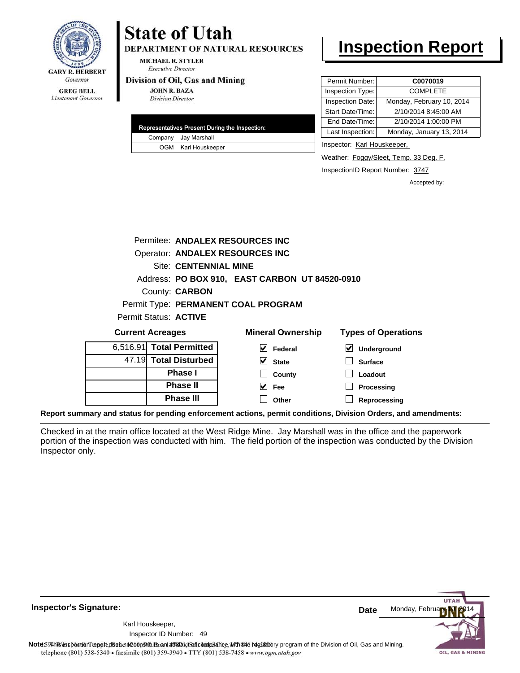

### **GREG BELL** Lieutenant Governor

# **State of Utah**

**DEPARTMENT OF NATURAL RESOURCES** 

**MICHAEL R. STYLER Executive Director** 

#### Division of Oil, Gas and Mining

**JOHN R. BAZA Division Director** 

| Representatives Present During the Inspection: |
|------------------------------------------------|
| Company Jay Marshall                           |
| OGM Karl Houskeeper                            |

# **Inspection Report**

| Permit Number:   | C0070019                  |
|------------------|---------------------------|
| Inspection Type: | <b>COMPLETE</b>           |
| Inspection Date: | Monday, February 10, 2014 |
| Start Date/Time: | 2/10/2014 8:45:00 AM      |
| End Date/Time:   | 2/10/2014 1:00:00 PM      |
| Last Inspection: | Monday, January 13, 2014  |
|                  |                           |

Inspector: Karl Houskeeper,

Weather: Foggy/Sleet, Temp. 33 Deg. F.

InspectionID Report Number: 3747

Accepted by:

|                         |                              | Permitee: ANDALEX RESOURCES INC                |                            |
|-------------------------|------------------------------|------------------------------------------------|----------------------------|
|                         |                              | Operator: ANDALEX RESOURCES INC                |                            |
|                         | <b>Site: CENTENNIAL MINE</b> |                                                |                            |
|                         |                              | Address: PO BOX 910, EAST CARBON UT 84520-0910 |                            |
|                         | County: <b>CARBON</b>        |                                                |                            |
|                         |                              | Permit Type: PERMANENT COAL PROGRAM            |                            |
|                         | Permit Status: ACTIVE        |                                                |                            |
| <b>Current Acreages</b> |                              | <b>Mineral Ownership</b>                       | <b>Types of Operations</b> |
|                         | 6,516.91 Total Permitted     | Federal                                        | Underground                |
|                         |                              |                                                |                            |

| 6,516.91 Total Permitted |
|--------------------------|
| 47.19 Total Disturbed    |
| <b>Phase I</b>           |
| <b>Phase II</b>          |
| <b>Phase III</b>         |

| eral Ownership          | <b>Types of Oper</b>       |
|-------------------------|----------------------------|
| $\triangledown$ Federal | $\triangledown$ Undergrour |
| $\vee$ State            | $\Box$ Surface             |
| $\Box$ County           | $\Box$ Loadout             |
| $\vee$ Fee              | $\Box$ Processing          |
| $\Box$ Other            | $\Box$ Reprocessi          |

**Reprocessing**

**Report summary and status for pending enforcement actions, permit conditions, Division Orders, and amendments:**

Checked in at the main office located at the West Ridge Mine. Jay Marshall was in the office and the paperwork portion of the inspection was conducted with him. The field portion of the inspection was conducted by the Division Inspector only.



**Inspector's Signature:**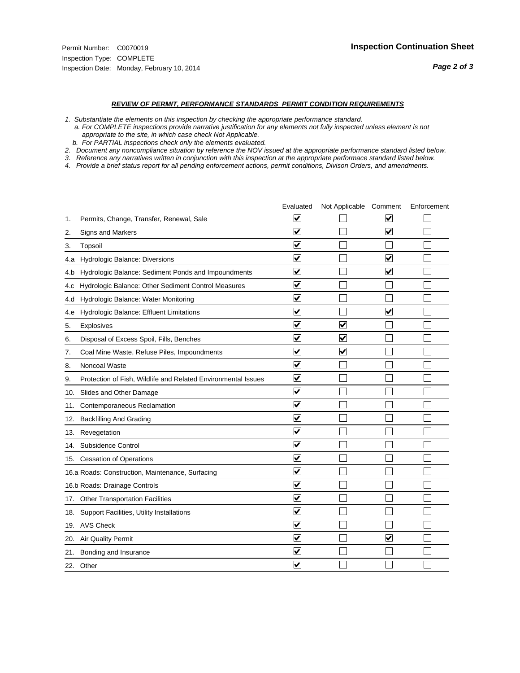#### *REVIEW OF PERMIT, PERFORMANCE STANDARDS PERMIT CONDITION REQUIREMENTS*

*1. Substantiate the elements on this inspection by checking the appropriate performance standard.*

 *a. For COMPLETE inspections provide narrative justification for any elements not fully inspected unless element is not appropriate to the site, in which case check Not Applicable.*

 *b. For PARTIAL inspections check only the elements evaluated.*

*2. Document any noncompliance situation by reference the NOV issued at the appropriate performance standard listed below.*

*3. Reference any narratives written in conjunction with this inspection at the appropriate performace standard listed below.*

|     |                                                               | Evaluated               | Not Applicable Comment  |                                 | Enforcement |
|-----|---------------------------------------------------------------|-------------------------|-------------------------|---------------------------------|-------------|
| 1.  | Permits, Change, Transfer, Renewal, Sale                      | ⊻                       |                         | V                               |             |
| 2.  | <b>Signs and Markers</b>                                      | $\overline{\mathbf{v}}$ |                         | $\overline{\blacktriangledown}$ |             |
| 3.  | Topsoil                                                       | $\overline{\mathbf{v}}$ |                         |                                 |             |
| 4.a | Hydrologic Balance: Diversions                                | ⊽                       |                         | $\overline{\mathbf{v}}$         |             |
| 4.b | Hydrologic Balance: Sediment Ponds and Impoundments           | $\blacktriangledown$    |                         | ⊻                               |             |
| 4.C | Hydrologic Balance: Other Sediment Control Measures           | $\blacktriangledown$    |                         |                                 |             |
| 4.d | Hydrologic Balance: Water Monitoring                          | ☑                       |                         |                                 |             |
| 4.e | Hydrologic Balance: Effluent Limitations                      | ✔                       |                         | $\overline{\mathbf{v}}$         |             |
| 5.  | Explosives                                                    | $\blacktriangledown$    | $\overline{\mathsf{v}}$ |                                 |             |
| 6.  | Disposal of Excess Spoil, Fills, Benches                      | $\blacktriangledown$    | $\overline{\mathbf{v}}$ |                                 |             |
| 7.  | Coal Mine Waste, Refuse Piles, Impoundments                   | $\overline{\mathbf{v}}$ | $\overline{\mathbf{v}}$ |                                 |             |
| 8.  | Noncoal Waste                                                 | $\overline{\mathbf{v}}$ |                         |                                 |             |
| 9.  | Protection of Fish, Wildlife and Related Environmental Issues | $\blacktriangledown$    |                         |                                 |             |
| 10. | Slides and Other Damage                                       | ⊻                       |                         |                                 |             |
| 11. | Contemporaneous Reclamation                                   | ☑                       |                         |                                 |             |
| 12. | <b>Backfilling And Grading</b>                                | $\overline{\mathbf{v}}$ |                         |                                 |             |
| 13. | Revegetation                                                  | $\overline{\mathbf{v}}$ |                         |                                 |             |
| 14. | Subsidence Control                                            | $\overline{\mathbf{v}}$ |                         |                                 |             |
|     | 15. Cessation of Operations                                   | $\blacktriangledown$    |                         |                                 |             |
|     | 16.a Roads: Construction, Maintenance, Surfacing              | $\blacktriangledown$    |                         |                                 |             |
|     | 16.b Roads: Drainage Controls                                 | ⊽                       |                         |                                 |             |
|     | 17. Other Transportation Facilities                           | $\overline{\mathbf{v}}$ |                         |                                 |             |
| 18. | Support Facilities, Utility Installations                     | $\overline{\mathbf{v}}$ |                         |                                 |             |
|     | 19. AVS Check                                                 | $\overline{\mathsf{v}}$ |                         |                                 |             |
| 20. | Air Quality Permit                                            | $\blacktriangledown$    |                         | $\blacktriangledown$            |             |
|     | 21. Bonding and Insurance                                     | V                       |                         |                                 |             |
|     | 22. Other                                                     | $\blacktriangledown$    |                         |                                 |             |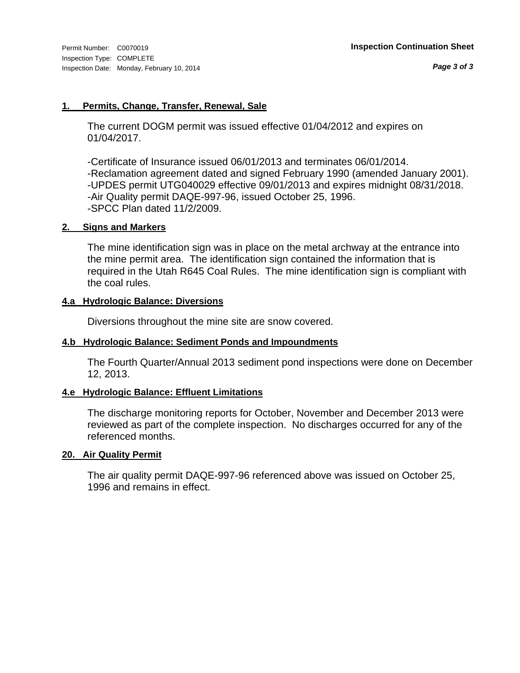# **1. Permits, Change, Transfer, Renewal, Sale**

The current DOGM permit was issued effective 01/04/2012 and expires on 01/04/2017.

-Certificate of Insurance issued 06/01/2013 and terminates 06/01/2014. -Reclamation agreement dated and signed February 1990 (amended January 2001). -UPDES permit UTG040029 effective 09/01/2013 and expires midnight 08/31/2018. -Air Quality permit DAQE-997-96, issued October 25, 1996. -SPCC Plan dated 11/2/2009.

# **2. Signs and Markers**

The mine identification sign was in place on the metal archway at the entrance into the mine permit area. The identification sign contained the information that is required in the Utah R645 Coal Rules. The mine identification sign is compliant with the coal rules.

# **4.a Hydrologic Balance: Diversions**

Diversions throughout the mine site are snow covered.

# **4.b Hydrologic Balance: Sediment Ponds and Impoundments**

The Fourth Quarter/Annual 2013 sediment pond inspections were done on December 12, 2013.

# **4.e Hydrologic Balance: Effluent Limitations**

The discharge monitoring reports for October, November and December 2013 were reviewed as part of the complete inspection. No discharges occurred for any of the referenced months.

### **20. Air Quality Permit**

The air quality permit DAQE-997-96 referenced above was issued on October 25, 1996 and remains in effect.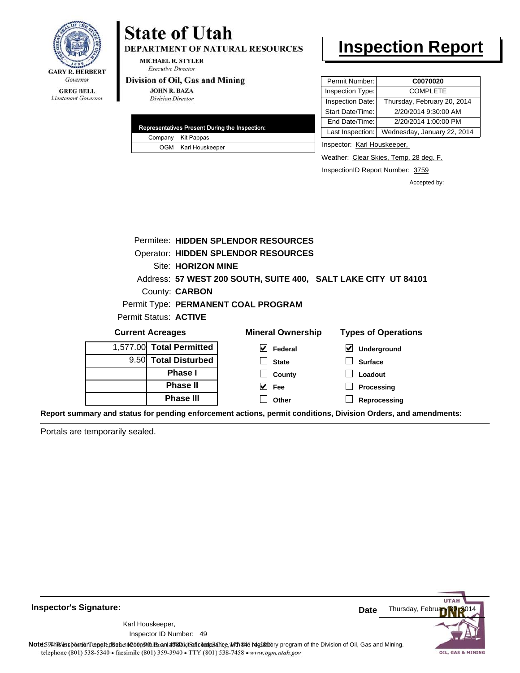

# **State of Utah**

DEPARTMENT OF NATURAL RESOURCES

**MICHAEL R. STYLER Executive Director** 

#### Division of Oil, Gas and Mining

**JOHN R. BAZA Division Director** 

|  | Representatives Present During the Inspection: |
|--|------------------------------------------------|
|  | Company Kit Pappas                             |
|  | OGM Karl Houskeeper                            |

# **Inspection Report**

| Permit Number:   | C0070020                    |
|------------------|-----------------------------|
| Inspection Type: | <b>COMPLETE</b>             |
| Inspection Date: | Thursday, February 20, 2014 |
| Start Date/Time: | 2/20/2014 9:30:00 AM        |
| End Date/Time:   | 2/20/2014 1:00:00 PM        |
| Last Inspection: | Wednesday, January 22, 2014 |

Inspector: Karl Houskeeper,

Weather: Clear Skies, Temp. 28 deg. F.

InspectionID Report Number: 3759

Accepted by:

|   |                                    | Permitee: HIDDEN SPLENDOR RESOURCES                            |                            |  |  |
|---|------------------------------------|----------------------------------------------------------------|----------------------------|--|--|
|   |                                    | <b>Operator: HIDDEN SPLENDOR RESOURCES</b>                     |                            |  |  |
|   | <b>Site: HORIZON MINE</b>          |                                                                |                            |  |  |
|   |                                    | Address: 57 WEST 200 SOUTH, SUITE 400, SALT LAKE CITY UT 84101 |                            |  |  |
|   | County: <b>CARBON</b>              |                                                                |                            |  |  |
|   |                                    | Permit Type: PERMANENT COAL PROGRAM                            |                            |  |  |
|   | Permit Status: ACTIVE              |                                                                |                            |  |  |
|   | <b>Current Acreages</b>            | <b>Mineral Ownership</b>                                       | <b>Types of Operations</b> |  |  |
|   | 1,577.00 Total Permitted           | $\vee$ Federal                                                 | Underground                |  |  |
|   | 9.50 Total Disturbed               | <b>State</b>                                                   | <b>Surface</b>             |  |  |
|   | Phase I<br>County<br>Loadout       |                                                                |                            |  |  |
|   | <b>Phase II</b>                    | $\vee$ Fee                                                     | Processing                 |  |  |
|   | <b>Phase III</b>                   | Other                                                          | Reprocessing               |  |  |
| . | $\sim$ $\sim$ $\sim$ $\sim$ $\sim$ |                                                                |                            |  |  |

**Report summary and status for pending enforcement actions, permit conditions, Division Orders, and amendments:**

Portals are temporarily sealed.



**Inspector's Signature:**

Karl Houskeeper,

49 Inspector ID Number: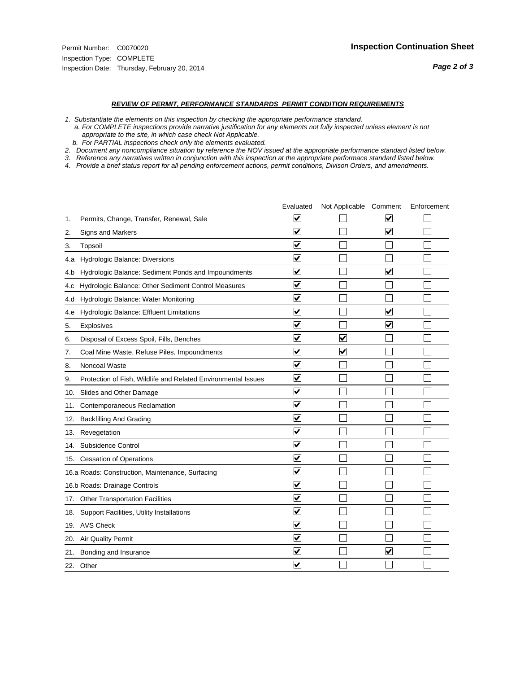#### *REVIEW OF PERMIT, PERFORMANCE STANDARDS PERMIT CONDITION REQUIREMENTS*

*1. Substantiate the elements on this inspection by checking the appropriate performance standard.*

 *a. For COMPLETE inspections provide narrative justification for any elements not fully inspected unless element is not appropriate to the site, in which case check Not Applicable.*

 *b. For PARTIAL inspections check only the elements evaluated.*

*2. Document any noncompliance situation by reference the NOV issued at the appropriate performance standard listed below.*

*3. Reference any narratives written in conjunction with this inspection at the appropriate performace standard listed below.*

|     |                                                               | Evaluated               | Not Applicable Comment |                         | Enforcement |
|-----|---------------------------------------------------------------|-------------------------|------------------------|-------------------------|-------------|
| 1.  | Permits, Change, Transfer, Renewal, Sale                      | ⊻                       |                        | V                       |             |
| 2.  | Signs and Markers                                             | $\overline{\mathbf{v}}$ |                        | $\blacktriangledown$    |             |
| 3.  | Topsoil                                                       | $\overline{\mathbf{v}}$ |                        |                         |             |
| 4.a | <b>Hydrologic Balance: Diversions</b>                         | $\overline{\mathsf{v}}$ |                        |                         |             |
| 4.b | Hydrologic Balance: Sediment Ponds and Impoundments           | $\blacktriangledown$    |                        | V                       |             |
| 4.C | Hydrologic Balance: Other Sediment Control Measures           | $\checkmark$            |                        |                         |             |
| 4.d | Hydrologic Balance: Water Monitoring                          | $\overline{\mathbf{v}}$ |                        |                         |             |
| 4.e | Hydrologic Balance: Effluent Limitations                      | $\overline{\mathbf{v}}$ |                        | $\blacktriangledown$    |             |
| 5.  | <b>Explosives</b>                                             | $\overline{\mathbf{v}}$ |                        | $\overline{\mathbf{v}}$ |             |
| 6.  | Disposal of Excess Spoil, Fills, Benches                      | $\blacktriangledown$    | $\blacktriangledown$   |                         |             |
| 7.  | Coal Mine Waste, Refuse Piles, Impoundments                   | $\overline{\mathbf{v}}$ | $\blacktriangledown$   |                         |             |
| 8.  | Noncoal Waste                                                 | $\overline{\mathbf{v}}$ |                        |                         |             |
| 9.  | Protection of Fish, Wildlife and Related Environmental Issues | $\blacktriangledown$    |                        |                         |             |
| 10. | Slides and Other Damage                                       | $\overline{\mathsf{v}}$ |                        |                         |             |
| 11. | Contemporaneous Reclamation                                   | ⊻                       |                        |                         |             |
| 12. | <b>Backfilling And Grading</b>                                | $\overline{\mathbf{v}}$ |                        |                         |             |
| 13. | Revegetation                                                  | $\overline{\mathbf{v}}$ |                        |                         |             |
| 14. | Subsidence Control                                            | $\overline{\mathbf{v}}$ |                        |                         |             |
|     | 15. Cessation of Operations                                   | $\overline{\mathbf{v}}$ |                        |                         |             |
|     | 16.a Roads: Construction, Maintenance, Surfacing              | $\overline{\mathsf{v}}$ |                        |                         |             |
|     | 16.b Roads: Drainage Controls                                 | $\blacktriangledown$    |                        |                         |             |
| 17. | <b>Other Transportation Facilities</b>                        | $\overline{\mathbf{v}}$ |                        |                         |             |
| 18. | Support Facilities, Utility Installations                     | $\overline{\mathbf{v}}$ |                        |                         |             |
| 19. | <b>AVS Check</b>                                              | $\overline{\mathbf{v}}$ |                        |                         |             |
| 20. | <b>Air Quality Permit</b>                                     | $\checkmark$            |                        |                         |             |
| 21. | Bonding and Insurance                                         | $\blacktriangledown$    |                        | $\blacktriangledown$    |             |
|     | 22. Other                                                     | $\overline{\mathbf{v}}$ |                        |                         |             |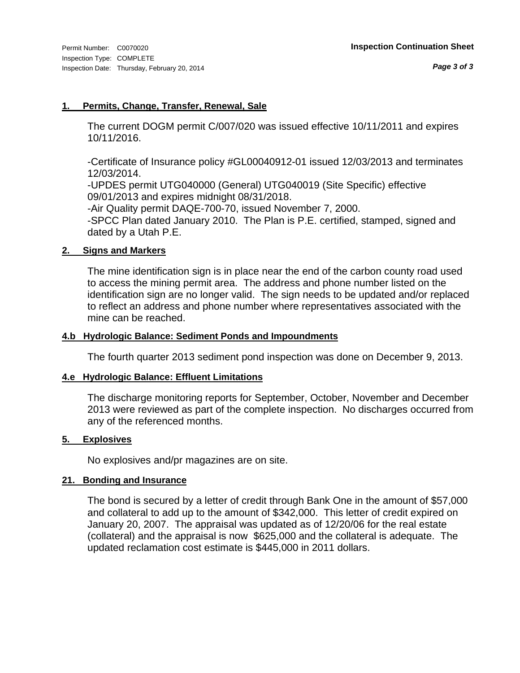# **1. Permits, Change, Transfer, Renewal, Sale**

The current DOGM permit C/007/020 was issued effective 10/11/2011 and expires 10/11/2016.

-Certificate of Insurance policy #GL00040912-01 issued 12/03/2013 and terminates 12/03/2014.

-UPDES permit UTG040000 (General) UTG040019 (Site Specific) effective 09/01/2013 and expires midnight 08/31/2018.

-Air Quality permit DAQE-700-70, issued November 7, 2000.

-SPCC Plan dated January 2010. The Plan is P.E. certified, stamped, signed and dated by a Utah P.E.

# **2. Signs and Markers**

The mine identification sign is in place near the end of the carbon county road used to access the mining permit area. The address and phone number listed on the identification sign are no longer valid. The sign needs to be updated and/or replaced to reflect an address and phone number where representatives associated with the mine can be reached.

# **4.b Hydrologic Balance: Sediment Ponds and Impoundments**

The fourth quarter 2013 sediment pond inspection was done on December 9, 2013.

# **4.e Hydrologic Balance: Effluent Limitations**

The discharge monitoring reports for September, October, November and December 2013 were reviewed as part of the complete inspection. No discharges occurred from any of the referenced months.

# **5. Explosives**

No explosives and/pr magazines are on site.

# **21. Bonding and Insurance**

The bond is secured by a letter of credit through Bank One in the amount of \$57,000 and collateral to add up to the amount of \$342,000. This letter of credit expired on January 20, 2007. The appraisal was updated as of 12/20/06 for the real estate (collateral) and the appraisal is now \$625,000 and the collateral is adequate. The updated reclamation cost estimate is \$445,000 in 2011 dollars.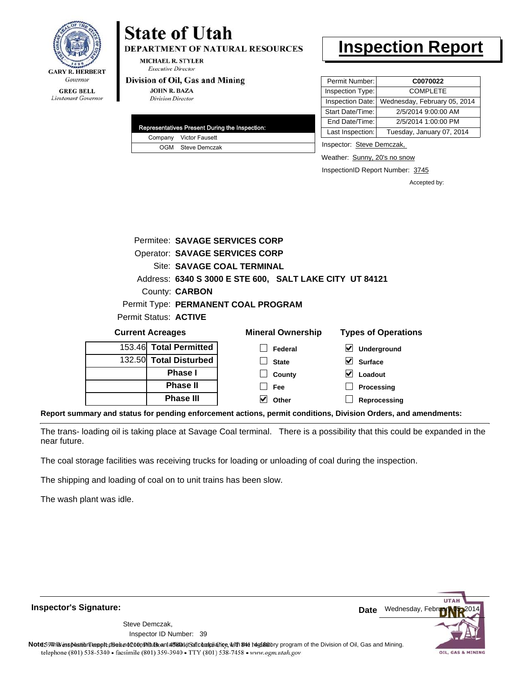

# **State of Utah**

**DEPARTMENT OF NATURAL RESOURCES** 

**MICHAEL R. STYLER Executive Director** 

#### Division of Oil, Gas and Mining

**JOHN R. BAZA Division Director** 

| Representatives Present During the Inspection: |
|------------------------------------------------|
| Company Victor Fausett                         |
| OGM Steve Demczak                              |

# **Inspection Report**

| Permit Number:   | C0070022                     |
|------------------|------------------------------|
| Inspection Type: | <b>COMPLETE</b>              |
| Inspection Date: | Wednesday, February 05, 2014 |
| Start Date/Time: | 2/5/2014 9:00:00 AM          |
| End Date/Time:   | 2/5/2014 1:00:00 PM          |
| Last Inspection: | Tuesday, January 07, 2014    |

Inspector: Steve Demczak,

Weather: Sunny, 20's no snow

InspectionID Report Number: 3745

Accepted by:

| <b>Current Acreages</b> |                                                         | <b>Mineral Ownership</b> | <b>Types of Operations</b> |
|-------------------------|---------------------------------------------------------|--------------------------|----------------------------|
| Permit Status: ACTIVE   |                                                         |                          |                            |
|                         | Permit Type: PERMANENT COAL PROGRAM                     |                          |                            |
|                         | County: <b>CARBON</b>                                   |                          |                            |
|                         | Address: 6340 S 3000 E STE 600, SALT LAKE CITY UT 84121 |                          |                            |
|                         | Site: SAVAGE COAL TERMINAL                              |                          |                            |
|                         | <b>Operator: SAVAGE SERVICES CORP</b>                   |                          |                            |
|                         | Permitee: SAVAGE SERVICES CORP                          |                          |                            |
|                         |                                                         |                          |                            |

| 153.46 Total Permitted | Federal      | $\triangledown$ Underground |
|------------------------|--------------|-----------------------------|
| 132.50 Total Disturbed | <b>State</b> | $\triangleright$ Surface    |
| <b>Phase I</b>         | County       | $\triangleright$ Loadout    |
| <b>Phase II</b>        | Fee          | <b>Processing</b>           |
| <b>Phase III</b>       | $\vee$ Other | Reprocessing                |
|                        |              |                             |

**Report summary and status for pending enforcement actions, permit conditions, Division Orders, and amendments:**

The trans- loading oil is taking place at Savage Coal terminal. There is a possibility that this could be expanded in the near future.

The coal storage facilities was receiving trucks for loading or unloading of coal during the inspection.

The shipping and loading of coal on to unit trains has been slow.

The wash plant was idle.

**Inspector's Signature:**

39 Inspector ID Number:Steve Demczak,

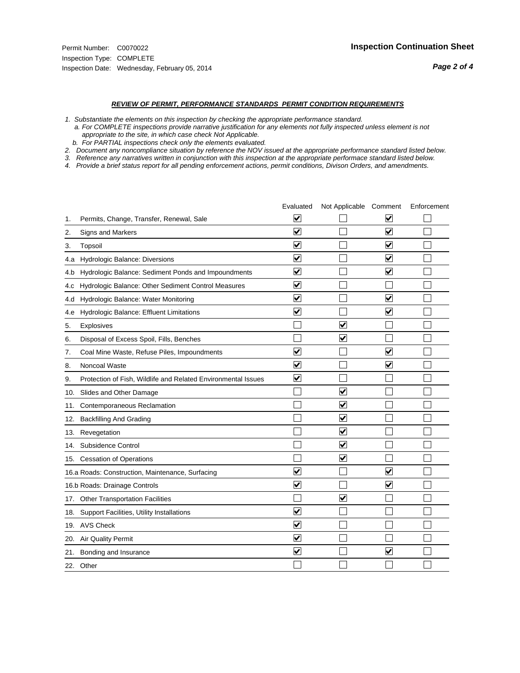#### *REVIEW OF PERMIT, PERFORMANCE STANDARDS PERMIT CONDITION REQUIREMENTS*

*1. Substantiate the elements on this inspection by checking the appropriate performance standard.*

 *a. For COMPLETE inspections provide narrative justification for any elements not fully inspected unless element is not appropriate to the site, in which case check Not Applicable.*

 *b. For PARTIAL inspections check only the elements evaluated.*

*2. Document any noncompliance situation by reference the NOV issued at the appropriate performance standard listed below.*

*3. Reference any narratives written in conjunction with this inspection at the appropriate performace standard listed below.*

|     |                                                               | Evaluated               | Not Applicable Comment          |                         | Enforcement |
|-----|---------------------------------------------------------------|-------------------------|---------------------------------|-------------------------|-------------|
| 1.  | Permits, Change, Transfer, Renewal, Sale                      | $\overline{\mathsf{v}}$ |                                 | V                       |             |
| 2.  | Signs and Markers                                             | $\overline{\mathbf{v}}$ |                                 | $\blacktriangledown$    |             |
| 3.  | Topsoil                                                       | $\overline{\mathbf{v}}$ |                                 | $\overline{\mathsf{v}}$ |             |
| 4.a | Hydrologic Balance: Diversions                                | $\overline{\mathbf{v}}$ |                                 | $\overline{\mathbf{v}}$ |             |
| 4.b | Hydrologic Balance: Sediment Ponds and Impoundments           | $\blacktriangledown$    |                                 | ⊻                       |             |
| 4.C | Hydrologic Balance: Other Sediment Control Measures           | $\overline{\mathbf{v}}$ |                                 |                         |             |
| 4.d | Hydrologic Balance: Water Monitoring                          | $\overline{\mathbf{v}}$ |                                 | $\overline{\mathbf{v}}$ |             |
| 4.e | Hydrologic Balance: Effluent Limitations                      | $\overline{\mathbf{v}}$ |                                 | $\blacktriangledown$    |             |
| 5.  | <b>Explosives</b>                                             |                         | ⊽                               |                         |             |
| 6.  | Disposal of Excess Spoil, Fills, Benches                      |                         | $\blacktriangledown$            |                         |             |
| 7.  | Coal Mine Waste, Refuse Piles, Impoundments                   | $\overline{\mathbf{v}}$ |                                 | $\overline{\mathbf{v}}$ |             |
| 8.  | Noncoal Waste                                                 | $\overline{\mathbf{v}}$ |                                 | $\overline{\mathbf{v}}$ |             |
| 9.  | Protection of Fish, Wildlife and Related Environmental Issues | $\overline{\mathbf{v}}$ |                                 |                         |             |
| 10. | Slides and Other Damage                                       |                         | ☑                               |                         |             |
| 11. | Contemporaneous Reclamation                                   |                         | ☑                               |                         |             |
| 12. | <b>Backfilling And Grading</b>                                |                         | $\overline{\mathbf{v}}$         |                         |             |
| 13. | Revegetation                                                  |                         | $\overline{\blacktriangledown}$ |                         |             |
| 14. | Subsidence Control                                            |                         | $\overline{\mathbf{v}}$         |                         |             |
| 15. | <b>Cessation of Operations</b>                                |                         | $\overline{\blacktriangledown}$ |                         |             |
|     | 16.a Roads: Construction, Maintenance, Surfacing              | ⊽                       |                                 | $\overline{\mathbf{v}}$ |             |
|     | 16.b Roads: Drainage Controls                                 | $\overline{\mathbf{v}}$ |                                 | $\overline{\mathbf{v}}$ |             |
| 17. | <b>Other Transportation Facilities</b>                        |                         | $\overline{\mathbf{v}}$         |                         |             |
| 18. | Support Facilities, Utility Installations                     | $\overline{\mathbf{v}}$ |                                 |                         |             |
|     | 19. AVS Check                                                 | $\overline{\mathbf{v}}$ |                                 |                         |             |
| 20. | Air Quality Permit                                            | $\checkmark$            |                                 |                         |             |
| 21. | Bonding and Insurance                                         | $\overline{\mathbf{v}}$ |                                 | $\blacktriangledown$    |             |
|     | 22. Other                                                     |                         |                                 |                         |             |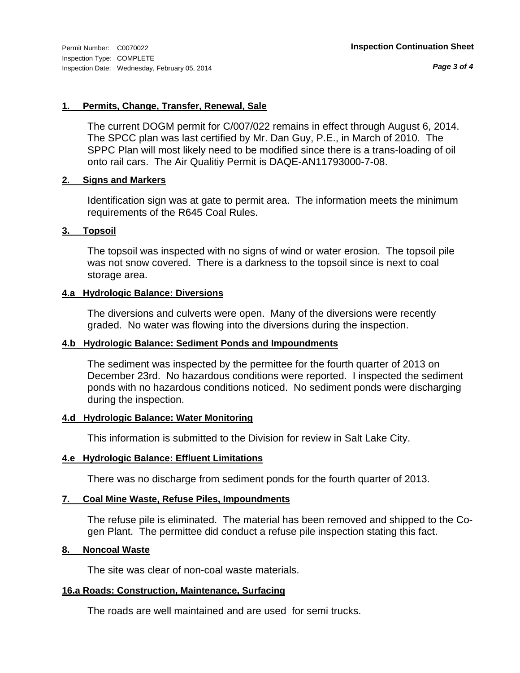*Page 3 of 4*

### **1. Permits, Change, Transfer, Renewal, Sale**

The current DOGM permit for C/007/022 remains in effect through August 6, 2014. The SPCC plan was last certified by Mr. Dan Guy, P.E., in March of 2010. The SPPC Plan will most likely need to be modified since there is a trans-loading of oil onto rail cars. The Air Qualitiy Permit is DAQE-AN11793000-7-08.

# **2. Signs and Markers**

Identification sign was at gate to permit area. The information meets the minimum requirements of the R645 Coal Rules.

# **3. Topsoil**

The topsoil was inspected with no signs of wind or water erosion. The topsoil pile was not snow covered. There is a darkness to the topsoil since is next to coal storage area.

# **4.a Hydrologic Balance: Diversions**

The diversions and culverts were open. Many of the diversions were recently graded. No water was flowing into the diversions during the inspection.

# **4.b Hydrologic Balance: Sediment Ponds and Impoundments**

The sediment was inspected by the permittee for the fourth quarter of 2013 on December 23rd. No hazardous conditions were reported. I inspected the sediment ponds with no hazardous conditions noticed. No sediment ponds were discharging during the inspection.

### **4.d Hydrologic Balance: Water Monitoring**

This information is submitted to the Division for review in Salt Lake City.

# **4.e Hydrologic Balance: Effluent Limitations**

There was no discharge from sediment ponds for the fourth quarter of 2013.

# **7. Coal Mine Waste, Refuse Piles, Impoundments**

The refuse pile is eliminated. The material has been removed and shipped to the Cogen Plant. The permittee did conduct a refuse pile inspection stating this fact.

### **8. Noncoal Waste**

The site was clear of non-coal waste materials.

# **16.a Roads: Construction, Maintenance, Surfacing**

The roads are well maintained and are used for semi trucks.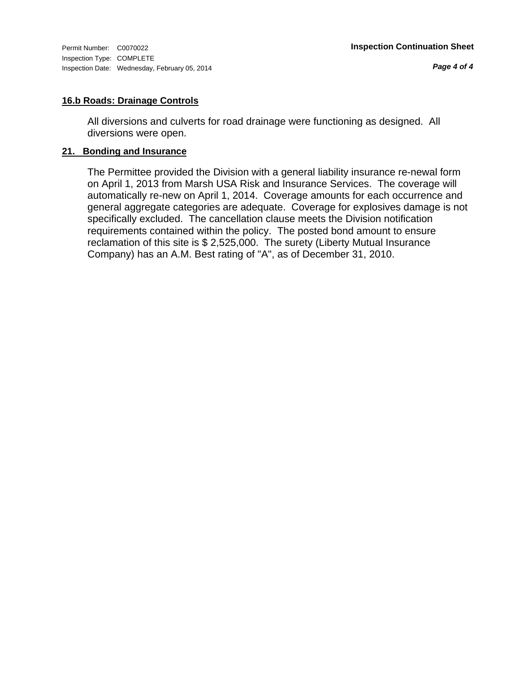# **16.b Roads: Drainage Controls**

All diversions and culverts for road drainage were functioning as designed. All diversions were open.

# **21. Bonding and Insurance**

The Permittee provided the Division with a general liability insurance re-newal form on April 1, 2013 from Marsh USA Risk and Insurance Services. The coverage will automatically re-new on April 1, 2014. Coverage amounts for each occurrence and general aggregate categories are adequate. Coverage for explosives damage is not specifically excluded. The cancellation clause meets the Division notification requirements contained within the policy. The posted bond amount to ensure reclamation of this site is \$ 2,525,000. The surety (Liberty Mutual Insurance Company) has an A.M. Best rating of "A", as of December 31, 2010.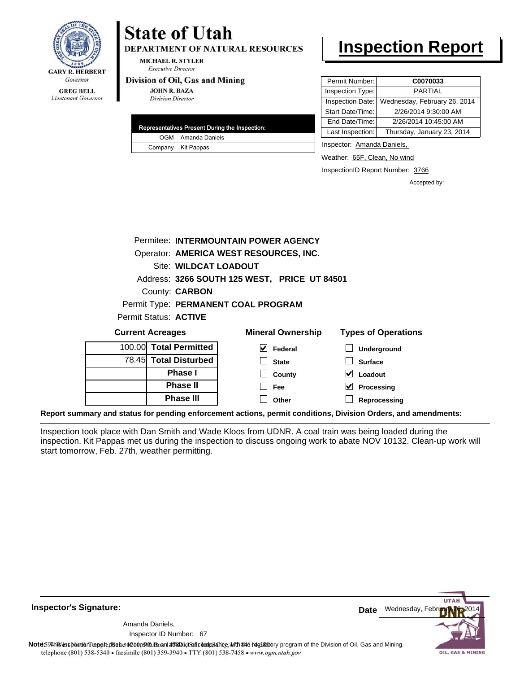

# **State of Utah**

**DEPARTMENT OF NATURAL RESOURCES** 

**MICHAEL R. STYLER Executive Director** 

#### Division of Oil, Gas and Mining

**JOHN R. BAZA Division Director** 

| Representatives Present During the Inspection: |
|------------------------------------------------|
| OGM Amanda Daniels                             |
| Company Kit Pappas                             |

# **Inspection Report**

| Permit Number:   | C0070033                     |  |
|------------------|------------------------------|--|
| Inspection Type: | PARTIAI                      |  |
| Inspection Date: | Wednesday, February 26, 2014 |  |
| Start Date/Time: | 2/26/2014 9:30:00 AM         |  |
| End Date/Time:   | 2/26/2014 10:45:00 AM        |  |
| Last Inspection: | Thursday, January 23, 2014   |  |

Inspector: Amanda Daniels,

Weather: 65F, Clean, No wind

**Processing Reprocessing**

InspectionID Report Number: 3766

Accepted by:

|                         |                                              | Permitee: INTERMOUNTAIN POWER AGENCY |                            |
|-------------------------|----------------------------------------------|--------------------------------------|----------------------------|
|                         | Operator: AMERICA WEST RESOURCES, INC.       |                                      |                            |
|                         | Site: WILDCAT LOADOUT                        |                                      |                            |
|                         | Address: 3266 SOUTH 125 WEST, PRICE UT 84501 |                                      |                            |
|                         | County: <b>CARBON</b>                        |                                      |                            |
|                         |                                              | Permit Type: PERMANENT COAL PROGRAM  |                            |
|                         | Permit Status: <b>ACTIVE</b>                 |                                      |                            |
| <b>Current Acreages</b> |                                              | <b>Mineral Ownership</b>             | <b>Types of Operations</b> |
|                         | 100.00 Total Permitted                       | ✓<br><b>Federal</b>                  | Underground                |
|                         | 78.45 Total Disturbed                        | <b>State</b>                         | <b>Surface</b>             |
|                         | <b>Phase I</b>                               | County                               | Loadout                    |

**Fee Other**

| 78.451 Total Disturbed |
|------------------------|
| <b>Phase I</b>         |
| <b>Phase II</b>        |
| <b>Phase III</b>       |

**Report summary and status for pending enforcement actions, permit conditions, Division Orders, and amendments:**

Inspection took place with Dan Smith and Wade Kloos from UDNR. A coal train was being loaded during the inspection. Kit Pappas met us during the inspection to discuss ongoing work to abate NOV 10132. Clean-up work will start tomorrow, Feb. 27th, weather permitting.



**Inspector's Signature:**

Amanda Daniels,

67 Inspector ID Number: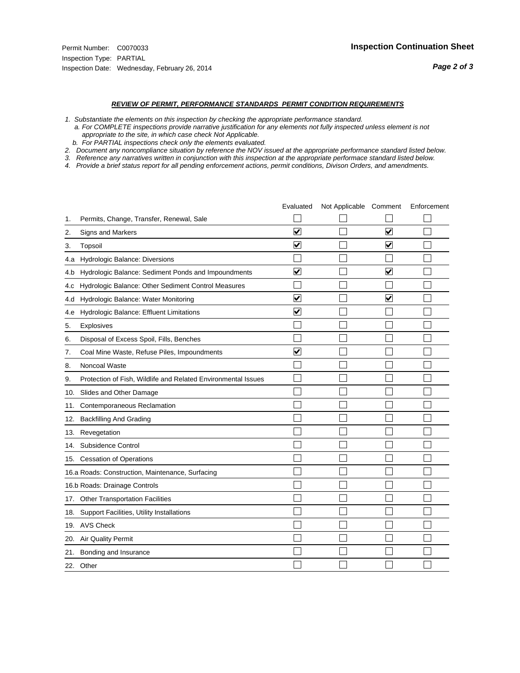#### *REVIEW OF PERMIT, PERFORMANCE STANDARDS PERMIT CONDITION REQUIREMENTS*

*1. Substantiate the elements on this inspection by checking the appropriate performance standard.*

 *a. For COMPLETE inspections provide narrative justification for any elements not fully inspected unless element is not appropriate to the site, in which case check Not Applicable.*

 *b. For PARTIAL inspections check only the elements evaluated.*

*2. Document any noncompliance situation by reference the NOV issued at the appropriate performance standard listed below.*

*3. Reference any narratives written in conjunction with this inspection at the appropriate performace standard listed below.*

|     |                                                               | Evaluated               | Not Applicable Comment |                         | Enforcement |
|-----|---------------------------------------------------------------|-------------------------|------------------------|-------------------------|-------------|
| 1.  | Permits, Change, Transfer, Renewal, Sale                      |                         |                        |                         |             |
| 2.  | <b>Signs and Markers</b>                                      | $\overline{\mathbf{v}}$ |                        | $\overline{\mathbf{v}}$ |             |
| 3.  | Topsoil                                                       | $\overline{\mathbf{v}}$ |                        | $\overline{\mathbf{v}}$ |             |
| 4.a | Hydrologic Balance: Diversions                                |                         |                        |                         |             |
| 4.b | Hydrologic Balance: Sediment Ponds and Impoundments           | $\blacktriangledown$    |                        | ⊻                       |             |
| 4.C | Hydrologic Balance: Other Sediment Control Measures           |                         |                        |                         |             |
| 4.d | Hydrologic Balance: Water Monitoring                          | $\blacktriangledown$    |                        | $\blacktriangledown$    |             |
| 4.e | Hydrologic Balance: Effluent Limitations                      | $\blacktriangledown$    |                        |                         |             |
| 5.  | Explosives                                                    |                         |                        |                         |             |
| 6.  | Disposal of Excess Spoil, Fills, Benches                      |                         |                        |                         |             |
| 7.  | Coal Mine Waste, Refuse Piles, Impoundments                   | $\overline{\mathbf{v}}$ |                        |                         |             |
| 8.  | Noncoal Waste                                                 |                         |                        |                         |             |
| 9.  | Protection of Fish, Wildlife and Related Environmental Issues |                         |                        |                         |             |
| 10. | Slides and Other Damage                                       |                         |                        |                         |             |
| 11. | Contemporaneous Reclamation                                   |                         |                        |                         |             |
| 12. | <b>Backfilling And Grading</b>                                |                         |                        |                         |             |
| 13. | Revegetation                                                  |                         |                        |                         |             |
| 14. | Subsidence Control                                            |                         |                        |                         |             |
| 15. | <b>Cessation of Operations</b>                                |                         |                        |                         |             |
|     | 16.a Roads: Construction, Maintenance, Surfacing              |                         |                        |                         |             |
|     | 16.b Roads: Drainage Controls                                 |                         |                        |                         |             |
| 17. | <b>Other Transportation Facilities</b>                        |                         |                        |                         |             |
| 18. | Support Facilities, Utility Installations                     |                         |                        |                         |             |
|     | 19. AVS Check                                                 |                         |                        |                         |             |
| 20. | Air Quality Permit                                            |                         |                        |                         |             |
| 21. | Bonding and Insurance                                         |                         |                        |                         |             |
|     | 22. Other                                                     |                         |                        |                         |             |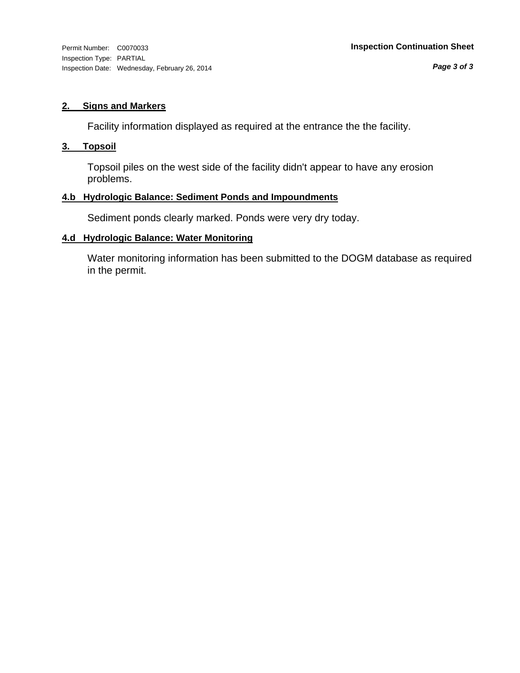#### **2. Signs and Markers**

Facility information displayed as required at the entrance the the facility.

#### **3. Topsoil**

Topsoil piles on the west side of the facility didn't appear to have any erosion problems.

#### **4.b Hydrologic Balance: Sediment Ponds and Impoundments**

Sediment ponds clearly marked. Ponds were very dry today.

#### **4.d Hydrologic Balance: Water Monitoring**

Water monitoring information has been submitted to the DOGM database as required in the permit.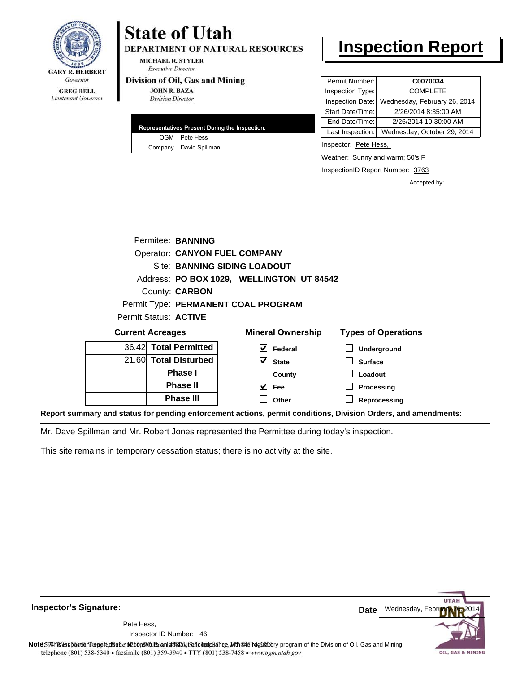

#### **GREG BELL** Lieutenant Governor

## **State of Utah**

**DEPARTMENT OF NATURAL RESOURCES** 

**MICHAEL R. STYLER Executive Director** 

#### Division of Oil, Gas and Mining

**JOHN R. BAZA Division Director** 

| Representatives Present During the Inspection: |
|------------------------------------------------|
| OGM Pete Hess                                  |
| Company David Spillman                         |

### **Inspection Report**

| Permit Number:   | C0070034                     |
|------------------|------------------------------|
| Inspection Type: | <b>COMPLETE</b>              |
| Inspection Date: | Wednesday, February 26, 2014 |
| Start Date/Time: | 2/26/2014 8:35:00 AM         |
| End Date/Time:   | 2/26/2014 10:30:00 AM        |
| Last Inspection: | Wednesday, October 29, 2014  |

Inspector: Pete Hess,

Weather: Sunny and warm; 50's F

**Surface Loadout**

InspectionID Report Number: 3763

Accepted by:

|                         | Permitee: BANNING     |                                           |                            |
|-------------------------|-----------------------|-------------------------------------------|----------------------------|
|                         |                       | <b>Operator: CANYON FUEL COMPANY</b>      |                            |
|                         |                       | Site: BANNING SIDING LOADOUT              |                            |
|                         |                       | Address: PO BOX 1029, WELLINGTON UT 84542 |                            |
|                         | County: <b>CARBON</b> |                                           |                            |
|                         |                       | Permit Type: PERMANENT COAL PROGRAM       |                            |
| Permit Status: ACTIVE   |                       |                                           |                            |
| <b>Current Acreages</b> |                       | <b>Mineral Ownership</b>                  | <b>Types of Operations</b> |
| 36.42 Total Permitted   |                       | Federal                                   | Underground                |

**State County**

|  | <b>Phase II</b>  | M<br>Fee | Processing   |
|--|------------------|----------|--------------|
|  | <b>Phase III</b> | Other    | Reprocessing |
|  |                  |          |              |

**Report summary and status for pending enforcement actions, permit conditions, Division Orders, and amendments:**

Mr. Dave Spillman and Mr. Robert Jones represented the Permittee during today's inspection.

This site remains in temporary cessation status; there is no activity at the site.

**Total Disturbed Phase I**

21.60



**Inspector's Signature:**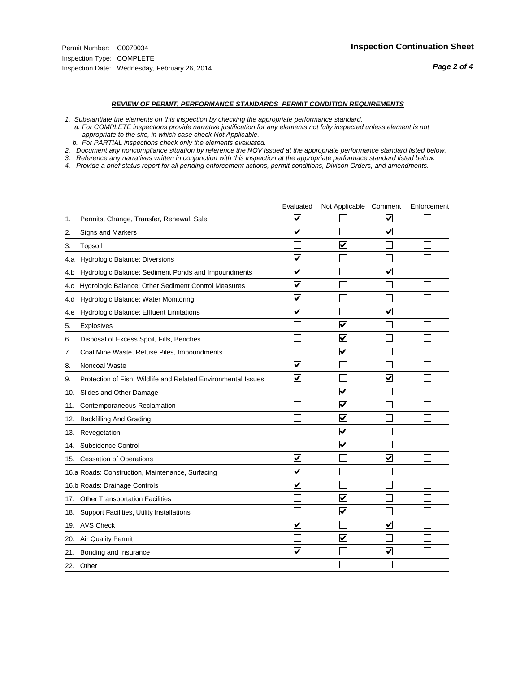#### *REVIEW OF PERMIT, PERFORMANCE STANDARDS PERMIT CONDITION REQUIREMENTS*

*1. Substantiate the elements on this inspection by checking the appropriate performance standard.*

 *a. For COMPLETE inspections provide narrative justification for any elements not fully inspected unless element is not appropriate to the site, in which case check Not Applicable.*

 *b. For PARTIAL inspections check only the elements evaluated.*

*2. Document any noncompliance situation by reference the NOV issued at the appropriate performance standard listed below.*

*3. Reference any narratives written in conjunction with this inspection at the appropriate performace standard listed below.*

|     |                                                               | Evaluated               | Not Applicable Comment  |                                 | Enforcement |
|-----|---------------------------------------------------------------|-------------------------|-------------------------|---------------------------------|-------------|
| 1.  | Permits, Change, Transfer, Renewal, Sale                      | V                       |                         | V                               |             |
| 2.  | Signs and Markers                                             | $\overline{\mathbf{v}}$ |                         | $\overline{\blacktriangledown}$ |             |
| 3.  | Topsoil                                                       |                         | $\overline{\checkmark}$ |                                 |             |
| 4.a | Hydrologic Balance: Diversions                                | $\blacktriangledown$    |                         |                                 |             |
| 4.b | Hydrologic Balance: Sediment Ponds and Impoundments           | $\blacktriangledown$    |                         | ✓                               |             |
| 4.C | Hydrologic Balance: Other Sediment Control Measures           | $\blacktriangledown$    |                         |                                 |             |
| 4.d | Hydrologic Balance: Water Monitoring                          | $\overline{\mathbf{v}}$ |                         |                                 |             |
| 4.e | Hydrologic Balance: Effluent Limitations                      | ☑                       |                         | $\overline{\mathbf{v}}$         |             |
| 5.  | Explosives                                                    |                         | ⊽                       |                                 |             |
| 6.  | Disposal of Excess Spoil, Fills, Benches                      |                         | ⊻                       |                                 |             |
| 7.  | Coal Mine Waste, Refuse Piles, Impoundments                   |                         | $\overline{\mathbf{v}}$ |                                 |             |
| 8.  | Noncoal Waste                                                 | $\overline{\mathsf{v}}$ |                         |                                 |             |
| 9.  | Protection of Fish, Wildlife and Related Environmental Issues | $\blacktriangledown$    |                         | V                               |             |
|     | 10. Slides and Other Damage                                   |                         | ⊽                       |                                 |             |
| 11. | Contemporaneous Reclamation                                   |                         | $\overline{\mathsf{v}}$ |                                 |             |
| 12. | <b>Backfilling And Grading</b>                                |                         | $\overline{\mathbf{v}}$ |                                 |             |
| 13. | Revegetation                                                  |                         | $\overline{\mathbf{v}}$ |                                 |             |
| 14. | Subsidence Control                                            |                         | $\overline{\mathbf{v}}$ |                                 |             |
|     | 15. Cessation of Operations                                   | ⊻                       |                         | V                               |             |
|     | 16.a Roads: Construction, Maintenance, Surfacing              | ☑                       |                         |                                 |             |
|     | 16.b Roads: Drainage Controls                                 | $\overline{\mathbf{v}}$ |                         |                                 |             |
|     | 17. Other Transportation Facilities                           |                         | $\overline{\mathsf{v}}$ |                                 |             |
| 18. | Support Facilities, Utility Installations                     |                         | $\overline{\mathsf{v}}$ |                                 |             |
|     | 19. AVS Check                                                 | $\blacktriangledown$    |                         | $\blacktriangledown$            |             |
| 20. | <b>Air Quality Permit</b>                                     |                         | $\overline{\mathsf{v}}$ |                                 |             |
|     | 21. Bonding and Insurance                                     | ⊻                       |                         | $\blacktriangledown$            |             |
|     | 22. Other                                                     |                         |                         |                                 |             |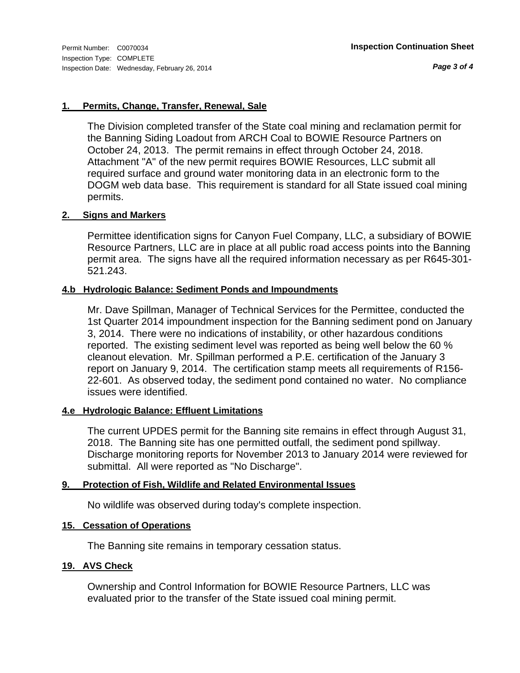#### **1. Permits, Change, Transfer, Renewal, Sale**

The Division completed transfer of the State coal mining and reclamation permit for the Banning Siding Loadout from ARCH Coal to BOWIE Resource Partners on October 24, 2013. The permit remains in effect through October 24, 2018. Attachment "A" of the new permit requires BOWIE Resources, LLC submit all required surface and ground water monitoring data in an electronic form to the DOGM web data base. This requirement is standard for all State issued coal mining permits.

#### **2. Signs and Markers**

Permittee identification signs for Canyon Fuel Company, LLC, a subsidiary of BOWIE Resource Partners, LLC are in place at all public road access points into the Banning permit area. The signs have all the required information necessary as per R645-301- 521.243.

#### **4.b Hydrologic Balance: Sediment Ponds and Impoundments**

Mr. Dave Spillman, Manager of Technical Services for the Permittee, conducted the 1st Quarter 2014 impoundment inspection for the Banning sediment pond on January 3, 2014. There were no indications of instability, or other hazardous conditions reported. The existing sediment level was reported as being well below the 60 % cleanout elevation. Mr. Spillman performed a P.E. certification of the January 3 report on January 9, 2014. The certification stamp meets all requirements of R156- 22-601. As observed today, the sediment pond contained no water. No compliance issues were identified.

#### **4.e Hydrologic Balance: Effluent Limitations**

The current UPDES permit for the Banning site remains in effect through August 31, 2018. The Banning site has one permitted outfall, the sediment pond spillway. Discharge monitoring reports for November 2013 to January 2014 were reviewed for submittal. All were reported as "No Discharge".

#### **9. Protection of Fish, Wildlife and Related Environmental Issues**

No wildlife was observed during today's complete inspection.

#### **15. Cessation of Operations**

The Banning site remains in temporary cessation status.

#### **19. AVS Check**

Ownership and Control Information for BOWIE Resource Partners, LLC was evaluated prior to the transfer of the State issued coal mining permit.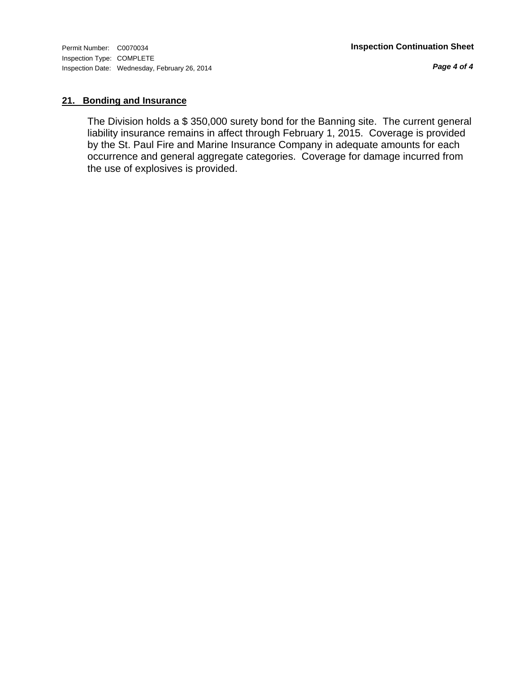*Page 4 of 4*

#### **21. Bonding and Insurance**

The Division holds a \$ 350,000 surety bond for the Banning site. The current general liability insurance remains in affect through February 1, 2015. Coverage is provided by the St. Paul Fire and Marine Insurance Company in adequate amounts for each occurrence and general aggregate categories. Coverage for damage incurred from the use of explosives is provided.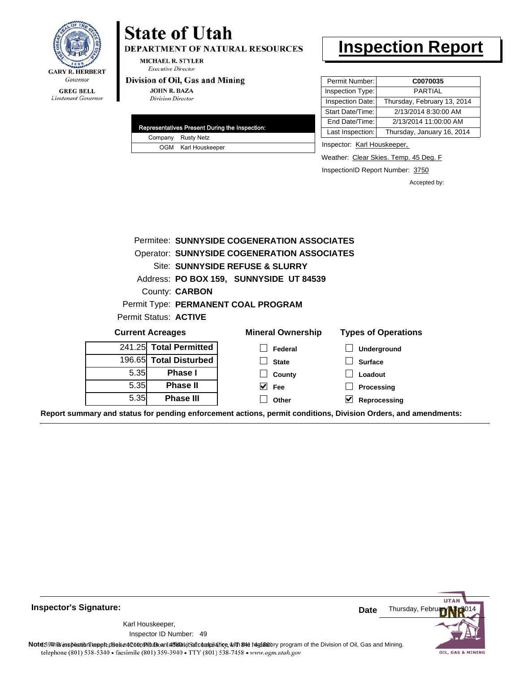

#### **GREG BELL** Lieutenant Governor

## **State of Utah**

DEPARTMENT OF NATURAL RESOURCES

**MICHAEL R. STYLER Executive Director** 

#### Division of Oil, Gas and Mining

**JOHN R. BAZA Division Director** 

| Representatives Present During the Inspection: |
|------------------------------------------------|
| Company Rusty Netz                             |
| OGM Karl Houskeeper                            |

### **Inspection Report**

| Permit Number:   | C0070035                    |
|------------------|-----------------------------|
| Inspection Type: | PARTIAL                     |
| Inspection Date: | Thursday, February 13, 2014 |
| Start Date/Time: | 2/13/2014 8:30:00 AM        |
| End Date/Time:   | 2/13/2014 11:00:00 AM       |
| Last Inspection: | Thursday, January 16, 2014  |

Inspector: Karl Houskeeper,

Weather: Clear Skies. Temp. 45 Deg. F

InspectionID Report Number: 3750

Accepted by:

|         | Permitee: SUNNYSIDE COGENERATION ASSOCIATES        |                                         |                            |  |  |  |
|---------|----------------------------------------------------|-----------------------------------------|----------------------------|--|--|--|
|         | <b>Operator: SUNNYSIDE COGENERATION ASSOCIATES</b> |                                         |                            |  |  |  |
|         |                                                    | Site: SUNNYSIDE REFUSE & SLURRY         |                            |  |  |  |
|         |                                                    | Address: PO BOX 159, SUNNYSIDE UT 84539 |                            |  |  |  |
|         | County: <b>CARBON</b>                              |                                         |                            |  |  |  |
|         |                                                    | Permit Type: PERMANENT COAL PROGRAM     |                            |  |  |  |
|         | Permit Status: <b>ACTIVE</b>                       |                                         |                            |  |  |  |
|         | <b>Current Acreages</b>                            | <b>Mineral Ownership</b>                | <b>Types of Operations</b> |  |  |  |
|         | 241.25 Total Permitted                             | Federal                                 | Underground                |  |  |  |
| 196.65I | <b>Total Disturbed</b>                             | <b>State</b>                            | <b>Surface</b>             |  |  |  |
| 5.35    | <b>Phase I</b>                                     | County                                  | Loadout                    |  |  |  |
| 5.35    | <b>Phase II</b>                                    | <b>Fee</b>                              | Processing                 |  |  |  |
| 5.35    | <b>Phase III</b>                                   | Other                                   | V<br>Reprocessing          |  |  |  |
|         |                                                    |                                         |                            |  |  |  |

**Report summary and status for pending enforcement actions, permit conditions, Division Orders, and amendments:**



49 Inspector ID Number:Karl Houskeeper,



Note: 59 This inspection report does not constitute and affidavit of compliance, with the deptatory program of the Division of Oil, Gas and Mining.<br>telephone (801) 538-5340 • facsimile (801) 359-3940 • TTY (801) 538-7458 •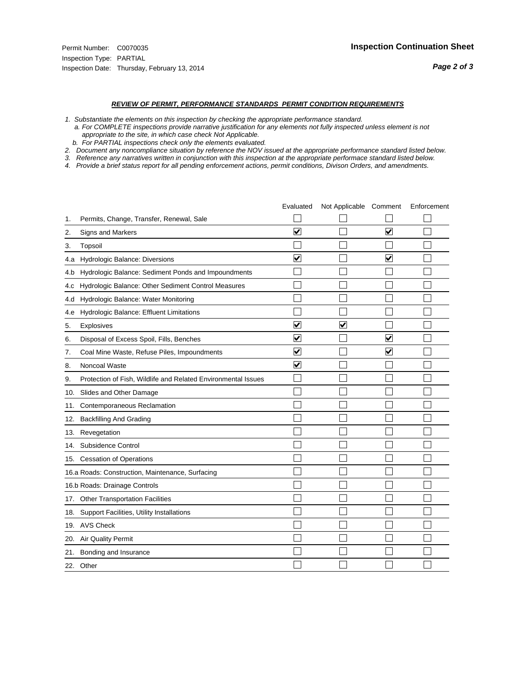#### *REVIEW OF PERMIT, PERFORMANCE STANDARDS PERMIT CONDITION REQUIREMENTS*

*1. Substantiate the elements on this inspection by checking the appropriate performance standard.*

 *a. For COMPLETE inspections provide narrative justification for any elements not fully inspected unless element is not appropriate to the site, in which case check Not Applicable.*

 *b. For PARTIAL inspections check only the elements evaluated.*

*2. Document any noncompliance situation by reference the NOV issued at the appropriate performance standard listed below.*

*3. Reference any narratives written in conjunction with this inspection at the appropriate performace standard listed below.*

|     |                                                               | Evaluated               | Not Applicable Comment  |                         | Enforcement |
|-----|---------------------------------------------------------------|-------------------------|-------------------------|-------------------------|-------------|
| 1.  | Permits, Change, Transfer, Renewal, Sale                      |                         |                         |                         |             |
| 2.  | Signs and Markers                                             | $\overline{\mathbf{v}}$ |                         | $\overline{\mathbf{v}}$ |             |
| 3.  | Topsoil                                                       |                         |                         |                         |             |
| 4.a | Hydrologic Balance: Diversions                                | $\blacktriangledown$    |                         | $\blacktriangledown$    |             |
| 4.b | Hydrologic Balance: Sediment Ponds and Impoundments           |                         |                         |                         |             |
| 4.C | Hydrologic Balance: Other Sediment Control Measures           |                         |                         |                         |             |
| 4.d | Hydrologic Balance: Water Monitoring                          |                         |                         |                         |             |
| 4.e | Hydrologic Balance: Effluent Limitations                      |                         |                         |                         |             |
| 5.  | <b>Explosives</b>                                             | $\overline{\mathbf{v}}$ | $\overline{\mathbf{v}}$ |                         |             |
| 6.  | Disposal of Excess Spoil, Fills, Benches                      | $\blacktriangledown$    |                         | ⊻                       |             |
| 7.  | Coal Mine Waste, Refuse Piles, Impoundments                   | $\overline{\mathbf{v}}$ |                         | $\overline{\mathbf{v}}$ |             |
| 8.  | Noncoal Waste                                                 | $\overline{\mathbf{v}}$ |                         |                         |             |
| 9.  | Protection of Fish, Wildlife and Related Environmental Issues |                         |                         |                         |             |
| 10. | Slides and Other Damage                                       |                         |                         |                         |             |
| 11. | Contemporaneous Reclamation                                   |                         |                         |                         |             |
| 12. | <b>Backfilling And Grading</b>                                |                         |                         |                         |             |
| 13. | Revegetation                                                  |                         |                         |                         |             |
| 14. | Subsidence Control                                            |                         |                         |                         |             |
|     | 15. Cessation of Operations                                   |                         |                         |                         |             |
|     | 16.a Roads: Construction, Maintenance, Surfacing              |                         |                         |                         |             |
|     | 16.b Roads: Drainage Controls                                 |                         |                         |                         |             |
| 17. | <b>Other Transportation Facilities</b>                        |                         |                         |                         |             |
| 18. | Support Facilities, Utility Installations                     |                         |                         |                         |             |
|     | 19. AVS Check                                                 |                         |                         |                         |             |
| 20. | Air Quality Permit                                            |                         |                         |                         |             |
| 21. | Bonding and Insurance                                         |                         |                         |                         |             |
|     | 22. Other                                                     |                         |                         |                         |             |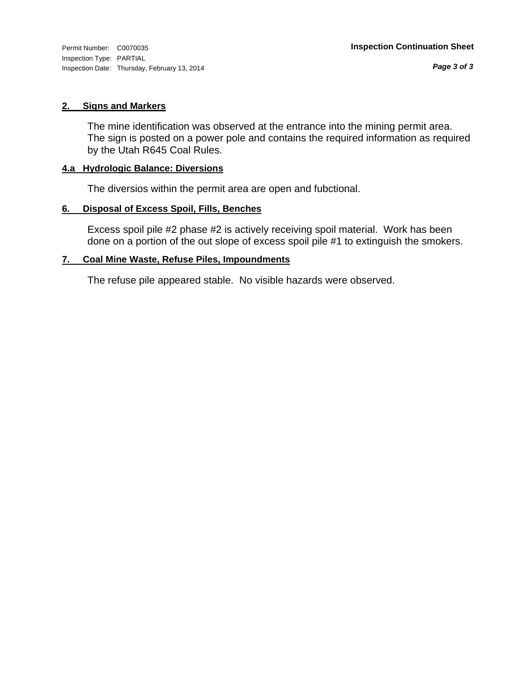Inspection Type: PARTIAL Inspection Date: Thursday, February 13, 2014

#### **2. Signs and Markers**

The mine identification was observed at the entrance into the mining permit area. The sign is posted on a power pole and contains the required information as required by the Utah R645 Coal Rules.

#### **4.a Hydrologic Balance: Diversions**

The diversios within the permit area are open and fubctional.

#### **6. Disposal of Excess Spoil, Fills, Benches**

Excess spoil pile #2 phase #2 is actively receiving spoil material. Work has been done on a portion of the out slope of excess spoil pile #1 to extinguish the smokers.

#### **7. Coal Mine Waste, Refuse Piles, Impoundments**

The refuse pile appeared stable. No visible hazards were observed.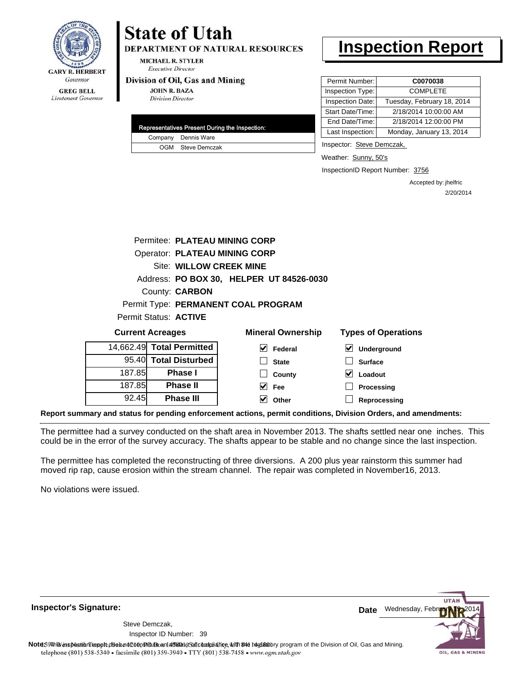

## **State of Utah**

**DEPARTMENT OF NATURAL RESOURCES** 

**MICHAEL R. STYLER Executive Director** 

#### Division of Oil, Gas and Mining

**JOHN R. BAZA Division Director** 

|  | Representatives Present During the Inspection: |
|--|------------------------------------------------|
|  | Company Dennis Ware                            |
|  | OGM Steve Demczak                              |

## **Inspection Report**

| Permit Number:   | C0070038                   |
|------------------|----------------------------|
| Inspection Type: | <b>COMPLETE</b>            |
| Inspection Date: | Tuesday, February 18, 2014 |
| Start Date/Time: | 2/18/2014 10:00:00 AM      |
| End Date/Time:   | 2/18/2014 12:00:00 PM      |
| Last Inspection: | Monday, January 13, 2014   |

Inspector: Steve Demczak,

Weather: Sunny, 50's

InspectionID Report Number: 3756

Accepted by: jhelfric 2/20/2014

|                                                                                   | Permitee: PLATEAU MINING CORP        |                                          |                  |  |  |
|-----------------------------------------------------------------------------------|--------------------------------------|------------------------------------------|------------------|--|--|
|                                                                                   | <b>Operator: PLATEAU MINING CORP</b> |                                          |                  |  |  |
|                                                                                   | Site: WILLOW CREEK MINE              |                                          |                  |  |  |
|                                                                                   |                                      | Address: PO BOX 30, HELPER UT 84526-0030 |                  |  |  |
|                                                                                   | County: <b>CARBON</b>                |                                          |                  |  |  |
|                                                                                   |                                      | Permit Type: PERMANENT COAL PROGRAM      |                  |  |  |
|                                                                                   | Permit Status: ACTIVE                |                                          |                  |  |  |
| <b>Mineral Ownership</b><br><b>Types of Operations</b><br><b>Current Acreages</b> |                                      |                                          |                  |  |  |
|                                                                                   | 14,662.49 Total Permitted            | M<br>Federal                             | M<br>Underground |  |  |
|                                                                                   | 95.40 Total Disturbed                | <b>State</b>                             | <b>Surface</b>   |  |  |
| 187.85                                                                            | <b>Phase I</b>                       | County                                   | Loadout          |  |  |
| 187.85                                                                            | <b>Phase II</b>                      | $ v $ Fee                                | Processing       |  |  |
| 92.45                                                                             | <b>Phase III</b>                     | Other                                    | Reprocessing     |  |  |

**Report summary and status for pending enforcement actions, permit conditions, Division Orders, and amendments:**

The permittee had a survey conducted on the shaft area in November 2013. The shafts settled near one inches. This could be in the error of the survey accuracy. The shafts appear to be stable and no change since the last inspection.

The permittee has completed the reconstructing of three diversions. A 200 plus year rainstorm this summer had moved rip rap, cause erosion within the stream channel. The repair was completed in November16, 2013.

No violations were issued.

**Inspector's Signature:**

39 Inspector ID Number:Steve Demczak,



Note59#h% inspection reppt does not constitute an affidavit of compliance, with the regulatory program of the Division of Oil, Gas and Mining. telephone (801) 538-5340 · facsimile (801) 359-3940 · TTY (801) 538-7458 · www.ogm.utah.gov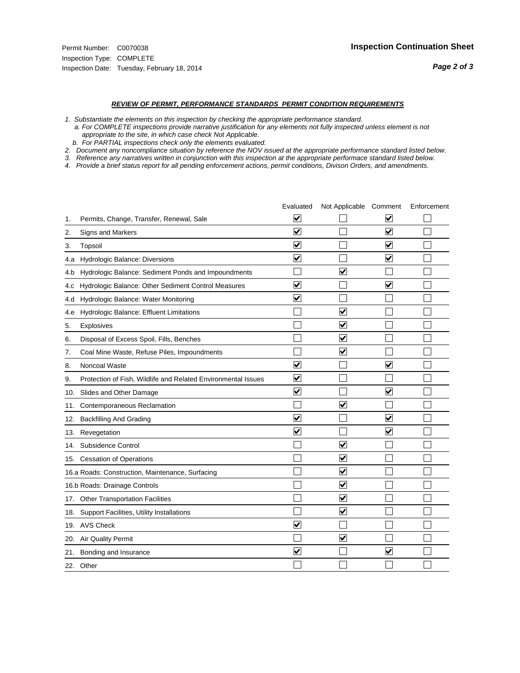#### *REVIEW OF PERMIT, PERFORMANCE STANDARDS PERMIT CONDITION REQUIREMENTS*

*1. Substantiate the elements on this inspection by checking the appropriate performance standard.*

 *a. For COMPLETE inspections provide narrative justification for any elements not fully inspected unless element is not appropriate to the site, in which case check Not Applicable.*

 *b. For PARTIAL inspections check only the elements evaluated.*

*2. Document any noncompliance situation by reference the NOV issued at the appropriate performance standard listed below.*

*3. Reference any narratives written in conjunction with this inspection at the appropriate performace standard listed below.*

|     |                                                               | Evaluated               | Not Applicable Comment          |                         | Enforcement |
|-----|---------------------------------------------------------------|-------------------------|---------------------------------|-------------------------|-------------|
| 1.  | Permits, Change, Transfer, Renewal, Sale                      | ⊻                       |                                 | V                       |             |
| 2.  | Signs and Markers                                             | $\overline{\mathbf{v}}$ |                                 | $\blacktriangledown$    |             |
| 3.  | Topsoil                                                       | $\overline{\mathbf{v}}$ |                                 | $\overline{\mathbf{v}}$ |             |
| 4.a | <b>Hydrologic Balance: Diversions</b>                         | $\overline{\mathsf{v}}$ |                                 | $\blacktriangledown$    |             |
| 4.b | Hydrologic Balance: Sediment Ponds and Impoundments           |                         | $\overline{\mathbf{v}}$         |                         |             |
| 4.C | Hydrologic Balance: Other Sediment Control Measures           | $\overline{\mathbf{v}}$ |                                 | $\blacktriangledown$    |             |
| 4.d | Hydrologic Balance: Water Monitoring                          | $\overline{\mathbf{v}}$ |                                 |                         |             |
| 4.e | Hydrologic Balance: Effluent Limitations                      |                         | $\overline{\blacktriangledown}$ |                         |             |
| 5.  | <b>Explosives</b>                                             |                         | $\blacktriangledown$            |                         |             |
| 6.  | Disposal of Excess Spoil, Fills, Benches                      |                         | $\blacktriangledown$            |                         |             |
| 7.  | Coal Mine Waste, Refuse Piles, Impoundments                   |                         | $\blacktriangledown$            |                         |             |
| 8.  | Noncoal Waste                                                 | $\overline{\mathsf{v}}$ |                                 | $\blacktriangledown$    |             |
| 9.  | Protection of Fish, Wildlife and Related Environmental Issues | $\blacktriangledown$    |                                 |                         |             |
| 10. | Slides and Other Damage                                       | $\overline{\mathbf{v}}$ |                                 | ⊽                       |             |
| 11. | Contemporaneous Reclamation                                   |                         | $\blacktriangledown$            |                         |             |
| 12. | <b>Backfilling And Grading</b>                                | $\overline{\mathbf{v}}$ |                                 | $\blacktriangledown$    |             |
| 13. | Revegetation                                                  | $\overline{\mathbf{v}}$ |                                 | $\overline{\mathbf{v}}$ |             |
| 14. | Subsidence Control                                            |                         | $\overline{\mathbf{v}}$         |                         |             |
|     | 15. Cessation of Operations                                   |                         | $\blacktriangledown$            |                         |             |
|     | 16.a Roads: Construction, Maintenance, Surfacing              |                         | $\overline{\mathbf{v}}$         |                         |             |
|     | 16.b Roads: Drainage Controls                                 |                         | $\blacktriangledown$            |                         |             |
| 17. | <b>Other Transportation Facilities</b>                        |                         | $\overline{\blacktriangledown}$ |                         |             |
| 18. | Support Facilities, Utility Installations                     |                         | $\overline{\blacktriangledown}$ |                         |             |
|     | 19. AVS Check                                                 | $\overline{\mathbf{v}}$ |                                 |                         |             |
| 20. | Air Quality Permit                                            |                         | $\blacktriangledown$            |                         |             |
| 21. | Bonding and Insurance                                         | $\overline{\mathbf{v}}$ |                                 | $\blacktriangledown$    |             |
|     | 22. Other                                                     |                         |                                 |                         |             |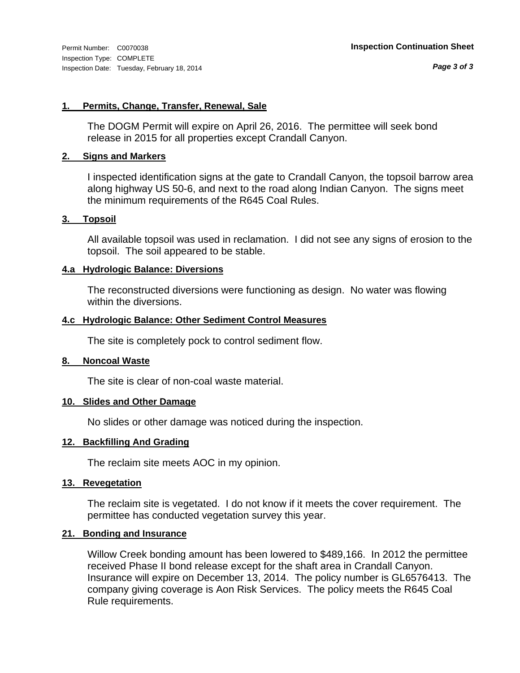#### **1. Permits, Change, Transfer, Renewal, Sale**

The DOGM Permit will expire on April 26, 2016. The permittee will seek bond release in 2015 for all properties except Crandall Canyon.

#### **2. Signs and Markers**

I inspected identification signs at the gate to Crandall Canyon, the topsoil barrow area along highway US 50-6, and next to the road along Indian Canyon. The signs meet the minimum requirements of the R645 Coal Rules.

#### **3. Topsoil**

All available topsoil was used in reclamation. I did not see any signs of erosion to the topsoil. The soil appeared to be stable.

#### **4.a Hydrologic Balance: Diversions**

The reconstructed diversions were functioning as design. No water was flowing within the diversions.

#### **4.c Hydrologic Balance: Other Sediment Control Measures**

The site is completely pock to control sediment flow.

#### **8. Noncoal Waste**

The site is clear of non-coal waste material.

#### **10. Slides and Other Damage**

No slides or other damage was noticed during the inspection.

#### **12. Backfilling And Grading**

The reclaim site meets AOC in my opinion.

#### **13. Revegetation**

The reclaim site is vegetated. I do not know if it meets the cover requirement. The permittee has conducted vegetation survey this year.

#### **21. Bonding and Insurance**

Willow Creek bonding amount has been lowered to \$489,166. In 2012 the permittee received Phase II bond release except for the shaft area in Crandall Canyon. Insurance will expire on December 13, 2014. The policy number is GL6576413. The company giving coverage is Aon Risk Services. The policy meets the R645 Coal Rule requirements.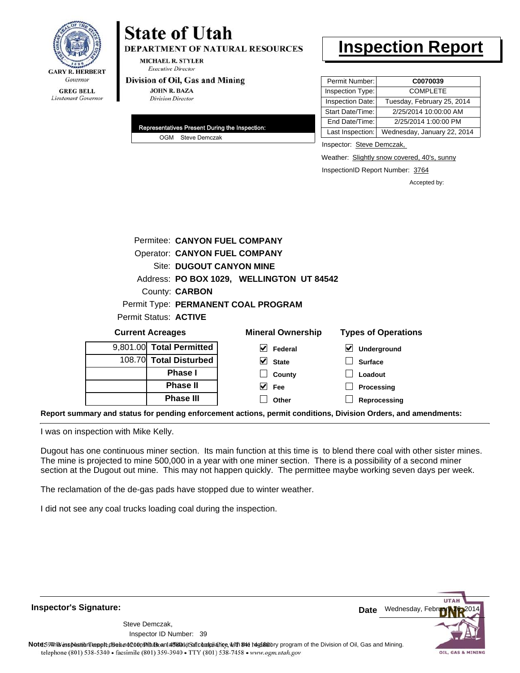

## **State of Utah**

**DEPARTMENT OF NATURAL RESOURCES** 

**MICHAEL R. STYLER Executive Director** 

#### Division of Oil, Gas and Mining

**JOHN R. BAZA Division Director** 

| Representatives Present During the Inspection: |
|------------------------------------------------|
| OGM Steve Demczak                              |

## **Inspection Report**

| Permit Number:   | C0070039                    |
|------------------|-----------------------------|
| Inspection Type: | <b>COMPLETE</b>             |
| Inspection Date: | Tuesday, February 25, 2014  |
| Start Date/Time: | 2/25/2014 10:00:00 AM       |
| End Date/Time:   | 2/25/2014 1:00:00 PM        |
| Last Inspection: | Wednesday, January 22, 2014 |

Inspector: Steve Demczak,

Weather: Slightly snow covered, 40's, sunny

InspectionID Report Number: 3764

**Reprocessing**

Accepted by:

|                         |                          |                              | Permitee: CANYON FUEL COMPANY        |                                           |   |                            |  |
|-------------------------|--------------------------|------------------------------|--------------------------------------|-------------------------------------------|---|----------------------------|--|
|                         |                          |                              | <b>Operator: CANYON FUEL COMPANY</b> |                                           |   |                            |  |
|                         | Site: DUGOUT CANYON MINE |                              |                                      |                                           |   |                            |  |
|                         |                          |                              |                                      | Address: PO BOX 1029, WELLINGTON UT 84542 |   |                            |  |
|                         |                          | County: <b>CARBON</b>        |                                      |                                           |   |                            |  |
|                         |                          |                              | Permit Type: PERMANENT COAL PROGRAM  |                                           |   |                            |  |
|                         |                          | Permit Status: <b>ACTIVE</b> |                                      |                                           |   |                            |  |
| <b>Current Acreages</b> |                          |                              |                                      | <b>Mineral Ownership</b>                  |   | <b>Types of Operations</b> |  |
|                         |                          | 9,801.00 Total Permitted     | M                                    | Federal                                   | ⊻ | Underground                |  |
|                         |                          | 108.70 Total Disturbed       | V                                    | <b>State</b>                              |   | <b>Surface</b>             |  |
|                         |                          | <b>Phase I</b>               |                                      | County                                    |   | Loadout                    |  |
|                         |                          | <b>Phase II</b>              |                                      | Fee                                       |   | Processing                 |  |

**Fee Other**

**Report summary and status for pending enforcement actions, permit conditions, Division Orders, and amendments:**

I was on inspection with Mike Kelly.

Dugout has one continuous miner section. Its main function at this time is to blend there coal with other sister mines. The mine is projected to mine 500,000 in a year with one miner section. There is a possibility of a second miner section at the Dugout out mine. This may not happen quickly. The permittee maybe working seven days per week.

The reclamation of the de-gas pads have stopped due to winter weather.

**Phase III**

I did not see any coal trucks loading coal during the inspection.

**Inspector's Signature:**

39 Inspector ID Number:Steve Demczak,



Note59#h% inspection reppt does not constitute an affidavit of compliance, with the regulatory program of the Division of Oil, Gas and Mining. telephone (801) 538-5340 · facsimile (801) 359-3940 · TTY (801) 538-7458 · www.ogm.utah.gov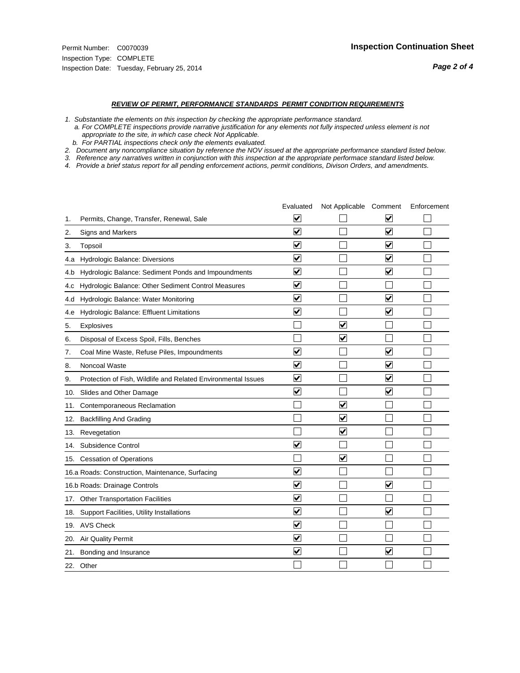#### *REVIEW OF PERMIT, PERFORMANCE STANDARDS PERMIT CONDITION REQUIREMENTS*

*1. Substantiate the elements on this inspection by checking the appropriate performance standard.*

 *a. For COMPLETE inspections provide narrative justification for any elements not fully inspected unless element is not appropriate to the site, in which case check Not Applicable.*

 *b. For PARTIAL inspections check only the elements evaluated.*

*2. Document any noncompliance situation by reference the NOV issued at the appropriate performance standard listed below.*

*3. Reference any narratives written in conjunction with this inspection at the appropriate performace standard listed below.*

|     |                                                               | Evaluated               | Not Applicable Comment  |                         | Enforcement |
|-----|---------------------------------------------------------------|-------------------------|-------------------------|-------------------------|-------------|
| 1.  | Permits, Change, Transfer, Renewal, Sale                      | ⊻                       |                         | V                       |             |
| 2.  | Signs and Markers                                             | $\overline{\mathbf{v}}$ |                         | $\blacktriangledown$    |             |
| 3.  | Topsoil                                                       | $\overline{\mathbf{v}}$ |                         | $\overline{\mathbf{v}}$ |             |
| 4.a | <b>Hydrologic Balance: Diversions</b>                         | $\overline{\mathsf{v}}$ |                         | $\blacktriangledown$    |             |
| 4.b | Hydrologic Balance: Sediment Ponds and Impoundments           | $\blacktriangledown$    |                         | $\blacktriangledown$    |             |
| 4.C | Hydrologic Balance: Other Sediment Control Measures           | $\checkmark$            |                         |                         |             |
| 4.d | Hydrologic Balance: Water Monitoring                          | $\overline{\mathbf{v}}$ |                         | $\blacktriangledown$    |             |
| 4.e | Hydrologic Balance: Effluent Limitations                      | $\overline{\mathbf{v}}$ |                         | $\blacktriangledown$    |             |
| 5.  | <b>Explosives</b>                                             |                         | $\overline{\mathbf{v}}$ |                         |             |
| 6.  | Disposal of Excess Spoil, Fills, Benches                      |                         | $\blacktriangledown$    |                         |             |
| 7.  | Coal Mine Waste, Refuse Piles, Impoundments                   | $\overline{\mathsf{v}}$ |                         | $\overline{\mathbf{v}}$ |             |
| 8.  | Noncoal Waste                                                 | $\overline{\mathbf{v}}$ |                         | $\blacktriangledown$    |             |
| 9.  | Protection of Fish, Wildlife and Related Environmental Issues | $\blacktriangledown$    |                         | $\blacktriangledown$    |             |
| 10. | Slides and Other Damage                                       | $\overline{\mathsf{v}}$ |                         | $\blacktriangledown$    |             |
| 11. | Contemporaneous Reclamation                                   |                         | $\blacktriangledown$    |                         |             |
| 12. | <b>Backfilling And Grading</b>                                |                         | $\overline{\mathbf{v}}$ |                         |             |
| 13. | Revegetation                                                  |                         | $\overline{\mathbf{v}}$ |                         |             |
| 14. | Subsidence Control                                            | $\overline{\mathbf{v}}$ |                         |                         |             |
|     | 15. Cessation of Operations                                   |                         | $\blacktriangledown$    |                         |             |
|     | 16.a Roads: Construction, Maintenance, Surfacing              | ⊽                       |                         |                         |             |
|     | 16.b Roads: Drainage Controls                                 | $\blacktriangledown$    |                         | $\overline{\mathbf{v}}$ |             |
| 17. | <b>Other Transportation Facilities</b>                        | $\overline{\mathbf{v}}$ |                         |                         |             |
| 18. | Support Facilities, Utility Installations                     | $\overline{\mathbf{v}}$ |                         | $\overline{\mathbf{v}}$ |             |
|     | 19. AVS Check                                                 | $\overline{\mathbf{v}}$ |                         |                         |             |
| 20. | <b>Air Quality Permit</b>                                     | $\checkmark$            |                         |                         |             |
| 21. | Bonding and Insurance                                         | $\overline{\mathbf{v}}$ |                         | $\blacktriangledown$    |             |
|     | 22. Other                                                     |                         |                         |                         |             |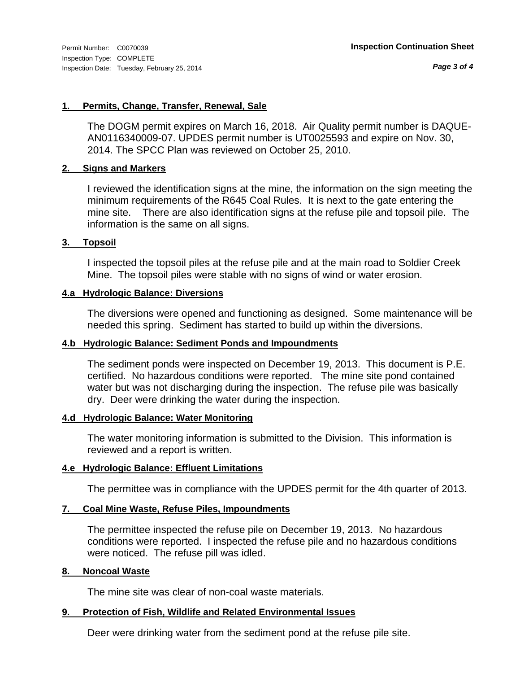*Page 3 of 4*

#### **1. Permits, Change, Transfer, Renewal, Sale**

The DOGM permit expires on March 16, 2018. Air Quality permit number is DAQUE-AN0116340009-07. UPDES permit number is UT0025593 and expire on Nov. 30, 2014. The SPCC Plan was reviewed on October 25, 2010.

#### **2. Signs and Markers**

I reviewed the identification signs at the mine, the information on the sign meeting the minimum requirements of the R645 Coal Rules. It is next to the gate entering the mine site. There are also identification signs at the refuse pile and topsoil pile. The information is the same on all signs.

#### **3. Topsoil**

I inspected the topsoil piles at the refuse pile and at the main road to Soldier Creek Mine. The topsoil piles were stable with no signs of wind or water erosion.

#### **4.a Hydrologic Balance: Diversions**

The diversions were opened and functioning as designed. Some maintenance will be needed this spring. Sediment has started to build up within the diversions.

#### **4.b Hydrologic Balance: Sediment Ponds and Impoundments**

The sediment ponds were inspected on December 19, 2013. This document is P.E. certified. No hazardous conditions were reported. The mine site pond contained water but was not discharging during the inspection. The refuse pile was basically dry. Deer were drinking the water during the inspection.

#### **4.d Hydrologic Balance: Water Monitoring**

The water monitoring information is submitted to the Division. This information is reviewed and a report is written.

#### **4.e Hydrologic Balance: Effluent Limitations**

The permittee was in compliance with the UPDES permit for the 4th quarter of 2013.

#### **7. Coal Mine Waste, Refuse Piles, Impoundments**

The permittee inspected the refuse pile on December 19, 2013. No hazardous conditions were reported. I inspected the refuse pile and no hazardous conditions were noticed. The refuse pill was idled.

#### **8. Noncoal Waste**

The mine site was clear of non-coal waste materials.

#### **9. Protection of Fish, Wildlife and Related Environmental Issues**

Deer were drinking water from the sediment pond at the refuse pile site.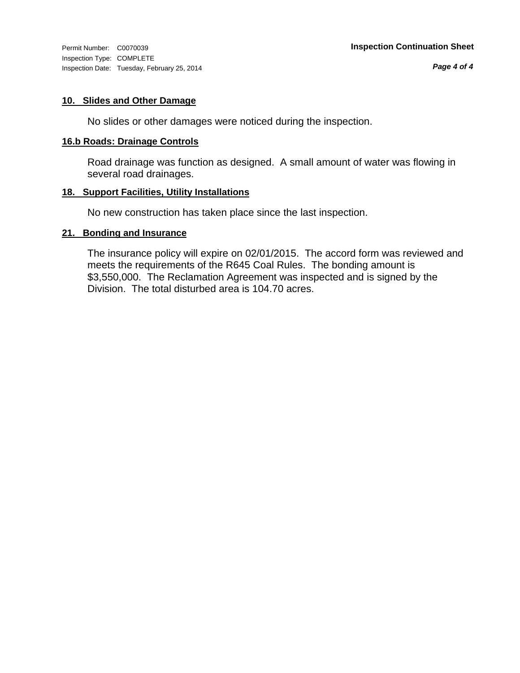Inspection Type: COMPLETE Inspection Date: Tuesday, February 25, 2014

#### **10. Slides and Other Damage**

No slides or other damages were noticed during the inspection.

#### **16.b Roads: Drainage Controls**

Road drainage was function as designed. A small amount of water was flowing in several road drainages.

#### **18. Support Facilities, Utility Installations**

No new construction has taken place since the last inspection.

#### **21. Bonding and Insurance**

The insurance policy will expire on 02/01/2015. The accord form was reviewed and meets the requirements of the R645 Coal Rules. The bonding amount is \$3,550,000. The Reclamation Agreement was inspected and is signed by the Division. The total disturbed area is 104.70 acres.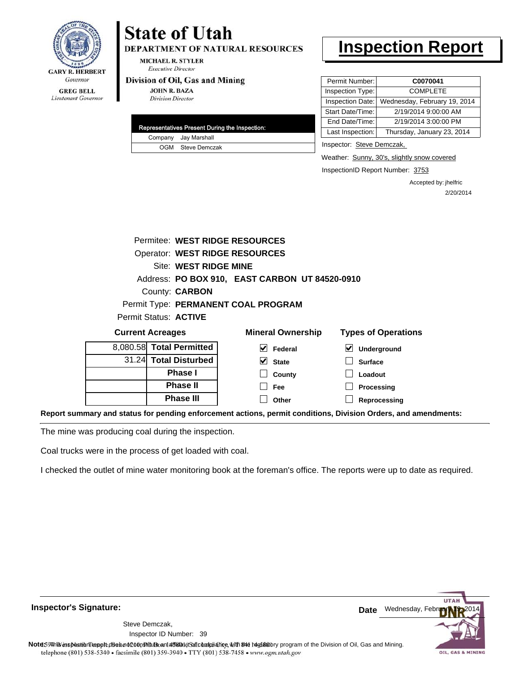

## **State of Utah**

DEPARTMENT OF NATURAL RESOURCES

**MICHAEL R. STYLER Executive Director** 

#### Division of Oil, Gas and Mining

**JOHN R. BAZA Division Director** 

| Representatives Present During the Inspection: |                      |  |  |
|------------------------------------------------|----------------------|--|--|
|                                                | Company Jay Marshall |  |  |
|                                                | OGM Steve Demczak    |  |  |

## **Inspection Report**

| Permit Number:   | C0070041                     |
|------------------|------------------------------|
| Inspection Type: | <b>COMPLETE</b>              |
| Inspection Date: | Wednesday, February 19, 2014 |
| Start Date/Time: | 2/19/2014 9:00:00 AM         |
| End Date/Time:   | 2/19/2014 3:00:00 PM         |
| Last Inspection: | Thursday, January 23, 2014   |
|                  |                              |

Inspector: Steve Demczak,

Weather: Sunny, 30's, slightly snow covered

InspectionID Report Number: 3753

Accepted by: jhelfric 2/20/2014

|                                                | Permitee: WEST RIDGE RESOURCES        |                                                                                                                |  |  |
|------------------------------------------------|---------------------------------------|----------------------------------------------------------------------------------------------------------------|--|--|
|                                                | <b>Operator: WEST RIDGE RESOURCES</b> |                                                                                                                |  |  |
|                                                | Site: WEST RIDGE MINE                 |                                                                                                                |  |  |
| Address: PO BOX 910, EAST CARBON UT 84520-0910 |                                       |                                                                                                                |  |  |
| County: <b>CARBON</b>                          |                                       |                                                                                                                |  |  |
|                                                | Permit Type: PERMANENT COAL PROGRAM   |                                                                                                                |  |  |
| Permit Status: ACTIVE                          |                                       |                                                                                                                |  |  |
| <b>Current Acreages</b>                        | <b>Mineral Ownership</b>              | <b>Types of Operations</b>                                                                                     |  |  |
| 8,080.58 Total Permitted                       | $\sqrt{\phantom{a}}$ Federal          | $\vert\mathbf{v}\vert$<br>Underground                                                                          |  |  |
| 31.24 Total Disturbed                          | $\vee$ State                          | <b>Surface</b>                                                                                                 |  |  |
| <b>Phase I</b>                                 | County                                | Loadout                                                                                                        |  |  |
| <b>Phase II</b>                                | <b>Fee</b>                            | Processing                                                                                                     |  |  |
| <b>Phase III</b>                               | Other                                 | Reprocessing                                                                                                   |  |  |
|                                                |                                       | Report summary and status for pending enforcement actions, permit conditions, Division Orders, and amendments: |  |  |

The mine was producing coal during the inspection.

Coal trucks were in the process of get loaded with coal.

I checked the outlet of mine water monitoring book at the foreman's office. The reports were up to date as required.

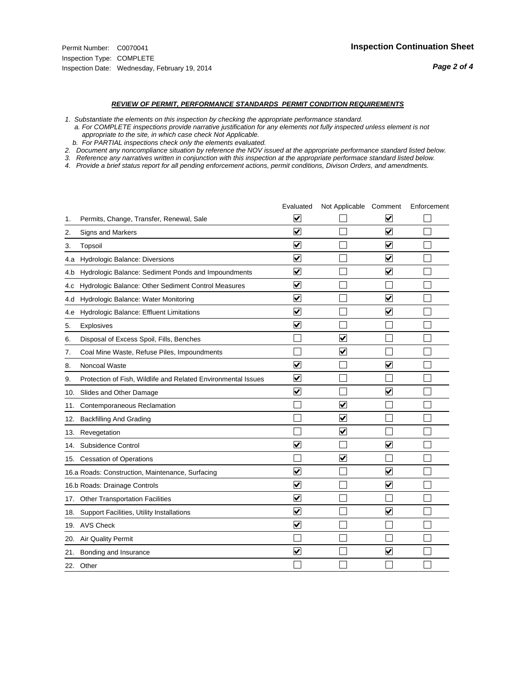#### *REVIEW OF PERMIT, PERFORMANCE STANDARDS PERMIT CONDITION REQUIREMENTS*

*1. Substantiate the elements on this inspection by checking the appropriate performance standard.*

 *a. For COMPLETE inspections provide narrative justification for any elements not fully inspected unless element is not appropriate to the site, in which case check Not Applicable.*

 *b. For PARTIAL inspections check only the elements evaluated.*

*2. Document any noncompliance situation by reference the NOV issued at the appropriate performance standard listed below.*

*3. Reference any narratives written in conjunction with this inspection at the appropriate performace standard listed below.*

|     |                                                               | Evaluated               | Not Applicable Comment  |                         | Enforcement |
|-----|---------------------------------------------------------------|-------------------------|-------------------------|-------------------------|-------------|
| 1.  | Permits, Change, Transfer, Renewal, Sale                      | ⊻                       |                         | V                       |             |
| 2.  | Signs and Markers                                             | $\overline{\mathbf{v}}$ |                         | $\blacktriangledown$    |             |
| 3.  | Topsoil                                                       | $\overline{\mathbf{v}}$ |                         | $\overline{\mathbf{v}}$ |             |
| 4.a | <b>Hydrologic Balance: Diversions</b>                         | $\overline{\mathsf{v}}$ |                         | $\blacktriangledown$    |             |
| 4.b | Hydrologic Balance: Sediment Ponds and Impoundments           | $\blacktriangledown$    |                         | $\blacktriangledown$    |             |
| 4.C | Hydrologic Balance: Other Sediment Control Measures           | $\checkmark$            |                         |                         |             |
| 4.d | Hydrologic Balance: Water Monitoring                          | $\overline{\mathbf{v}}$ |                         | $\blacktriangledown$    |             |
| 4.e | Hydrologic Balance: Effluent Limitations                      | $\overline{\mathbf{v}}$ |                         | $\blacktriangledown$    |             |
| 5.  | <b>Explosives</b>                                             | $\overline{\mathbf{v}}$ |                         |                         |             |
| 6.  | Disposal of Excess Spoil, Fills, Benches                      |                         | $\blacktriangledown$    |                         |             |
| 7.  | Coal Mine Waste, Refuse Piles, Impoundments                   |                         | $\blacktriangledown$    |                         |             |
| 8.  | Noncoal Waste                                                 | $\overline{\mathsf{v}}$ |                         | $\blacktriangledown$    |             |
| 9.  | Protection of Fish, Wildlife and Related Environmental Issues | $\blacktriangledown$    |                         |                         |             |
| 10. | Slides and Other Damage                                       | $\overline{\mathsf{v}}$ |                         | ⊽                       |             |
| 11. | Contemporaneous Reclamation                                   |                         | $\blacktriangledown$    |                         |             |
| 12. | <b>Backfilling And Grading</b>                                |                         | $\overline{\mathbf{v}}$ |                         |             |
| 13. | Revegetation                                                  |                         | $\overline{\mathbf{v}}$ |                         |             |
| 14. | Subsidence Control                                            | $\overline{\mathbf{v}}$ |                         | $\blacktriangledown$    |             |
|     | 15. Cessation of Operations                                   |                         | $\blacktriangledown$    |                         |             |
|     | 16.a Roads: Construction, Maintenance, Surfacing              | ⊽                       |                         | $\blacktriangledown$    |             |
|     | 16.b Roads: Drainage Controls                                 | $\blacktriangledown$    |                         | $\overline{\mathbf{v}}$ |             |
| 17. | <b>Other Transportation Facilities</b>                        | $\overline{\mathbf{v}}$ |                         |                         |             |
| 18. | Support Facilities, Utility Installations                     | $\overline{\mathbf{v}}$ |                         | $\overline{\mathbf{v}}$ |             |
|     | 19. AVS Check                                                 | $\overline{\mathbf{v}}$ |                         |                         |             |
| 20. | <b>Air Quality Permit</b>                                     |                         |                         |                         |             |
| 21. | Bonding and Insurance                                         | $\overline{\mathbf{v}}$ |                         | $\blacktriangledown$    |             |
|     | 22. Other                                                     |                         |                         |                         |             |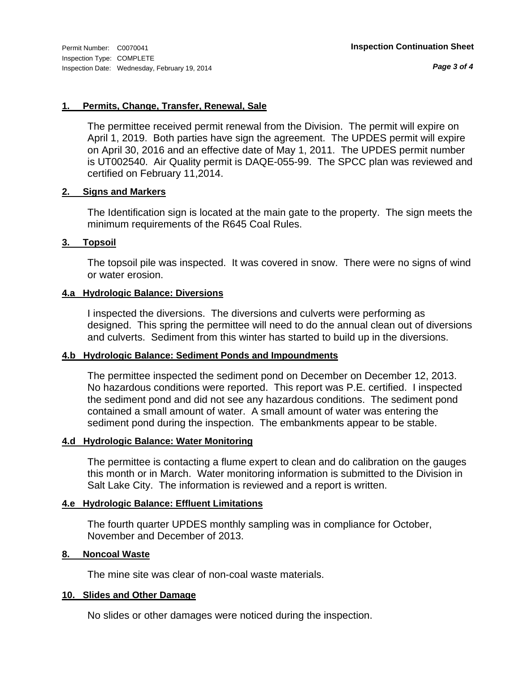*Page 3 of 4*

#### **1. Permits, Change, Transfer, Renewal, Sale**

The permittee received permit renewal from the Division. The permit will expire on April 1, 2019. Both parties have sign the agreement. The UPDES permit will expire on April 30, 2016 and an effective date of May 1, 2011. The UPDES permit number is UT002540. Air Quality permit is DAQE-055-99. The SPCC plan was reviewed and certified on February 11,2014.

#### **2. Signs and Markers**

The Identification sign is located at the main gate to the property. The sign meets the minimum requirements of the R645 Coal Rules.

#### **3. Topsoil**

The topsoil pile was inspected. It was covered in snow. There were no signs of wind or water erosion.

#### **4.a Hydrologic Balance: Diversions**

I inspected the diversions. The diversions and culverts were performing as designed. This spring the permittee will need to do the annual clean out of diversions and culverts. Sediment from this winter has started to build up in the diversions.

#### **4.b Hydrologic Balance: Sediment Ponds and Impoundments**

The permittee inspected the sediment pond on December on December 12, 2013. No hazardous conditions were reported. This report was P.E. certified. I inspected the sediment pond and did not see any hazardous conditions. The sediment pond contained a small amount of water. A small amount of water was entering the sediment pond during the inspection. The embankments appear to be stable.

#### **4.d Hydrologic Balance: Water Monitoring**

The permittee is contacting a flume expert to clean and do calibration on the gauges this month or in March. Water monitoring information is submitted to the Division in Salt Lake City. The information is reviewed and a report is written.

#### **4.e Hydrologic Balance: Effluent Limitations**

The fourth quarter UPDES monthly sampling was in compliance for October, November and December of 2013.

#### **8. Noncoal Waste**

The mine site was clear of non-coal waste materials.

#### **10. Slides and Other Damage**

No slides or other damages were noticed during the inspection.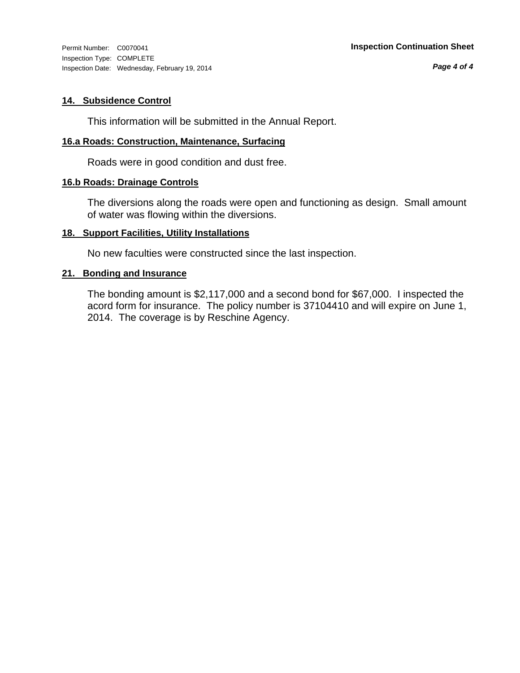Inspection Type: COMPLETE Inspection Date: Wednesday, February 19, 2014

#### **14. Subsidence Control**

This information will be submitted in the Annual Report.

#### **16.a Roads: Construction, Maintenance, Surfacing**

Roads were in good condition and dust free.

#### **16.b Roads: Drainage Controls**

The diversions along the roads were open and functioning as design. Small amount of water was flowing within the diversions.

#### **18. Support Facilities, Utility Installations**

No new faculties were constructed since the last inspection.

#### **21. Bonding and Insurance**

The bonding amount is \$2,117,000 and a second bond for \$67,000. I inspected the acord form for insurance. The policy number is 37104410 and will expire on June 1, 2014. The coverage is by Reschine Agency.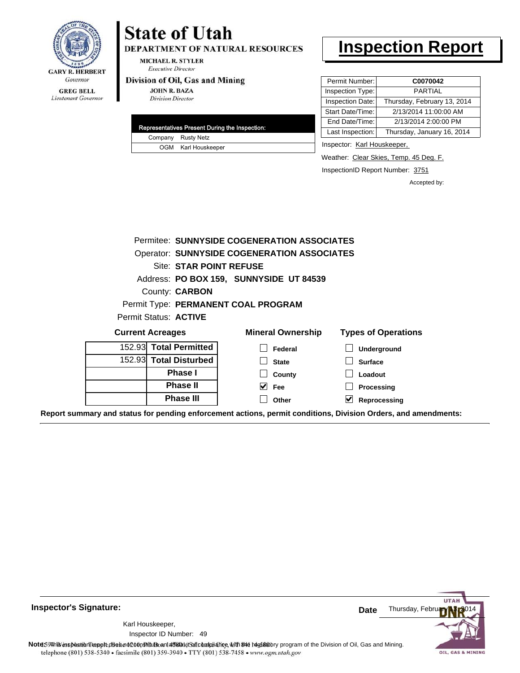

## **State of Utah**

DEPARTMENT OF NATURAL RESOURCES

**MICHAEL R. STYLER Executive Director** 

#### Division of Oil, Gas and Mining

**JOHN R. BAZA Division Director** 

| Representatives Present During the Inspection: |                     |  |  |
|------------------------------------------------|---------------------|--|--|
|                                                | Company Rusty Netz  |  |  |
|                                                | OGM Karl Houskeeper |  |  |

## **Inspection Report**

| Permit Number:   | C0070042                    |
|------------------|-----------------------------|
| Inspection Type: | <b>PARTIAL</b>              |
| Inspection Date: | Thursday, February 13, 2014 |
| Start Date/Time: | 2/13/2014 11:00:00 AM       |
| End Date/Time:   | 2/13/2014 2:00:00 PM        |
| Last Inspection: | Thursday, January 16, 2014  |

Inspector: Karl Houskeeper,

Weather: Clear Skies, Temp. 45 Deg. F.

InspectionID Report Number: 3751

Accepted by:

|                         | Permitee: SUNNYSIDE COGENERATION ASSOCIATES        |                            |
|-------------------------|----------------------------------------------------|----------------------------|
|                         | <b>Operator: SUNNYSIDE COGENERATION ASSOCIATES</b> |                            |
| Site: STAR POINT REFUSE |                                                    |                            |
|                         | Address: PO BOX 159, SUNNYSIDE UT 84539            |                            |
| County: <b>CARBON</b>   |                                                    |                            |
|                         | Permit Type: PERMANENT COAL PROGRAM                |                            |
| Permit Status: ACTIVE   |                                                    |                            |
| <b>Current Acreages</b> | <b>Mineral Ownership</b>                           | <b>Types of Operations</b> |
| 152.93 Total Permitted  | Federal                                            | Underground                |
| 152.93 Total Disturbed  | <b>State</b>                                       | <b>Surface</b>             |
| <b>Phase I</b>          | County                                             | Loadout                    |
| <b>Phase II</b>         | M<br>Fee                                           | Processing                 |
| <b>Phase III</b>        | Other                                              | Reprocessing               |

**Report summary and status for pending enforcement actions, permit conditions, Division Orders, and amendments:**

**Inspector's Signature:**

49 Inspector ID Number:Karl Houskeeper,



Note: This inspection report does not constitute and affidavitof compliance, with the regulatory program of the Division of Oil, Gas and Mining. telephone (801) 538-5340 · facsimile (801) 359-3940 · TTY (801) 538-7458 · www.ogm.utah.gov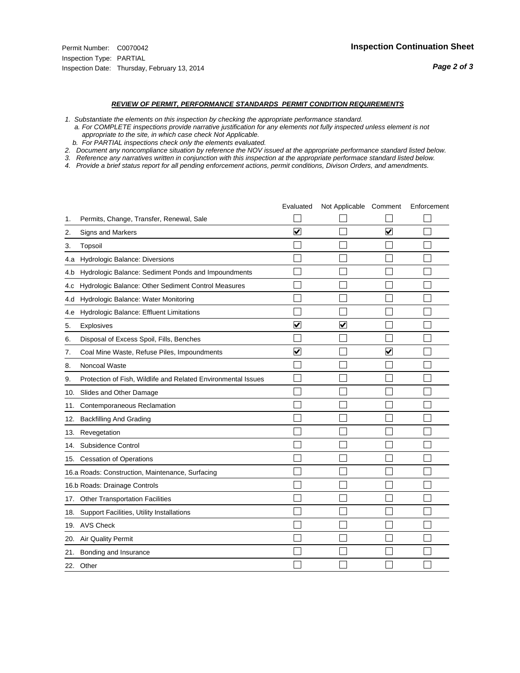#### *REVIEW OF PERMIT, PERFORMANCE STANDARDS PERMIT CONDITION REQUIREMENTS*

*1. Substantiate the elements on this inspection by checking the appropriate performance standard.*

 *a. For COMPLETE inspections provide narrative justification for any elements not fully inspected unless element is not appropriate to the site, in which case check Not Applicable.*

 *b. For PARTIAL inspections check only the elements evaluated.*

*2. Document any noncompliance situation by reference the NOV issued at the appropriate performance standard listed below.*

*3. Reference any narratives written in conjunction with this inspection at the appropriate performace standard listed below.*

|     |                                                               | Evaluated               | Not Applicable Comment  |                         | Enforcement |
|-----|---------------------------------------------------------------|-------------------------|-------------------------|-------------------------|-------------|
| 1.  | Permits, Change, Transfer, Renewal, Sale                      |                         |                         |                         |             |
| 2.  | <b>Signs and Markers</b>                                      | $\overline{\mathbf{v}}$ |                         | $\overline{\mathbf{v}}$ |             |
| 3.  | Topsoil                                                       |                         |                         |                         |             |
| 4.a | Hydrologic Balance: Diversions                                |                         |                         |                         |             |
| 4.b | Hydrologic Balance: Sediment Ponds and Impoundments           |                         |                         |                         |             |
| 4.C | Hydrologic Balance: Other Sediment Control Measures           |                         |                         |                         |             |
| 4.d | Hydrologic Balance: Water Monitoring                          |                         |                         |                         |             |
| 4.e | Hydrologic Balance: Effluent Limitations                      |                         |                         |                         |             |
| 5.  | Explosives                                                    | $\overline{\mathbf{v}}$ | $\overline{\mathbf{v}}$ |                         |             |
| 6.  | Disposal of Excess Spoil, Fills, Benches                      |                         |                         |                         |             |
| 7.  | Coal Mine Waste, Refuse Piles, Impoundments                   | $\overline{\mathbf{v}}$ |                         | $\overline{\mathsf{v}}$ |             |
| 8.  | Noncoal Waste                                                 |                         |                         |                         |             |
| 9.  | Protection of Fish, Wildlife and Related Environmental Issues |                         |                         |                         |             |
| 10. | Slides and Other Damage                                       |                         |                         |                         |             |
| 11. | Contemporaneous Reclamation                                   |                         |                         |                         |             |
| 12. | <b>Backfilling And Grading</b>                                |                         |                         |                         |             |
| 13. | Revegetation                                                  |                         |                         |                         |             |
| 14. | Subsidence Control                                            |                         |                         |                         |             |
| 15. | <b>Cessation of Operations</b>                                |                         |                         |                         |             |
|     | 16.a Roads: Construction, Maintenance, Surfacing              |                         |                         |                         |             |
|     | 16.b Roads: Drainage Controls                                 |                         |                         |                         |             |
| 17. | <b>Other Transportation Facilities</b>                        |                         |                         |                         |             |
| 18. | Support Facilities, Utility Installations                     |                         |                         |                         |             |
|     | 19. AVS Check                                                 |                         |                         |                         |             |
| 20. | Air Quality Permit                                            |                         |                         |                         |             |
| 21. | Bonding and Insurance                                         |                         |                         |                         |             |
|     | 22. Other                                                     |                         |                         |                         |             |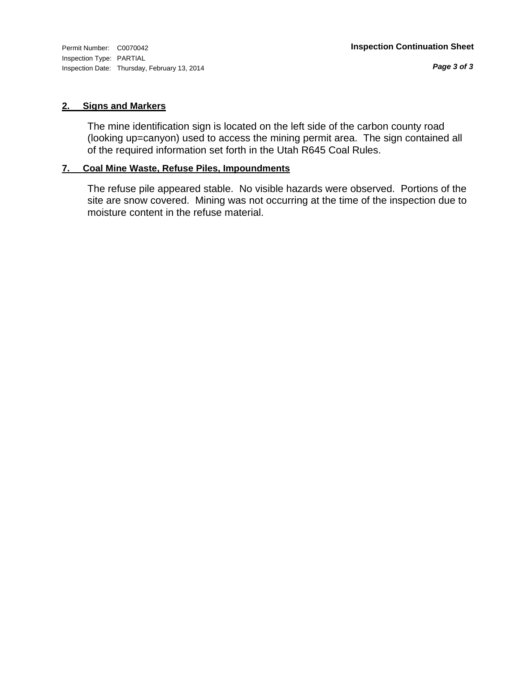#### **2. Signs and Markers**

The mine identification sign is located on the left side of the carbon county road (looking up=canyon) used to access the mining permit area. The sign contained all of the required information set forth in the Utah R645 Coal Rules.

#### **7. Coal Mine Waste, Refuse Piles, Impoundments**

The refuse pile appeared stable. No visible hazards were observed. Portions of the site are snow covered. Mining was not occurring at the time of the inspection due to moisture content in the refuse material.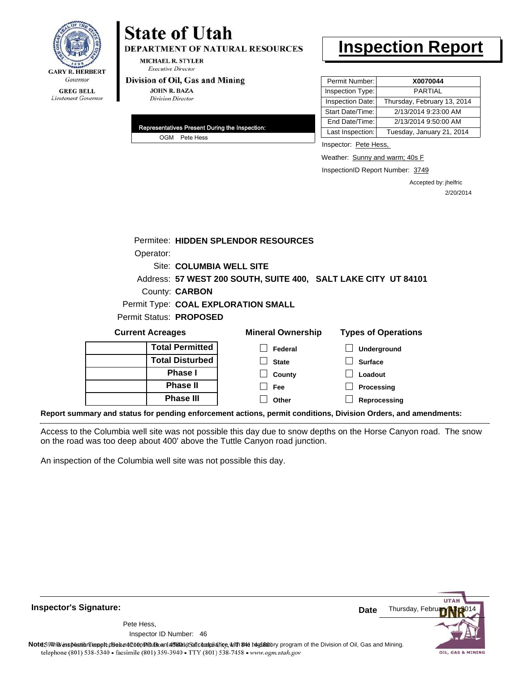

## **State of Utah**

**DEPARTMENT OF NATURAL RESOURCES** 

**MICHAEL R. STYLER Executive Director** 

#### Division of Oil, Gas and Mining

**JOHN R. BAZA Division Director** 

| Representatives Present During the Inspection: |
|------------------------------------------------|
| OGM Pete Hess                                  |

## **Inspection Report**

| Permit Number:   | X0070044                    |
|------------------|-----------------------------|
| Inspection Type: | <b>PARTIAL</b>              |
| Inspection Date: | Thursday, February 13, 2014 |
| Start Date/Time: | 2/13/2014 9:23:00 AM        |
| End Date/Time:   | 2/13/2014 9:50:00 AM        |
| Last Inspection: | Tuesday, January 21, 2014   |

Inspector: Pete Hess,

Weather: Sunny and warm; 40s F

InspectionID Report Number: 3749

Accepted by: jhelfric 2/20/2014

|                         | Permitee: HIDDEN SPLENDOR RESOURCES                            |                                                                                                                |
|-------------------------|----------------------------------------------------------------|----------------------------------------------------------------------------------------------------------------|
| Operator:               |                                                                |                                                                                                                |
|                         | <b>Site: COLUMBIA WELL SITE</b>                                |                                                                                                                |
|                         | Address: 57 WEST 200 SOUTH, SUITE 400, SALT LAKE CITY UT 84101 |                                                                                                                |
| County: <b>CARBON</b>   |                                                                |                                                                                                                |
|                         | Permit Type: COAL EXPLORATION SMALL                            |                                                                                                                |
| Permit Status: PROPOSED |                                                                |                                                                                                                |
| <b>Current Acreages</b> | <b>Mineral Ownership</b>                                       | <b>Types of Operations</b>                                                                                     |
|                         | <b>Total Permitted</b><br>Federal                              | <b>Underground</b>                                                                                             |
|                         | <b>Total Disturbed</b><br><b>State</b>                         | <b>Surface</b>                                                                                                 |
|                         | <b>Phase I</b><br>County                                       | Loadout                                                                                                        |
|                         | <b>Phase II</b><br>Fee                                         | Processing                                                                                                     |
|                         | <b>Phase III</b><br>Other                                      | Reprocessing                                                                                                   |
|                         |                                                                | Report summary and status for pending enforcement actions, permit conditions, Division Orders, and amendments: |

Access to the Columbia well site was not possible this day due to snow depths on the Horse Canyon road. The snow on the road was too deep about 400' above the Tuttle Canyon road junction.

An inspection of the Columbia well site was not possible this day.

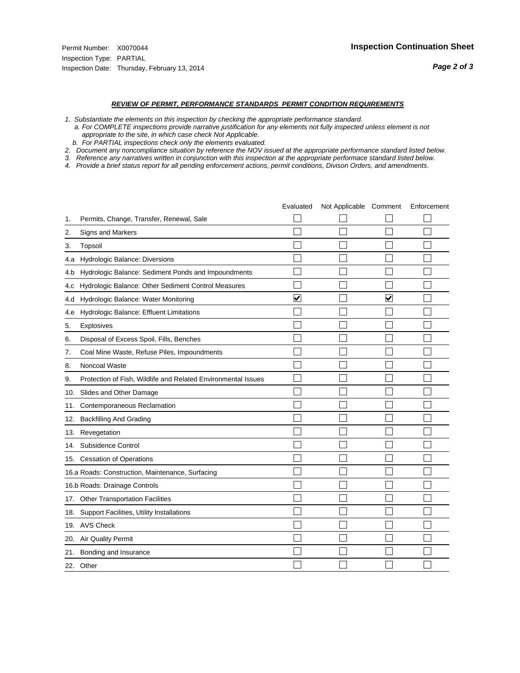#### *REVIEW OF PERMIT, PERFORMANCE STANDARDS PERMIT CONDITION REQUIREMENTS*

*1. Substantiate the elements on this inspection by checking the appropriate performance standard.*

 *a. For COMPLETE inspections provide narrative justification for any elements not fully inspected unless element is not appropriate to the site, in which case check Not Applicable.*

 *b. For PARTIAL inspections check only the elements evaluated.*

*2. Document any noncompliance situation by reference the NOV issued at the appropriate performance standard listed below.*

*3. Reference any narratives written in conjunction with this inspection at the appropriate performace standard listed below.*

|     |                                                               | Evaluated               | Not Applicable Comment |                         | Enforcement |
|-----|---------------------------------------------------------------|-------------------------|------------------------|-------------------------|-------------|
| 1.  | Permits, Change, Transfer, Renewal, Sale                      |                         |                        |                         |             |
| 2.  | <b>Signs and Markers</b>                                      |                         |                        |                         |             |
| 3.  | Topsoil                                                       |                         |                        |                         |             |
| 4.a | Hydrologic Balance: Diversions                                |                         |                        |                         |             |
| 4.b | Hydrologic Balance: Sediment Ponds and Impoundments           |                         |                        |                         |             |
| 4.C | Hydrologic Balance: Other Sediment Control Measures           |                         |                        |                         |             |
| 4.d | Hydrologic Balance: Water Monitoring                          | $\overline{\mathbf{v}}$ |                        | $\overline{\mathbf{v}}$ |             |
| 4.e | Hydrologic Balance: Effluent Limitations                      |                         |                        |                         |             |
| 5.  | Explosives                                                    |                         |                        |                         |             |
| 6.  | Disposal of Excess Spoil, Fills, Benches                      |                         |                        |                         |             |
| 7.  | Coal Mine Waste, Refuse Piles, Impoundments                   |                         |                        |                         |             |
| 8.  | Noncoal Waste                                                 |                         |                        |                         |             |
| 9.  | Protection of Fish, Wildlife and Related Environmental Issues |                         |                        |                         |             |
| 10. | Slides and Other Damage                                       |                         |                        |                         |             |
| 11. | Contemporaneous Reclamation                                   |                         |                        |                         |             |
| 12. | <b>Backfilling And Grading</b>                                |                         |                        |                         |             |
| 13. | Revegetation                                                  |                         |                        |                         |             |
| 14. | Subsidence Control                                            |                         |                        |                         |             |
| 15. | <b>Cessation of Operations</b>                                |                         |                        |                         |             |
|     | 16.a Roads: Construction, Maintenance, Surfacing              |                         |                        |                         |             |
|     | 16.b Roads: Drainage Controls                                 |                         |                        |                         |             |
| 17. | <b>Other Transportation Facilities</b>                        |                         |                        |                         |             |
| 18. | Support Facilities, Utility Installations                     |                         |                        |                         |             |
|     | 19. AVS Check                                                 |                         |                        |                         |             |
| 20. | Air Quality Permit                                            |                         |                        |                         |             |
| 21. | Bonding and Insurance                                         |                         |                        |                         |             |
|     | 22. Other                                                     |                         |                        |                         |             |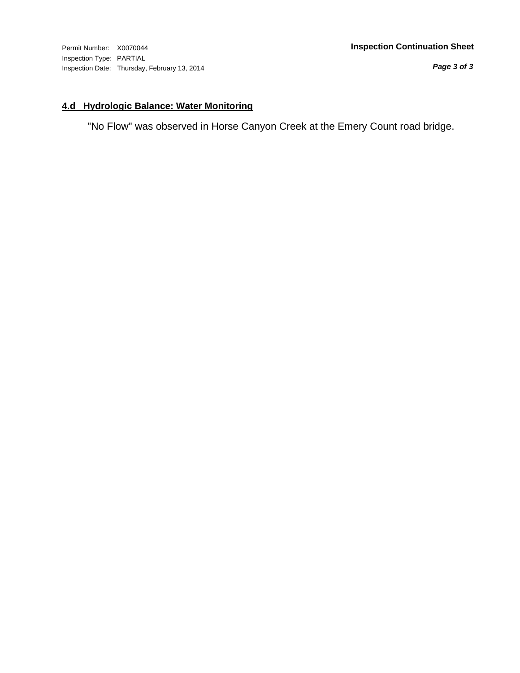*Page 3 of 3*

#### **4.d Hydrologic Balance: Water Monitoring**

"No Flow" was observed in Horse Canyon Creek at the Emery Count road bridge.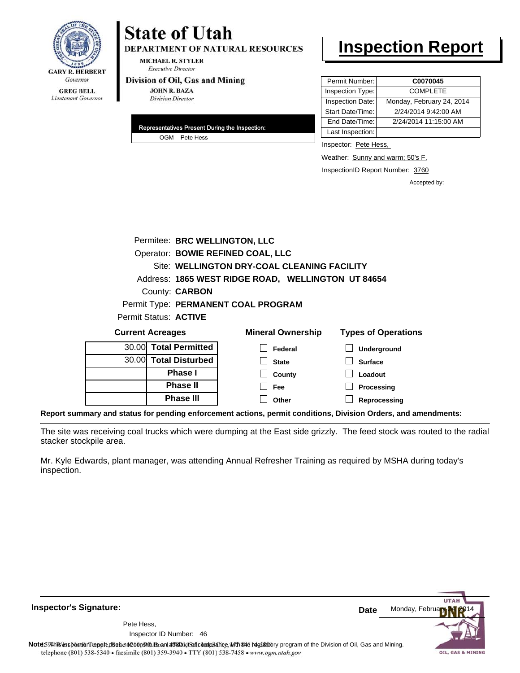

# **State of Utah**

**DEPARTMENT OF NATURAL RESOURCES** 

**MICHAEL R. STYLER Executive Director** 

#### Division of Oil, Gas and Mining

**JOHN R. BAZA Division Director** 

| Representatives Present During the Inspection: |               |  |
|------------------------------------------------|---------------|--|
|                                                | OGM Pete Hess |  |

## **Inspection Report**

| Permit Number:   | C0070045                  |
|------------------|---------------------------|
| Inspection Type: | <b>COMPLETE</b>           |
| Inspection Date: | Monday, February 24, 2014 |
| Start Date/Time: | 2/24/2014 9:42:00 AM      |
| End Date/Time:   | 2/24/2014 11:15:00 AM     |
| Last Inspection: |                           |

Inspector: Pete Hess,

Weather: Sunny and warm; 50's F.

**Reprocessing**

InspectionID Report Number: 3760

Accepted by:

|                                     | Permitee: BRC WELLINGTON, LLC               |                          |                                                    |                            |  |
|-------------------------------------|---------------------------------------------|--------------------------|----------------------------------------------------|----------------------------|--|
|                                     | Operator: BOWIE REFINED COAL, LLC           |                          |                                                    |                            |  |
|                                     | Site: WELLINGTON DRY-COAL CLEANING FACILITY |                          |                                                    |                            |  |
|                                     |                                             |                          | Address: 1865 WEST RIDGE ROAD, WELLINGTON UT 84654 |                            |  |
| County: <b>CARBON</b>               |                                             |                          |                                                    |                            |  |
| Permit Type: PERMANENT COAL PROGRAM |                                             |                          |                                                    |                            |  |
| Permit Status: <b>ACTIVE</b>        |                                             |                          |                                                    |                            |  |
| <b>Current Acreages</b>             |                                             | <b>Mineral Ownership</b> |                                                    | <b>Types of Operations</b> |  |
| 30.00 Total Permitted               |                                             |                          | Federal                                            | <b>Underground</b>         |  |
| 30.00 Total Disturbed               |                                             | <b>State</b>             |                                                    | <b>Surface</b>             |  |
| Phase I                             |                                             |                          | County                                             | Loadout                    |  |
| <b>Phase II</b>                     |                                             | Fee                      |                                                    | Processing                 |  |

**Report summary and status for pending enforcement actions, permit conditions, Division Orders, and amendments:**

**Phase III**

The site was receiving coal trucks which were dumping at the East side grizzly. The feed stock was routed to the radial stacker stockpile area.

**Other**

Mr. Kyle Edwards, plant manager, was attending Annual Refresher Training as required by MSHA during today's inspection.

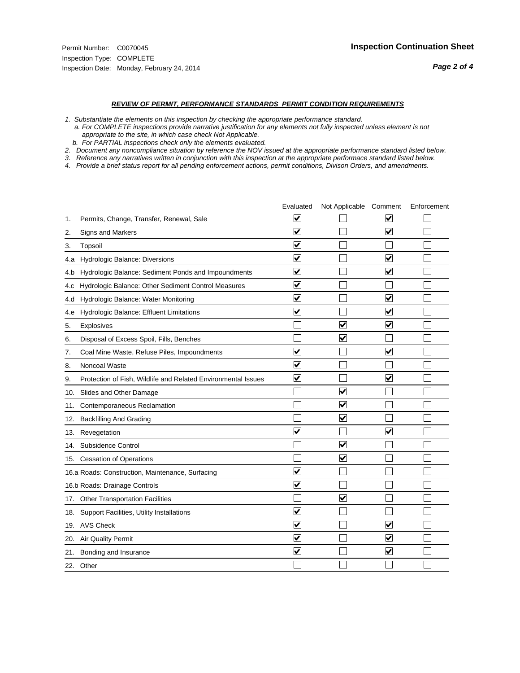#### *REVIEW OF PERMIT, PERFORMANCE STANDARDS PERMIT CONDITION REQUIREMENTS*

*1. Substantiate the elements on this inspection by checking the appropriate performance standard.*

 *a. For COMPLETE inspections provide narrative justification for any elements not fully inspected unless element is not appropriate to the site, in which case check Not Applicable.*

 *b. For PARTIAL inspections check only the elements evaluated.*

*2. Document any noncompliance situation by reference the NOV issued at the appropriate performance standard listed below.*

*3. Reference any narratives written in conjunction with this inspection at the appropriate performace standard listed below.*

|     |                                                               | Evaluated               | Not Applicable Comment  |                         | Enforcement |
|-----|---------------------------------------------------------------|-------------------------|-------------------------|-------------------------|-------------|
| 1.  | Permits, Change, Transfer, Renewal, Sale                      | $\overline{\mathbf{v}}$ |                         | V                       |             |
| 2.  | Signs and Markers                                             | $\overline{\mathbf{v}}$ |                         | $\blacktriangledown$    |             |
| 3.  | Topsoil                                                       | $\overline{\mathbf{v}}$ |                         |                         |             |
| 4.a | Hydrologic Balance: Diversions                                | $\blacktriangledown$    |                         | $\blacktriangledown$    |             |
| 4.b | Hydrologic Balance: Sediment Ponds and Impoundments           | $\overline{\mathsf{v}}$ |                         | $\blacktriangledown$    |             |
| 4.c | Hydrologic Balance: Other Sediment Control Measures           | $\blacktriangledown$    |                         |                         |             |
| 4.d | Hydrologic Balance: Water Monitoring                          | $\overline{\mathbf{v}}$ |                         | $\overline{\mathbf{v}}$ |             |
| 4.e | Hydrologic Balance: Effluent Limitations                      | $\overline{\mathbf{v}}$ |                         | $\blacktriangledown$    |             |
| 5.  | Explosives                                                    |                         | $\overline{\mathsf{v}}$ | $\overline{\mathbf{v}}$ |             |
| 6.  | Disposal of Excess Spoil, Fills, Benches                      |                         | ⊽                       |                         |             |
| 7.  | Coal Mine Waste, Refuse Piles, Impoundments                   | $\blacktriangledown$    |                         | $\blacktriangledown$    |             |
| 8.  | Noncoal Waste                                                 | $\overline{\mathbf{v}}$ |                         |                         |             |
| 9.  | Protection of Fish, Wildlife and Related Environmental Issues | $\blacktriangledown$    |                         | $\blacktriangledown$    |             |
|     | 10. Slides and Other Damage                                   |                         | $\overline{\mathbf{v}}$ |                         |             |
| 11. | Contemporaneous Reclamation                                   |                         | $\blacktriangledown$    |                         |             |
| 12. | <b>Backfilling And Grading</b>                                |                         | $\overline{\mathbf{v}}$ |                         |             |
| 13. | Revegetation                                                  | $\overline{\mathbf{v}}$ |                         | $\overline{\mathsf{v}}$ |             |
| 14. | Subsidence Control                                            |                         | $\overline{\mathbf{v}}$ |                         |             |
|     | 15. Cessation of Operations                                   |                         | $\blacktriangledown$    |                         |             |
|     | 16.a Roads: Construction, Maintenance, Surfacing              | ⊽                       |                         |                         |             |
|     | 16.b Roads: Drainage Controls                                 | $\overline{\mathsf{v}}$ |                         |                         |             |
|     | 17. Other Transportation Facilities                           |                         | $\blacktriangledown$    |                         |             |
|     | 18. Support Facilities, Utility Installations                 | $\overline{\mathbf{v}}$ |                         |                         |             |
|     | 19. AVS Check                                                 | $\overline{\mathbf{v}}$ |                         | $\blacktriangledown$    |             |
|     | 20. Air Quality Permit                                        | $\overline{\mathsf{v}}$ |                         | $\blacktriangledown$    |             |
| 21. | Bonding and Insurance                                         | $\overline{\mathbf{v}}$ |                         | $\blacktriangledown$    |             |
|     | 22. Other                                                     |                         |                         |                         |             |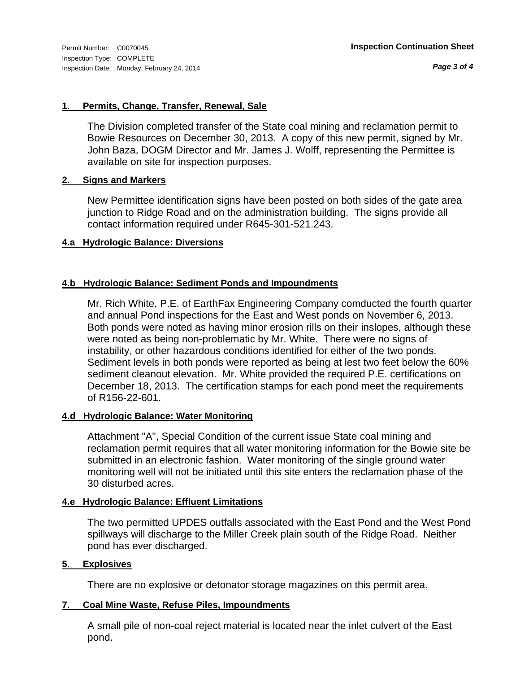*Page 3 of 4*

#### **1. Permits, Change, Transfer, Renewal, Sale**

The Division completed transfer of the State coal mining and reclamation permit to Bowie Resources on December 30, 2013. A copy of this new permit, signed by Mr. John Baza, DOGM Director and Mr. James J. Wolff, representing the Permittee is available on site for inspection purposes.

#### **2. Signs and Markers**

New Permittee identification signs have been posted on both sides of the gate area junction to Ridge Road and on the administration building. The signs provide all contact information required under R645-301-521.243.

#### **4.a Hydrologic Balance: Diversions**

#### **4.b Hydrologic Balance: Sediment Ponds and Impoundments**

Mr. Rich White, P.E. of EarthFax Engineering Company comducted the fourth quarter and annual Pond inspections for the East and West ponds on November 6, 2013. Both ponds were noted as having minor erosion rills on their inslopes, although these were noted as being non-problematic by Mr. White. There were no signs of instability, or other hazardous conditions identified for either of the two ponds. Sediment levels in both ponds were reported as being at lest two feet below the 60% sediment cleanout elevation. Mr. White provided the required P.E. certifications on December 18, 2013. The certification stamps for each pond meet the requirements of R156-22-601.

#### **4.d Hydrologic Balance: Water Monitoring**

Attachment "A", Special Condition of the current issue State coal mining and reclamation permit requires that all water monitoring information for the Bowie site be submitted in an electronic fashion. Water monitoring of the single ground water monitoring well will not be initiated until this site enters the reclamation phase of the 30 disturbed acres.

#### **4.e Hydrologic Balance: Effluent Limitations**

The two permitted UPDES outfalls associated with the East Pond and the West Pond spillways will discharge to the Miller Creek plain south of the Ridge Road. Neither pond has ever discharged.

#### **5. Explosives**

There are no explosive or detonator storage magazines on this permit area.

#### **7. Coal Mine Waste, Refuse Piles, Impoundments**

A small pile of non-coal reject material is located near the inlet culvert of the East pond.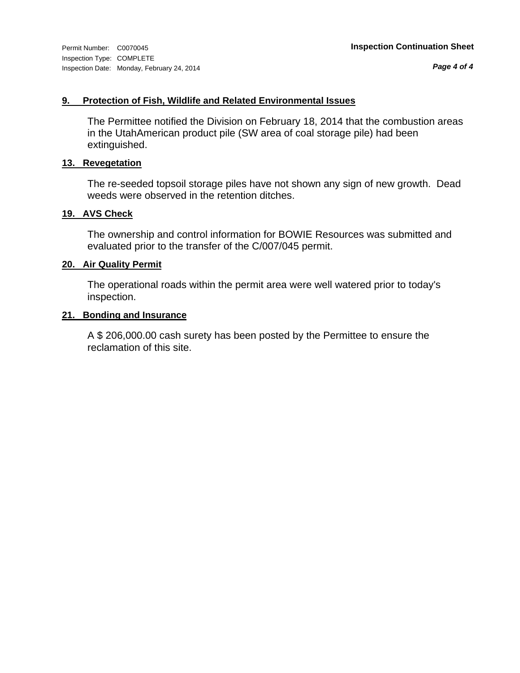*Page 4 of 4*

#### **9. Protection of Fish, Wildlife and Related Environmental Issues**

The Permittee notified the Division on February 18, 2014 that the combustion areas in the UtahAmerican product pile (SW area of coal storage pile) had been extinguished.

#### **13. Revegetation**

The re-seeded topsoil storage piles have not shown any sign of new growth. Dead weeds were observed in the retention ditches.

#### **19. AVS Check**

The ownership and control information for BOWIE Resources was submitted and evaluated prior to the transfer of the C/007/045 permit.

#### **20. Air Quality Permit**

The operational roads within the permit area were well watered prior to today's inspection.

#### **21. Bonding and Insurance**

A \$ 206,000.00 cash surety has been posted by the Permittee to ensure the reclamation of this site.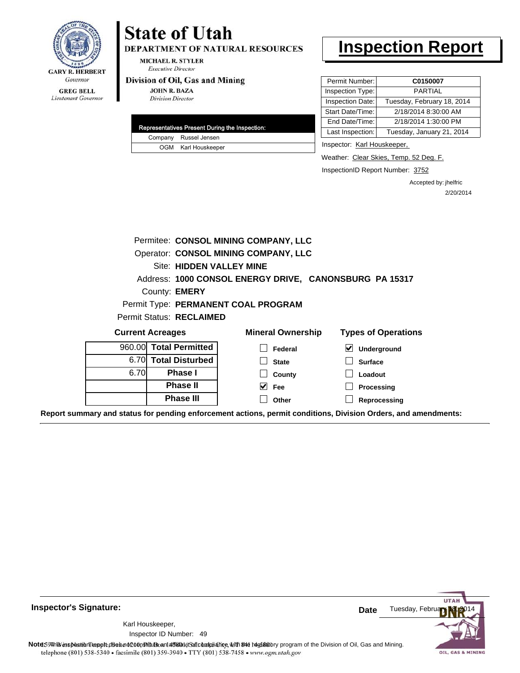

## **State of Utah**

DEPARTMENT OF NATURAL RESOURCES

**MICHAEL R. STYLER Executive Director** 

#### Division of Oil, Gas and Mining

**JOHN R. BAZA Division Director** 

| Representatives Present During the Inspection: |                       |  |
|------------------------------------------------|-----------------------|--|
|                                                | Company Russel Jensen |  |
|                                                | OGM Karl Houskeeper   |  |

### **Inspection Report**

| Permit Number:   | C0150007                   |
|------------------|----------------------------|
| Inspection Type: | PARTIAI                    |
| Inspection Date: | Tuesday, February 18, 2014 |
| Start Date/Time: | 2/18/2014 8:30:00 AM       |
| End Date/Time:   | 2/18/2014 1:30:00 PM       |
| Last Inspection: | Tuesday, January 21, 2014  |
|                  |                            |

Inspector: Karl Houskeeper,

Weather: Clear Skies, Temp. 52 Deg. F.

InspectionID Report Number: 3752

Accepted by: jhelfric 2/20/2014

| Permitee: CONSOL MINING COMPANY, LLC |                                                        |                                      |                                                   |  |  |
|--------------------------------------|--------------------------------------------------------|--------------------------------------|---------------------------------------------------|--|--|
|                                      |                                                        | Operator: CONSOL MINING COMPANY, LLC |                                                   |  |  |
| <b>Site: HIDDEN VALLEY MINE</b>      |                                                        |                                      |                                                   |  |  |
|                                      | Address: 1000 CONSOL ENERGY DRIVE, CANONSBURG PA 15317 |                                      |                                                   |  |  |
| County: <b>EMERY</b>                 |                                                        |                                      |                                                   |  |  |
|                                      | Permit Type: PERMANENT COAL PROGRAM                    |                                      |                                                   |  |  |
|                                      | Permit Status: RECLAIMED                               |                                      |                                                   |  |  |
| <b>Current Acreages</b>              |                                                        | <b>Mineral Ownership</b>             | <b>Types of Operations</b>                        |  |  |
| 960.00                               | <b>Total Permitted</b>                                 | Federal                              | $\blacktriangledown$<br>Underground               |  |  |
| 6.70I                                | <b>Total Disturbed</b>                                 | <b>State</b>                         | <b>Surface</b>                                    |  |  |
| 6.70                                 | <b>Phase I</b>                                         | County                               | Loadout                                           |  |  |
|                                      | <b>Phase II</b>                                        | $\vee$ Fee                           | Processing                                        |  |  |
|                                      | <b>Phase III</b>                                       | Other                                | Reprocessing                                      |  |  |
|                                      | al atatura fan mamaling omf                            |                                      | na manualt aan ditiana. Divisian Ondana, and amay |  |  |

**Report summary and status for pending enforcement actions, permit conditions, Division Orders, and amendments:**



49 Inspector ID Number:Karl Houskeeper,

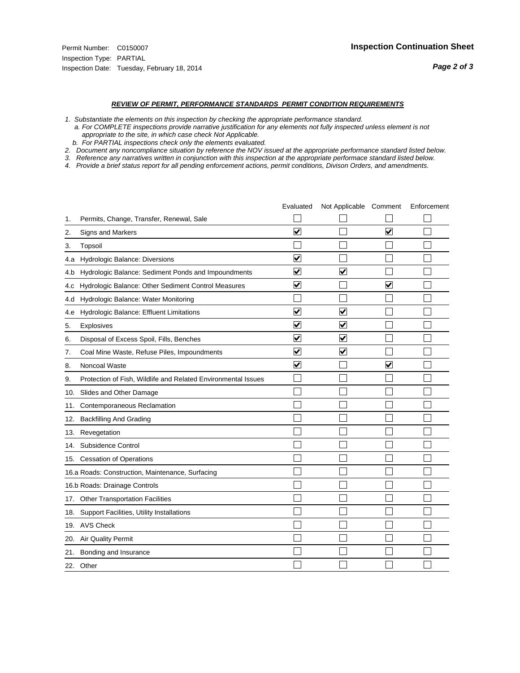#### *REVIEW OF PERMIT, PERFORMANCE STANDARDS PERMIT CONDITION REQUIREMENTS*

*1. Substantiate the elements on this inspection by checking the appropriate performance standard.*

 *a. For COMPLETE inspections provide narrative justification for any elements not fully inspected unless element is not appropriate to the site, in which case check Not Applicable.*

 *b. For PARTIAL inspections check only the elements evaluated.*

*2. Document any noncompliance situation by reference the NOV issued at the appropriate performance standard listed below.*

*3. Reference any narratives written in conjunction with this inspection at the appropriate performace standard listed below.*

|     |                                                               | Evaluated               | Not Applicable Comment          |                         | Enforcement |
|-----|---------------------------------------------------------------|-------------------------|---------------------------------|-------------------------|-------------|
| 1.  | Permits, Change, Transfer, Renewal, Sale                      |                         |                                 |                         |             |
| 2.  | Signs and Markers                                             | $\overline{\mathbf{v}}$ |                                 | $\overline{\mathbf{v}}$ |             |
| 3.  | Topsoil                                                       |                         |                                 |                         |             |
| 4.a | Hydrologic Balance: Diversions                                | $\overline{\mathbf{v}}$ |                                 |                         |             |
| 4.b | Hydrologic Balance: Sediment Ponds and Impoundments           | $\blacktriangledown$    | $\overline{\mathbf{v}}$         |                         |             |
| 4.C | Hydrologic Balance: Other Sediment Control Measures           | $\checkmark$            |                                 | $\blacktriangledown$    |             |
| 4.d | Hydrologic Balance: Water Monitoring                          |                         |                                 |                         |             |
| 4.e | Hydrologic Balance: Effluent Limitations                      | $\overline{\mathbf{v}}$ | $\overline{\blacktriangledown}$ |                         |             |
| 5.  | <b>Explosives</b>                                             | $\overline{\mathbf{v}}$ | $\blacktriangledown$            |                         |             |
| 6.  | Disposal of Excess Spoil, Fills, Benches                      | $\blacktriangledown$    | ⊻                               |                         |             |
| 7.  | Coal Mine Waste, Refuse Piles, Impoundments                   | $\overline{\mathbf{v}}$ | $\blacktriangledown$            |                         |             |
| 8.  | Noncoal Waste                                                 | $\overline{\mathbf{v}}$ |                                 | $\overline{\mathbf{v}}$ |             |
| 9.  | Protection of Fish, Wildlife and Related Environmental Issues |                         |                                 |                         |             |
| 10. | Slides and Other Damage                                       |                         |                                 |                         |             |
| 11. | Contemporaneous Reclamation                                   |                         |                                 |                         |             |
| 12. | <b>Backfilling And Grading</b>                                |                         |                                 |                         |             |
| 13. | Revegetation                                                  |                         |                                 |                         |             |
| 14. | Subsidence Control                                            |                         |                                 |                         |             |
|     | 15. Cessation of Operations                                   |                         |                                 |                         |             |
|     | 16.a Roads: Construction, Maintenance, Surfacing              |                         |                                 |                         |             |
|     | 16.b Roads: Drainage Controls                                 |                         |                                 |                         |             |
| 17. | <b>Other Transportation Facilities</b>                        |                         |                                 |                         |             |
| 18. | Support Facilities, Utility Installations                     |                         |                                 |                         |             |
| 19. | <b>AVS Check</b>                                              |                         |                                 |                         |             |
| 20. | Air Quality Permit                                            |                         |                                 |                         |             |
| 21. | Bonding and Insurance                                         |                         |                                 |                         |             |
|     | 22. Other                                                     |                         |                                 |                         |             |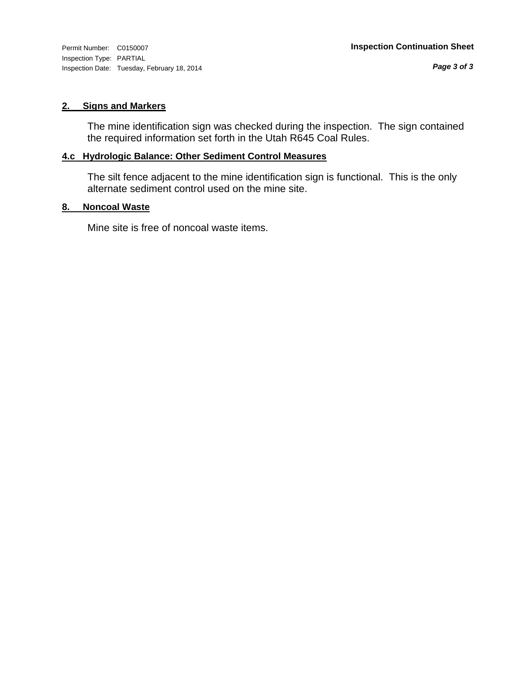Inspection Type: PARTIAL Inspection Date: Tuesday, February 18, 2014

#### **2. Signs and Markers**

The mine identification sign was checked during the inspection. The sign contained the required information set forth in the Utah R645 Coal Rules.

### **4.c Hydrologic Balance: Other Sediment Control Measures**

The silt fence adjacent to the mine identification sign is functional. This is the only alternate sediment control used on the mine site.

#### **8. Noncoal Waste**

Mine site is free of noncoal waste items.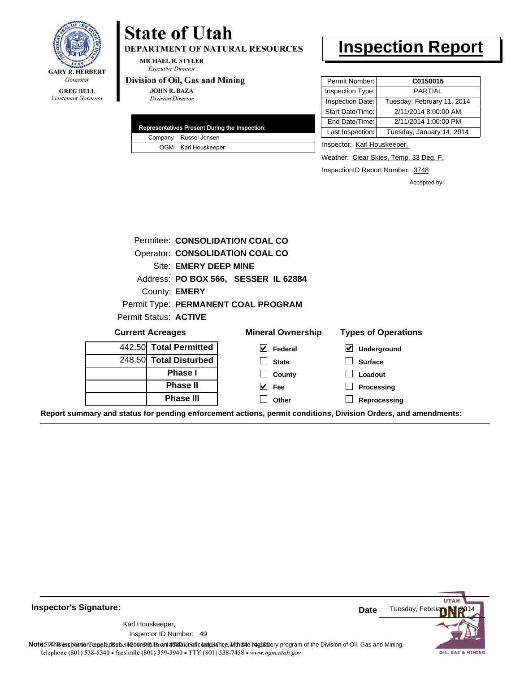

Lieutenant Governor

#### DEPARTMENT OF NATURAL RESOURCES **MICHAEL R. STYLER**

**Executive Director** 

#### Division of Oil, Gas and Mining

**State of Utah** 

**JOHN R. BAZA Division Director** 

| <b>Representatives Present During the Inspection:</b> |                       |  |  |
|-------------------------------------------------------|-----------------------|--|--|
|                                                       | Company Russel Jensen |  |  |
|                                                       | OGM Karl Houskeeper   |  |  |

### **Inspection Report**

| Permit Number:   | C0150015                   |  |  |
|------------------|----------------------------|--|--|
| Inspection Type: | PARTIAL                    |  |  |
| Inspection Date: | Tuesday, February 11, 2014 |  |  |
| Start Date/Time: | 2/11/2014 8:00:00 AM       |  |  |
| End Date/Time:   | 2/11/2014 1:00:00 PM       |  |  |
| Last Inspection: | Tuesday, January 14, 2014  |  |  |

Inspector: Karl Houskeeper,

Weather: Clear Skies, Temp. 33 Deg. F.

InspectionID Report Number: 3748

Accepted by:

|                         |                              | Permitee: CONSOLIDATION COAL CO      |                            |
|-------------------------|------------------------------|--------------------------------------|----------------------------|
|                         |                              | Operator: CONSOLIDATION COAL CO      |                            |
|                         | <b>Site: EMERY DEEP MINE</b> |                                      |                            |
|                         |                              | Address: PO BOX 566, SESSER IL 62884 |                            |
|                         | County: <b>EMERY</b>         |                                      |                            |
|                         |                              | Permit Type: PERMANENT COAL PROGRAM  |                            |
|                         | Permit Status: ACTIVE        |                                      |                            |
| <b>Current Acreages</b> |                              | <b>Mineral Ownership</b>             | <b>Types of Operations</b> |
|                         | 442.50 Total Permitted       | M<br>Federal                         | V<br>Underground           |
|                         | 248.50 Total Disturbed       | <b>State</b>                         | <b>Surface</b>             |
|                         | <b>Phase I</b>               | County                               | Loadout                    |
| <b>Phase II</b>         |                              | V<br><b>Fee</b>                      | Processing                 |
|                         | <b>Phase III</b>             | Other                                | Reprocessing               |

**Report summary and status for pending enforcement actions, permit conditions, Division Orders, and amendments:**

**Inspector's Signature:**

49 Inspector ID Number:Karl Houskeeper,



Note: This inspection report does not constitute and affidavitof compliance, with the regulatory program of the Division of Oil, Gas and Mining. telephone (801) 538-5340 · facsimile (801) 359-3940 · TTY (801) 538-7458 · www.ogm.utah.gov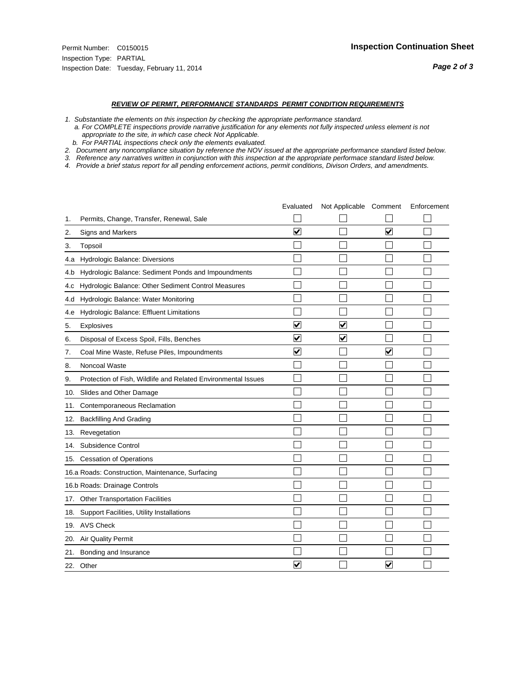#### *REVIEW OF PERMIT, PERFORMANCE STANDARDS PERMIT CONDITION REQUIREMENTS*

*1. Substantiate the elements on this inspection by checking the appropriate performance standard.*

 *a. For COMPLETE inspections provide narrative justification for any elements not fully inspected unless element is not appropriate to the site, in which case check Not Applicable.*

 *b. For PARTIAL inspections check only the elements evaluated.*

*2. Document any noncompliance situation by reference the NOV issued at the appropriate performance standard listed below.*

*3. Reference any narratives written in conjunction with this inspection at the appropriate performace standard listed below.*

|     |                                                               | Evaluated               | Not Applicable Comment  |                         | Enforcement |
|-----|---------------------------------------------------------------|-------------------------|-------------------------|-------------------------|-------------|
| 1.  | Permits, Change, Transfer, Renewal, Sale                      |                         |                         |                         |             |
| 2.  | <b>Signs and Markers</b>                                      | $\overline{\mathbf{v}}$ |                         | $\overline{\mathbf{v}}$ |             |
| 3.  | Topsoil                                                       |                         |                         |                         |             |
| 4.a | Hydrologic Balance: Diversions                                |                         |                         |                         |             |
| 4.b | Hydrologic Balance: Sediment Ponds and Impoundments           |                         |                         |                         |             |
| 4.C | Hydrologic Balance: Other Sediment Control Measures           |                         |                         |                         |             |
| 4.d | Hydrologic Balance: Water Monitoring                          |                         |                         |                         |             |
| 4.e | Hydrologic Balance: Effluent Limitations                      |                         |                         |                         |             |
| 5.  | Explosives                                                    | $\overline{\mathbf{v}}$ | $\overline{\mathbf{v}}$ |                         |             |
| 6.  | Disposal of Excess Spoil, Fills, Benches                      | $\overline{\mathsf{v}}$ | $\blacktriangledown$    |                         |             |
| 7.  | Coal Mine Waste, Refuse Piles, Impoundments                   | $\overline{\mathbf{v}}$ |                         | $\overline{\mathbf{v}}$ |             |
| 8.  | Noncoal Waste                                                 |                         |                         |                         |             |
| 9.  | Protection of Fish, Wildlife and Related Environmental Issues |                         |                         |                         |             |
| 10. | Slides and Other Damage                                       |                         |                         |                         |             |
| 11. | Contemporaneous Reclamation                                   |                         |                         |                         |             |
| 12. | <b>Backfilling And Grading</b>                                |                         |                         |                         |             |
| 13. | Revegetation                                                  |                         |                         |                         |             |
| 14. | Subsidence Control                                            |                         |                         |                         |             |
|     | 15. Cessation of Operations                                   |                         |                         |                         |             |
|     | 16.a Roads: Construction, Maintenance, Surfacing              |                         |                         |                         |             |
|     | 16.b Roads: Drainage Controls                                 |                         |                         |                         |             |
| 17. | <b>Other Transportation Facilities</b>                        |                         |                         |                         |             |
| 18. | Support Facilities, Utility Installations                     |                         |                         |                         |             |
|     | 19. AVS Check                                                 |                         |                         |                         |             |
| 20. | Air Quality Permit                                            |                         |                         |                         |             |
| 21. | Bonding and Insurance                                         |                         |                         |                         |             |
|     | 22. Other                                                     | $\overline{\mathbf{v}}$ |                         | $\overline{\mathbf{v}}$ |             |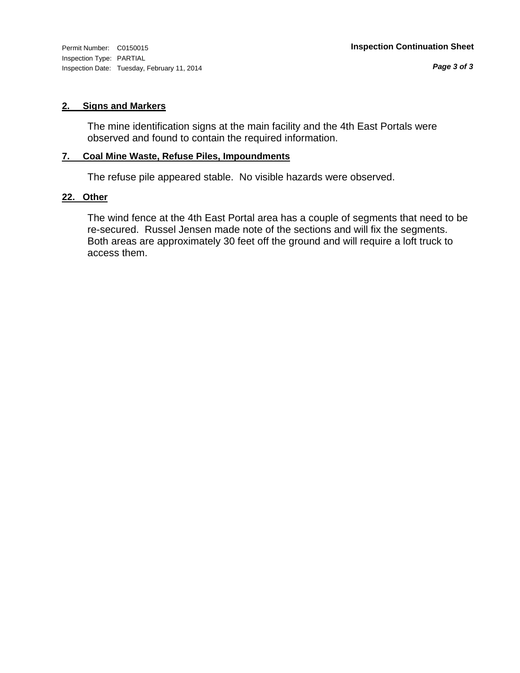Inspection Type: PARTIAL Inspection Date: Tuesday, February 11, 2014

#### **2. Signs and Markers**

The mine identification signs at the main facility and the 4th East Portals were observed and found to contain the required information.

#### **7. Coal Mine Waste, Refuse Piles, Impoundments**

The refuse pile appeared stable. No visible hazards were observed.

#### **22. Other**

The wind fence at the 4th East Portal area has a couple of segments that need to be re-secured. Russel Jensen made note of the sections and will fix the segments. Both areas are approximately 30 feet off the ground and will require a loft truck to access them.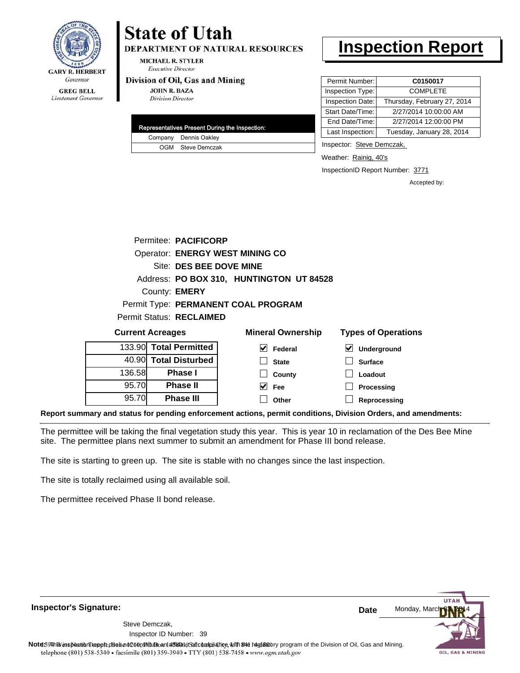

# **State of Utah**

**DEPARTMENT OF NATURAL RESOURCES** 

**MICHAEL R. STYLER Executive Director** 

#### Division of Oil, Gas and Mining

**JOHN R. BAZA Division Director** 

| Representatives Present During the Inspection: |
|------------------------------------------------|
| Company Dennis Oakley                          |
| OGM Steve Demczak                              |

## **Inspection Report**

| Permit Number:   | C0150017                    |
|------------------|-----------------------------|
| Inspection Type: | <b>COMPLETE</b>             |
| Inspection Date: | Thursday, February 27, 2014 |
| Start Date/Time: | 2/27/2014 10:00:00 AM       |
| End Date/Time:   | 2/27/2014 12:00:00 PM       |
| Last Inspection: | Tuesday, January 28, 2014   |

Inspector: Steve Demczak,

**Loadout Processing**

Weather: Rainig, 40's

InspectionID Report Number: 3771

Accepted by:

|                         | Permitee: PACIFICORP            |                                          |                            |  |  |  |
|-------------------------|---------------------------------|------------------------------------------|----------------------------|--|--|--|
|                         |                                 | <b>Operator: ENERGY WEST MINING CO</b>   |                            |  |  |  |
|                         | Site: DES BEE DOVE MINE         |                                          |                            |  |  |  |
|                         |                                 | Address: PO BOX 310, HUNTINGTON UT 84528 |                            |  |  |  |
|                         | County: <b>EMERY</b>            |                                          |                            |  |  |  |
|                         |                                 | Permit Type: PERMANENT COAL PROGRAM      |                            |  |  |  |
|                         | <b>Permit Status: RECLAIMED</b> |                                          |                            |  |  |  |
| <b>Current Acreages</b> |                                 | <b>Mineral Ownership</b>                 | <b>Types of Operations</b> |  |  |  |
|                         | 133.90 Total Permitted          | M<br>Federal                             | V<br><b>Underground</b>    |  |  |  |
|                         | 40.90 Total Disturbed           | <b>State</b>                             | <b>Surface</b>             |  |  |  |

**County Fee**

 $\blacktriangledown$  $\Box$ 

**Reprocessing Report summary and status for pending enforcement actions, permit conditions, Division Orders, and amendments: Other**

The permittee will be taking the final vegetation study this year. This is year 10 in reclamation of the Des Bee Mine site. The permittee plans next summer to submit an amendment for Phase III bond release.

The site is starting to green up. The site is stable with no changes since the last inspection.

**Phase I Phase II Phase III**

The site is totally reclaimed using all available soil.

136.58 95.70 95.70

The permittee received Phase II bond release.

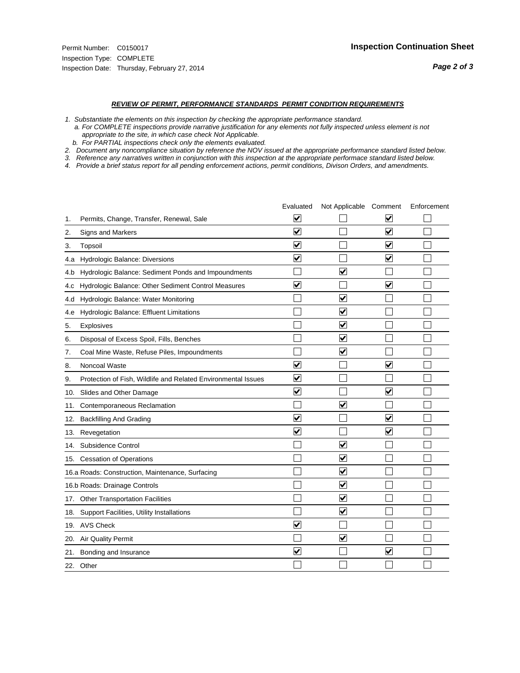#### *REVIEW OF PERMIT, PERFORMANCE STANDARDS PERMIT CONDITION REQUIREMENTS*

*1. Substantiate the elements on this inspection by checking the appropriate performance standard.*

 *a. For COMPLETE inspections provide narrative justification for any elements not fully inspected unless element is not appropriate to the site, in which case check Not Applicable.*

 *b. For PARTIAL inspections check only the elements evaluated.*

*2. Document any noncompliance situation by reference the NOV issued at the appropriate performance standard listed below.*

*3. Reference any narratives written in conjunction with this inspection at the appropriate performace standard listed below.*

|     |                                                               | Evaluated               | Not Applicable Comment          |                         | Enforcement |
|-----|---------------------------------------------------------------|-------------------------|---------------------------------|-------------------------|-------------|
| 1.  | Permits, Change, Transfer, Renewal, Sale                      | ⊻                       |                                 | V                       |             |
| 2.  | <b>Signs and Markers</b>                                      | $\overline{\mathbf{v}}$ |                                 | $\blacktriangledown$    |             |
| 3.  | Topsoil                                                       | $\overline{\mathbf{v}}$ |                                 | $\overline{\mathbf{v}}$ |             |
| 4.a | Hydrologic Balance: Diversions                                | $\overline{\mathsf{v}}$ |                                 | $\overline{\mathbf{v}}$ |             |
| 4.b | Hydrologic Balance: Sediment Ponds and Impoundments           |                         | $\blacktriangledown$            |                         |             |
| 4.C | Hydrologic Balance: Other Sediment Control Measures           | $\overline{\mathsf{v}}$ |                                 | $\blacktriangledown$    |             |
| 4.d | Hydrologic Balance: Water Monitoring                          |                         | ✓                               |                         |             |
| 4.e | Hydrologic Balance: Effluent Limitations                      |                         | $\overline{\blacktriangledown}$ |                         |             |
| 5.  | Explosives                                                    |                         | $\blacktriangledown$            |                         |             |
| 6.  | Disposal of Excess Spoil, Fills, Benches                      |                         | $\blacktriangledown$            |                         |             |
| 7.  | Coal Mine Waste, Refuse Piles, Impoundments                   |                         | $\blacktriangledown$            |                         |             |
| 8.  | Noncoal Waste                                                 | $\overline{\mathsf{v}}$ |                                 | $\overline{\mathbf{v}}$ |             |
| 9.  | Protection of Fish, Wildlife and Related Environmental Issues | $\overline{\mathbf{v}}$ |                                 |                         |             |
| 10. | Slides and Other Damage                                       | $\overline{\mathbf{v}}$ |                                 | ⊽                       |             |
| 11. | Contemporaneous Reclamation                                   |                         | ☑                               |                         |             |
| 12. | <b>Backfilling And Grading</b>                                | $\overline{\mathbf{v}}$ |                                 | $\blacktriangledown$    |             |
| 13. | Revegetation                                                  | $\overline{\mathbf{v}}$ |                                 | $\overline{\mathbf{v}}$ |             |
| 14. | Subsidence Control                                            |                         | $\overline{\mathbf{v}}$         |                         |             |
|     | 15. Cessation of Operations                                   |                         | $\blacktriangledown$            |                         |             |
|     | 16.a Roads: Construction, Maintenance, Surfacing              |                         | $\blacktriangledown$            |                         |             |
|     | 16.b Roads: Drainage Controls                                 |                         | $\blacktriangledown$            |                         |             |
|     | 17. Other Transportation Facilities                           |                         | $\overline{\blacktriangledown}$ |                         |             |
| 18. | Support Facilities, Utility Installations                     |                         | $\overline{\mathbf{v}}$         |                         |             |
|     | 19. AVS Check                                                 | $\overline{\mathbf{v}}$ |                                 |                         |             |
| 20. | Air Quality Permit                                            |                         | $\blacktriangledown$            |                         |             |
| 21. | Bonding and Insurance                                         | $\overline{\mathbf{v}}$ |                                 | $\blacktriangledown$    |             |
|     | 22. Other                                                     |                         |                                 |                         |             |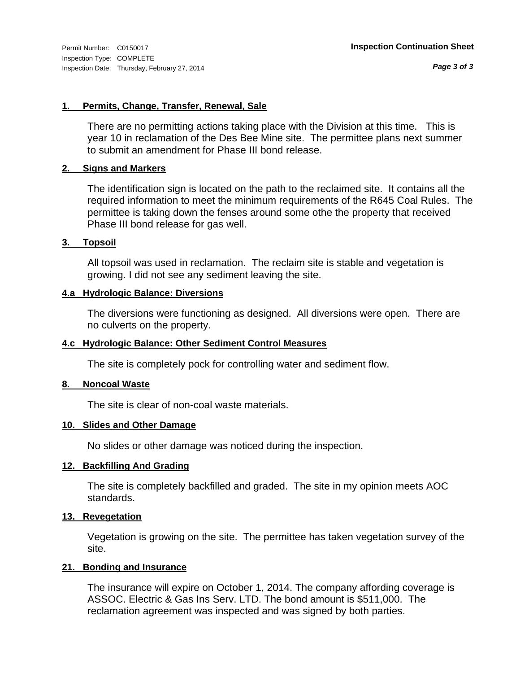*Page 3 of 3*

#### **1. Permits, Change, Transfer, Renewal, Sale**

There are no permitting actions taking place with the Division at this time. This is year 10 in reclamation of the Des Bee Mine site. The permittee plans next summer to submit an amendment for Phase III bond release.

#### **2. Signs and Markers**

The identification sign is located on the path to the reclaimed site. It contains all the required information to meet the minimum requirements of the R645 Coal Rules. The permittee is taking down the fenses around some othe the property that received Phase III bond release for gas well.

#### **3. Topsoil**

All topsoil was used in reclamation. The reclaim site is stable and vegetation is growing. I did not see any sediment leaving the site.

#### **4.a Hydrologic Balance: Diversions**

The diversions were functioning as designed. All diversions were open. There are no culverts on the property.

#### **4.c Hydrologic Balance: Other Sediment Control Measures**

The site is completely pock for controlling water and sediment flow.

#### **8. Noncoal Waste**

The site is clear of non-coal waste materials.

#### **10. Slides and Other Damage**

No slides or other damage was noticed during the inspection.

#### **12. Backfilling And Grading**

The site is completely backfilled and graded. The site in my opinion meets AOC standards.

#### **13. Revegetation**

Vegetation is growing on the site. The permittee has taken vegetation survey of the site.

#### **21. Bonding and Insurance**

The insurance will expire on October 1, 2014. The company affording coverage is ASSOC. Electric & Gas Ins Serv. LTD. The bond amount is \$511,000. The reclamation agreement was inspected and was signed by both parties.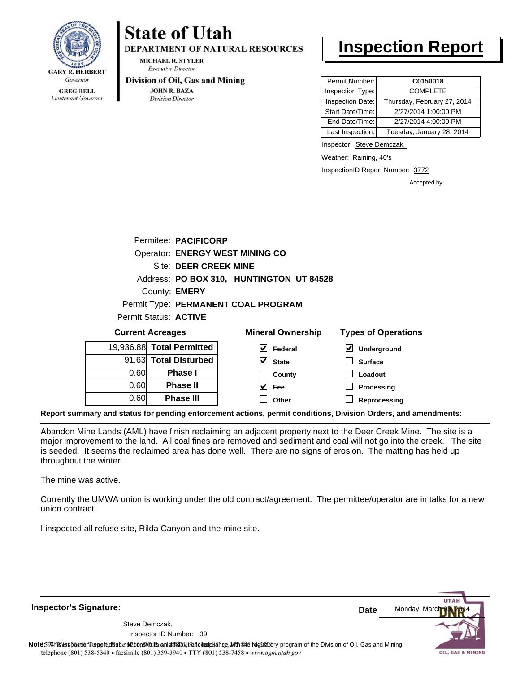

Lieutenant Governor

# **State of Utah**

**DEPARTMENT OF NATURAL RESOURCES** 

**MICHAEL R. STYLER Executive Director** 

#### Division of Oil, Gas and Mining

**JOHN R. BAZA Division Director** 

## **Inspection Report**

| Permit Number:   | C0150018                    |
|------------------|-----------------------------|
| Inspection Type: | <b>COMPLETE</b>             |
| Inspection Date: | Thursday, February 27, 2014 |
| Start Date/Time: | 2/27/2014 1:00:00 PM        |
| End Date/Time:   | 2/27/2014 4:00:00 PM        |
| Last Inspection: | Tuesday, January 28, 2014   |

Inspector: Steve Demczak,

Weather: Raining, 40's

InspectionID Report Number: 3772

Accepted by:

| $P_{\text{irrant}}$ $\lambda$ araanaa |                                        | Minaral Awnarahin                        | Tungo of Onoral |
|---------------------------------------|----------------------------------------|------------------------------------------|-----------------|
| Permit Status: ACTIVE                 |                                        |                                          |                 |
|                                       |                                        | Permit Type: PERMANENT COAL PROGRAM      |                 |
|                                       | County: <b>EMERY</b>                   |                                          |                 |
|                                       |                                        | Address: PO BOX 310, HUNTINGTON UT 84528 |                 |
|                                       | Site: DEER CREEK MINE                  |                                          |                 |
|                                       | <b>Operator: ENERGY WEST MINING CO</b> |                                          |                 |
|                                       | Permitee: PACIFICORP                   |                                          |                 |
|                                       |                                        |                                          |                 |

| <b>Current Acreages</b> |                           | <b>Mineral Ownership</b> | <b>Types of Operations</b> |
|-------------------------|---------------------------|--------------------------|----------------------------|
|                         | 19,936.88 Total Permitted | V<br>Federal             | <b>Underground</b>         |
|                         | 91.63 Total Disturbed     | V<br><b>State</b>        | <b>Surface</b>             |
| 0.60                    | Phase I                   | County                   | Loadout                    |
| 0.60                    | <b>Phase II</b>           | V<br>Fee                 | Processing                 |
| 0.60                    | <b>Phase III</b>          | Other                    | Reprocessing               |
|                         |                           |                          |                            |

**Report summary and status for pending enforcement actions, permit conditions, Division Orders, and amendments:**

Abandon Mine Lands (AML) have finish reclaiming an adjacent property next to the Deer Creek Mine. The site is a major improvement to the land. All coal fines are removed and sediment and coal will not go into the creek. The site is seeded. It seems the reclaimed area has done well. There are no signs of erosion. The matting has held up throughout the winter.

The mine was active.

Currently the UMWA union is working under the old contract/agreement. The permittee/operator are in talks for a new union contract.

I inspected all refuse site, Rilda Canyon and the mine site.

Monday, Marc **Date** Steve Demczak, Inspector ID Number: 39 Note59#h% inspection reppt does not constitute an affidavit of compliance, with the regulatory program of the Division of Oil, Gas and Mining. telephone (801) 538-5340 · facsimile (801) 359-3940 · TTY (801) 538-7458 · www.ogm.utah.gov OIL, GAS & MINING

**Inspector's Signature:**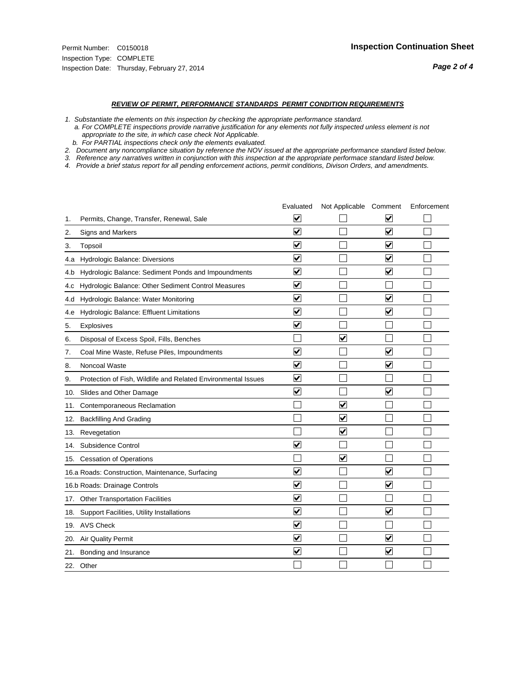#### *REVIEW OF PERMIT, PERFORMANCE STANDARDS PERMIT CONDITION REQUIREMENTS*

*1. Substantiate the elements on this inspection by checking the appropriate performance standard.*

 *a. For COMPLETE inspections provide narrative justification for any elements not fully inspected unless element is not appropriate to the site, in which case check Not Applicable.*

 *b. For PARTIAL inspections check only the elements evaluated.*

*2. Document any noncompliance situation by reference the NOV issued at the appropriate performance standard listed below.*

*3. Reference any narratives written in conjunction with this inspection at the appropriate performace standard listed below.*

|     |                                                               | Evaluated               | Not Applicable Comment  |                         | Enforcement |
|-----|---------------------------------------------------------------|-------------------------|-------------------------|-------------------------|-------------|
| 1.  | Permits, Change, Transfer, Renewal, Sale                      | ⊻                       |                         | V                       |             |
| 2.  | Signs and Markers                                             | $\overline{\mathbf{v}}$ |                         | $\blacktriangledown$    |             |
| 3.  | Topsoil                                                       | $\overline{\mathbf{v}}$ |                         | $\overline{\mathbf{v}}$ |             |
| 4.a | <b>Hydrologic Balance: Diversions</b>                         | $\overline{\mathsf{v}}$ |                         | $\blacktriangledown$    |             |
| 4.b | Hydrologic Balance: Sediment Ponds and Impoundments           | $\blacktriangledown$    |                         | $\blacktriangledown$    |             |
| 4.C | Hydrologic Balance: Other Sediment Control Measures           | $\checkmark$            |                         |                         |             |
| 4.d | Hydrologic Balance: Water Monitoring                          | $\overline{\mathbf{v}}$ |                         | $\blacktriangledown$    |             |
| 4.e | Hydrologic Balance: Effluent Limitations                      | $\overline{\mathbf{v}}$ |                         | $\blacktriangledown$    |             |
| 5.  | <b>Explosives</b>                                             | $\overline{\mathbf{v}}$ |                         |                         |             |
| 6.  | Disposal of Excess Spoil, Fills, Benches                      |                         | $\blacktriangledown$    |                         |             |
| 7.  | Coal Mine Waste, Refuse Piles, Impoundments                   | $\overline{\mathbf{v}}$ |                         | $\overline{\mathbf{v}}$ |             |
| 8.  | Noncoal Waste                                                 | $\overline{\mathbf{v}}$ |                         | $\blacktriangledown$    |             |
| 9.  | Protection of Fish, Wildlife and Related Environmental Issues | $\blacktriangledown$    |                         |                         |             |
| 10. | Slides and Other Damage                                       | $\overline{\mathsf{v}}$ |                         | $\overline{\mathbf{v}}$ |             |
| 11. | Contemporaneous Reclamation                                   |                         | $\blacktriangledown$    |                         |             |
| 12. | <b>Backfilling And Grading</b>                                |                         | $\blacktriangledown$    |                         |             |
| 13. | Revegetation                                                  |                         | $\overline{\mathbf{v}}$ |                         |             |
| 14. | Subsidence Control                                            | $\overline{\mathbf{v}}$ |                         |                         |             |
|     | 15. Cessation of Operations                                   |                         | $\blacktriangledown$    |                         |             |
|     | 16.a Roads: Construction, Maintenance, Surfacing              | ⊽                       |                         | $\blacktriangledown$    |             |
|     | 16.b Roads: Drainage Controls                                 | $\blacktriangledown$    |                         | $\overline{\mathbf{v}}$ |             |
| 17. | <b>Other Transportation Facilities</b>                        | $\overline{\mathbf{v}}$ |                         |                         |             |
| 18. | Support Facilities, Utility Installations                     | $\overline{\mathbf{v}}$ |                         | $\blacktriangledown$    |             |
|     | 19. AVS Check                                                 | $\overline{\mathbf{v}}$ |                         |                         |             |
| 20. | <b>Air Quality Permit</b>                                     | $\checkmark$            |                         | $\blacktriangledown$    |             |
| 21. | Bonding and Insurance                                         | $\overline{\mathbf{v}}$ |                         | $\blacktriangledown$    |             |
|     | 22. Other                                                     |                         |                         |                         |             |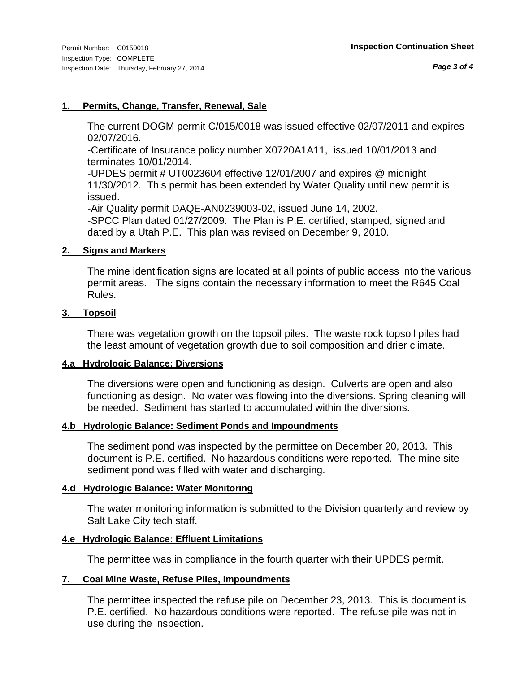#### **1. Permits, Change, Transfer, Renewal, Sale**

The current DOGM permit C/015/0018 was issued effective 02/07/2011 and expires 02/07/2016.

-Certificate of Insurance policy number X0720A1A11, issued 10/01/2013 and terminates 10/01/2014.

-UPDES permit # UT0023604 effective 12/01/2007 and expires @ midnight 11/30/2012. This permit has been extended by Water Quality until new permit is issued.

-Air Quality permit DAQE-AN0239003-02, issued June 14, 2002. -SPCC Plan dated 01/27/2009. The Plan is P.E. certified, stamped, signed and dated by a Utah P.E. This plan was revised on December 9, 2010.

#### **2. Signs and Markers**

The mine identification signs are located at all points of public access into the various permit areas. The signs contain the necessary information to meet the R645 Coal Rules.

#### **3. Topsoil**

There was vegetation growth on the topsoil piles. The waste rock topsoil piles had the least amount of vegetation growth due to soil composition and drier climate.

#### **4.a Hydrologic Balance: Diversions**

The diversions were open and functioning as design. Culverts are open and also functioning as design. No water was flowing into the diversions. Spring cleaning will be needed. Sediment has started to accumulated within the diversions.

#### **4.b Hydrologic Balance: Sediment Ponds and Impoundments**

The sediment pond was inspected by the permittee on December 20, 2013. This document is P.E. certified. No hazardous conditions were reported. The mine site sediment pond was filled with water and discharging.

#### **4.d Hydrologic Balance: Water Monitoring**

The water monitoring information is submitted to the Division quarterly and review by Salt Lake City tech staff.

#### **4.e Hydrologic Balance: Effluent Limitations**

The permittee was in compliance in the fourth quarter with their UPDES permit.

#### **7. Coal Mine Waste, Refuse Piles, Impoundments**

The permittee inspected the refuse pile on December 23, 2013. This is document is P.E. certified. No hazardous conditions were reported. The refuse pile was not in use during the inspection.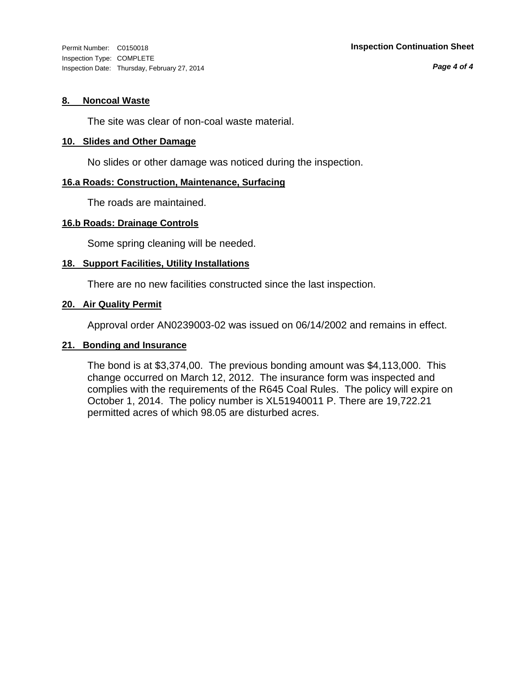*Page 4 of 4*

#### **8. Noncoal Waste**

The site was clear of non-coal waste material.

#### **10. Slides and Other Damage**

No slides or other damage was noticed during the inspection.

#### **16.a Roads: Construction, Maintenance, Surfacing**

The roads are maintained.

#### **16.b Roads: Drainage Controls**

Some spring cleaning will be needed.

#### **18. Support Facilities, Utility Installations**

There are no new facilities constructed since the last inspection.

#### **20. Air Quality Permit**

Approval order AN0239003-02 was issued on 06/14/2002 and remains in effect.

#### **21. Bonding and Insurance**

The bond is at \$3,374,00. The previous bonding amount was \$4,113,000. This change occurred on March 12, 2012. The insurance form was inspected and complies with the requirements of the R645 Coal Rules. The policy will expire on October 1, 2014. The policy number is XL51940011 P. There are 19,722.21 permitted acres of which 98.05 are disturbed acres.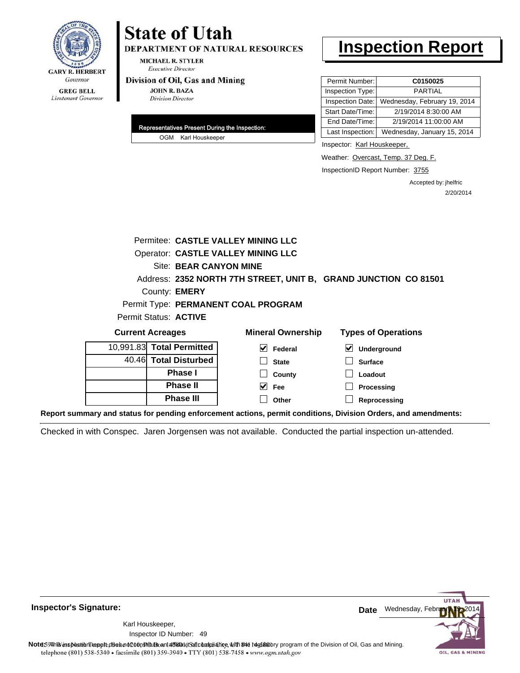

## **State of Utah** DEPARTMENT OF NATURAL RESOURCES

**MICHAEL R. STYLER Executive Director** 

#### Division of Oil, Gas and Mining

**JOHN R. BAZA Division Director** 

| Representatives Present During the Inspection: |                     |  |  |
|------------------------------------------------|---------------------|--|--|
|                                                | OGM Karl Houskeeper |  |  |

## **Inspection Report**

| Permit Number:   | C0150025                     |
|------------------|------------------------------|
| Inspection Type: | PARTIAL                      |
| Inspection Date: | Wednesday, February 19, 2014 |
| Start Date/Time: | 2/19/2014 8:30:00 AM         |
| End Date/Time:   | 2/19/2014 11:00:00 AM        |
| Last Inspection: | Wednesday, January 15, 2014  |

Inspector: Karl Houskeeper,

Weather: Overcast, Temp. 37 Deg. F.

InspectionID Report Number: 3755

Accepted by: jhelfric 2/20/2014

|                                                                                                                | <b>Permitee: CASTLE VALLEY MINING LLC</b> |                                                                 |                            |  |  |
|----------------------------------------------------------------------------------------------------------------|-------------------------------------------|-----------------------------------------------------------------|----------------------------|--|--|
|                                                                                                                |                                           | <b>Operator: CASTLE VALLEY MINING LLC</b>                       |                            |  |  |
|                                                                                                                | Site: BEAR CANYON MINE                    |                                                                 |                            |  |  |
|                                                                                                                |                                           | Address: 2352 NORTH 7TH STREET, UNIT B, GRAND JUNCTION CO 81501 |                            |  |  |
|                                                                                                                | County: <b>EMERY</b>                      |                                                                 |                            |  |  |
|                                                                                                                | Permit Type: PERMANENT COAL PROGRAM       |                                                                 |                            |  |  |
| Permit Status: ACTIVE                                                                                          |                                           |                                                                 |                            |  |  |
| <b>Current Acreages</b>                                                                                        |                                           | <b>Mineral Ownership</b>                                        | <b>Types of Operations</b> |  |  |
| 10,991.83 Total Permitted                                                                                      |                                           | $\vee$ Federal                                                  | V<br>Underground           |  |  |
| 40.46 Total Disturbed                                                                                          |                                           | <b>State</b>                                                    | <b>Surface</b>             |  |  |
|                                                                                                                | <b>Phase I</b>                            | County                                                          | Loadout                    |  |  |
|                                                                                                                | <b>Phase II</b>                           | $\overline{\smash{\vee}}$ Fee                                   | Processing                 |  |  |
|                                                                                                                | <b>Phase III</b>                          | Other                                                           | Reprocessing               |  |  |
| Report summary and status for pending enforcement actions, permit conditions, Division Orders, and amendments: |                                           |                                                                 |                            |  |  |

Checked in with Conspec. Jaren Jorgensen was not available. Conducted the partial inspection un-attended.



49 Inspector ID Number:Karl Houskeeper,



Note59#h is inspection report does not constitute and affidavit and compliance, with the regulatory program of the Division of Oil, Gas and Mining. telephone (801) 538-5340 · facsimile (801) 359-3940 · TTY (801) 538-7458 · www.ogm.utah.gov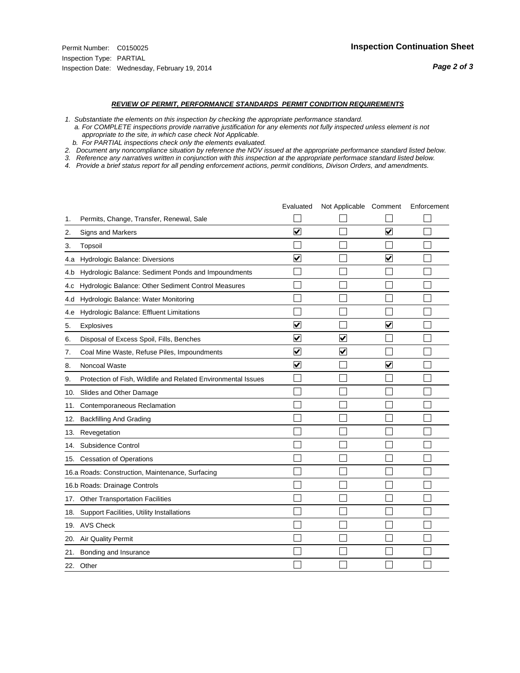#### *REVIEW OF PERMIT, PERFORMANCE STANDARDS PERMIT CONDITION REQUIREMENTS*

*1. Substantiate the elements on this inspection by checking the appropriate performance standard.*

 *a. For COMPLETE inspections provide narrative justification for any elements not fully inspected unless element is not appropriate to the site, in which case check Not Applicable.*

 *b. For PARTIAL inspections check only the elements evaluated.*

*2. Document any noncompliance situation by reference the NOV issued at the appropriate performance standard listed below.*

*3. Reference any narratives written in conjunction with this inspection at the appropriate performace standard listed below.*

|     |                                                               | Evaluated               | Not Applicable Comment |                         | Enforcement |
|-----|---------------------------------------------------------------|-------------------------|------------------------|-------------------------|-------------|
| 1.  | Permits, Change, Transfer, Renewal, Sale                      |                         |                        |                         |             |
| 2.  | Signs and Markers                                             | $\overline{\mathbf{v}}$ |                        | $\overline{\mathbf{v}}$ |             |
| 3.  | Topsoil                                                       |                         |                        |                         |             |
| 4.a | Hydrologic Balance: Diversions                                | $\blacktriangledown$    |                        | $\blacktriangledown$    |             |
| 4.b | Hydrologic Balance: Sediment Ponds and Impoundments           |                         |                        |                         |             |
| 4.C | Hydrologic Balance: Other Sediment Control Measures           |                         |                        |                         |             |
| 4.d | Hydrologic Balance: Water Monitoring                          |                         |                        |                         |             |
| 4.e | Hydrologic Balance: Effluent Limitations                      |                         |                        |                         |             |
| 5.  | <b>Explosives</b>                                             | $\overline{\mathbf{v}}$ |                        | $\overline{\mathbf{v}}$ |             |
| 6.  | Disposal of Excess Spoil, Fills, Benches                      | $\blacktriangledown$    | ⊻                      |                         |             |
| 7.  | Coal Mine Waste, Refuse Piles, Impoundments                   | $\overline{\mathbf{v}}$ | $\blacktriangledown$   |                         |             |
| 8.  | Noncoal Waste                                                 | $\overline{\mathbf{v}}$ |                        | $\overline{\mathbf{v}}$ |             |
| 9.  | Protection of Fish, Wildlife and Related Environmental Issues |                         |                        |                         |             |
| 10. | Slides and Other Damage                                       |                         |                        |                         |             |
| 11. | Contemporaneous Reclamation                                   |                         |                        |                         |             |
| 12. | <b>Backfilling And Grading</b>                                |                         |                        |                         |             |
| 13. | Revegetation                                                  |                         |                        |                         |             |
| 14. | Subsidence Control                                            |                         |                        |                         |             |
|     | 15. Cessation of Operations                                   |                         |                        |                         |             |
|     | 16.a Roads: Construction, Maintenance, Surfacing              |                         |                        |                         |             |
|     | 16.b Roads: Drainage Controls                                 |                         |                        |                         |             |
| 17. | <b>Other Transportation Facilities</b>                        |                         |                        |                         |             |
| 18. | Support Facilities, Utility Installations                     |                         |                        |                         |             |
|     | 19. AVS Check                                                 |                         |                        |                         |             |
| 20. | Air Quality Permit                                            |                         |                        |                         |             |
| 21. | Bonding and Insurance                                         |                         |                        |                         |             |
|     | 22. Other                                                     |                         |                        |                         |             |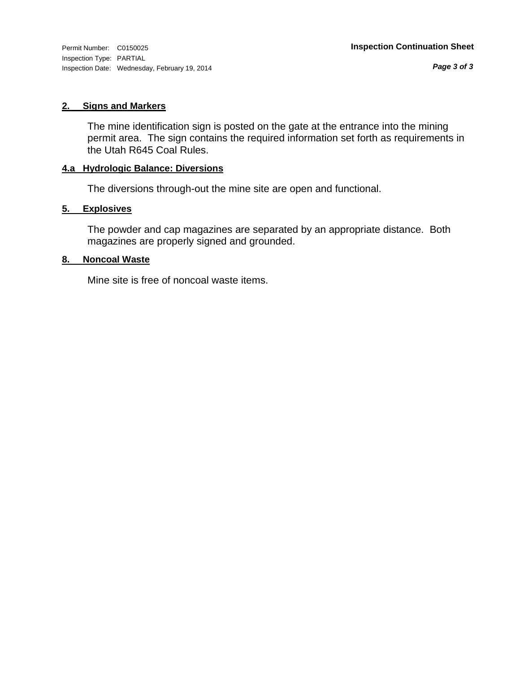*Page 3 of 3*

#### **2. Signs and Markers**

The mine identification sign is posted on the gate at the entrance into the mining permit area. The sign contains the required information set forth as requirements in the Utah R645 Coal Rules.

#### **4.a Hydrologic Balance: Diversions**

The diversions through-out the mine site are open and functional.

#### **5. Explosives**

The powder and cap magazines are separated by an appropriate distance. Both magazines are properly signed and grounded.

#### **8. Noncoal Waste**

Mine site is free of noncoal waste items.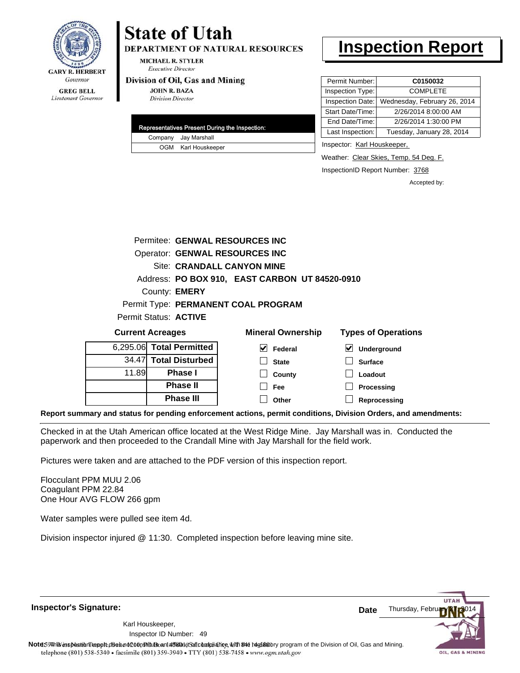

## Lieutenant Governor

# **State of Utah**

**DEPARTMENT OF NATURAL RESOURCES** 

**MICHAEL R. STYLER Executive Director** 

#### Division of Oil, Gas and Mining

**JOHN R. BAZA Division Director** 

| Representatives Present During the Inspection: |
|------------------------------------------------|
| Company Jay Marshall                           |
| OGM Karl Houskeeper                            |

## **Inspection Report**

| Permit Number:   | C0150032                     |
|------------------|------------------------------|
| Inspection Type: | <b>COMPLETE</b>              |
| Inspection Date: | Wednesday, February 26, 2014 |
| Start Date/Time: | 2/26/2014 8:00:00 AM         |
| End Date/Time:   | 2/26/2014 1:30:00 PM         |
| Last Inspection: | Tuesday, January 28, 2014    |

Inspector: Karl Houskeeper,

Weather: Clear Skies, Temp. 54 Deg. F.

InspectionID Report Number: 3768

**Reprocessing**

Accepted by:

|                         |                          | Permitee: GENWAL RESOURCES INC                 |                                     |
|-------------------------|--------------------------|------------------------------------------------|-------------------------------------|
|                         |                          | Operator: GENWAL RESOURCES INC                 |                                     |
|                         |                          | Site: CRANDALL CANYON MINE                     |                                     |
|                         |                          | Address: PO BOX 910, EAST CARBON UT 84520-0910 |                                     |
|                         | County: <b>EMERY</b>     |                                                |                                     |
|                         |                          | Permit Type: PERMANENT COAL PROGRAM            |                                     |
|                         | Permit Status: ACTIVE    |                                                |                                     |
| <b>Current Acreages</b> |                          | <b>Mineral Ownership</b>                       | <b>Types of Operations</b>          |
|                         | 6,295.06 Total Permitted | V<br>Federal                                   | $\blacktriangledown$<br>Underground |
|                         | 34.47 Total Disturbed    | <b>State</b>                                   | <b>Surface</b>                      |
| 11.89                   | Phase I                  | County                                         | Loadout                             |
|                         | <b>Phase II</b>          | Fee                                            | Processing                          |

**Other**

**Report summary and status for pending enforcement actions, permit conditions, Division Orders, and amendments:**

Checked in at the Utah American office located at the West Ridge Mine. Jay Marshall was in. Conducted the paperwork and then proceeded to the Crandall Mine with Jay Marshall for the field work.

Pictures were taken and are attached to the PDF version of this inspection report.

**Phase III**

Flocculant PPM MUU 2.06 Coagulant PPM 22.84 One Hour AVG FLOW 266 gpm

Water samples were pulled see item 4d.

Division inspector injured @ 11:30. Completed inspection before leaving mine site.

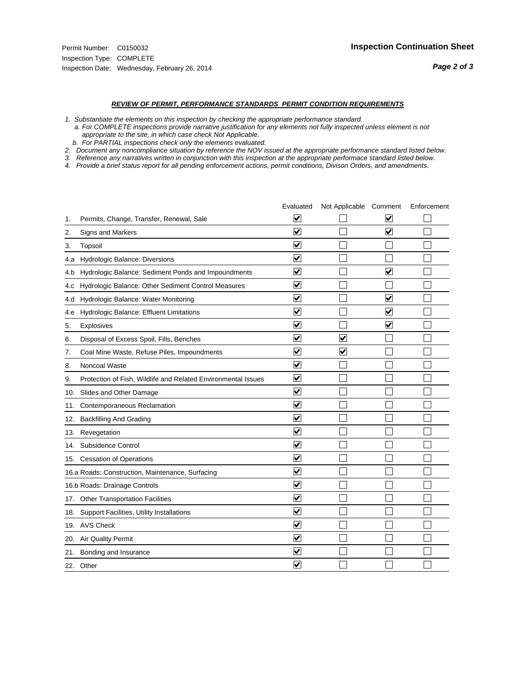#### *REVIEW OF PERMIT, PERFORMANCE STANDARDS PERMIT CONDITION REQUIREMENTS*

*1. Substantiate the elements on this inspection by checking the appropriate performance standard.*

 *a. For COMPLETE inspections provide narrative justification for any elements not fully inspected unless element is not appropriate to the site, in which case check Not Applicable.*

 *b. For PARTIAL inspections check only the elements evaluated.*

*2. Document any noncompliance situation by reference the NOV issued at the appropriate performance standard listed below.*

*3. Reference any narratives written in conjunction with this inspection at the appropriate performace standard listed below.*

|     |                                                               | Evaluated                       | Not Applicable Comment  |                                 | Enforcement |
|-----|---------------------------------------------------------------|---------------------------------|-------------------------|---------------------------------|-------------|
| 1.  | Permits, Change, Transfer, Renewal, Sale                      | ⊻                               |                         | V                               |             |
| 2.  | Signs and Markers                                             | $\overline{\mathbf{v}}$         |                         | $\overline{\blacktriangledown}$ |             |
| 3.  | Topsoil                                                       | $\overline{\mathbf{v}}$         |                         |                                 |             |
| 4.a | Hydrologic Balance: Diversions                                | $\blacktriangledown$            |                         |                                 |             |
| 4.b | Hydrologic Balance: Sediment Ponds and Impoundments           | $\blacktriangledown$            |                         | $\blacktriangledown$            |             |
| 4.C | Hydrologic Balance: Other Sediment Control Measures           | $\blacktriangledown$            |                         |                                 |             |
| 4.d | Hydrologic Balance: Water Monitoring                          | $\overline{\mathbf{v}}$         |                         | $\overline{\mathsf{v}}$         |             |
| 4.e | Hydrologic Balance: Effluent Limitations                      | ☑                               |                         | $\overline{\mathbf{v}}$         |             |
| 5.  | Explosives                                                    | $\blacktriangledown$            |                         | $\blacktriangledown$            |             |
| 6.  | Disposal of Excess Spoil, Fills, Benches                      | $\overline{\mathbf{v}}$         | ⊻                       |                                 |             |
| 7.  | Coal Mine Waste, Refuse Piles, Impoundments                   | $\blacktriangledown$            | $\overline{\mathbf{v}}$ |                                 |             |
| 8.  | Noncoal Waste                                                 | ⊽                               |                         |                                 |             |
| 9.  | Protection of Fish, Wildlife and Related Environmental Issues | ✔                               |                         |                                 |             |
| 10. | Slides and Other Damage                                       | ☑                               |                         |                                 |             |
| 11. | Contemporaneous Reclamation                                   | ⊻                               |                         |                                 |             |
| 12. | <b>Backfilling And Grading</b>                                | $\overline{\mathbf{v}}$         |                         |                                 |             |
| 13. | Revegetation                                                  | $\overline{\mathbf{v}}$         |                         |                                 |             |
| 14. | Subsidence Control                                            | $\overline{\mathbf{v}}$         |                         |                                 |             |
|     | 15. Cessation of Operations                                   | ☑                               |                         |                                 |             |
|     | 16.a Roads: Construction, Maintenance, Surfacing              | ☑                               |                         |                                 |             |
|     | 16.b Roads: Drainage Controls                                 | $\blacktriangledown$            |                         |                                 |             |
|     | 17. Other Transportation Facilities                           | $\overline{\mathbf{v}}$         |                         |                                 |             |
| 18. | Support Facilities, Utility Installations                     | $\overline{\blacktriangledown}$ |                         |                                 |             |
|     | 19. AVS Check                                                 | $\blacktriangledown$            |                         |                                 |             |
| 20. | <b>Air Quality Permit</b>                                     | $\blacktriangledown$            |                         |                                 |             |
|     | 21. Bonding and Insurance                                     | V                               |                         |                                 |             |
|     | 22. Other                                                     | $\blacktriangledown$            |                         |                                 |             |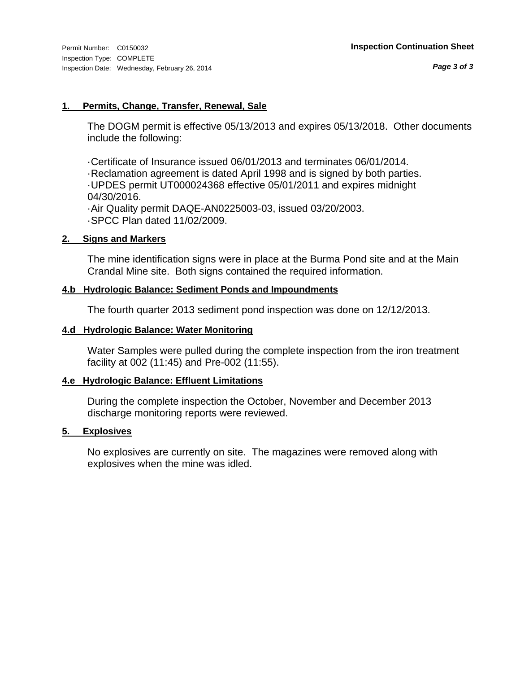#### **1. Permits, Change, Transfer, Renewal, Sale**

The DOGM permit is effective 05/13/2013 and expires 05/13/2018. Other documents include the following:

·Certificate of Insurance issued 06/01/2013 and terminates 06/01/2014. ·Reclamation agreement is dated April 1998 and is signed by both parties. ·UPDES permit UT000024368 effective 05/01/2011 and expires midnight 04/30/2016. ·Air Quality permit DAQE-AN0225003-03, issued 03/20/2003.

·SPCC Plan dated 11/02/2009.

#### **2. Signs and Markers**

The mine identification signs were in place at the Burma Pond site and at the Main Crandal Mine site. Both signs contained the required information.

#### **4.b Hydrologic Balance: Sediment Ponds and Impoundments**

The fourth quarter 2013 sediment pond inspection was done on 12/12/2013.

#### **4.d Hydrologic Balance: Water Monitoring**

Water Samples were pulled during the complete inspection from the iron treatment facility at 002 (11:45) and Pre-002 (11:55).

#### **4.e Hydrologic Balance: Effluent Limitations**

During the complete inspection the October, November and December 2013 discharge monitoring reports were reviewed.

#### **5. Explosives**

No explosives are currently on site. The magazines were removed along with explosives when the mine was idled.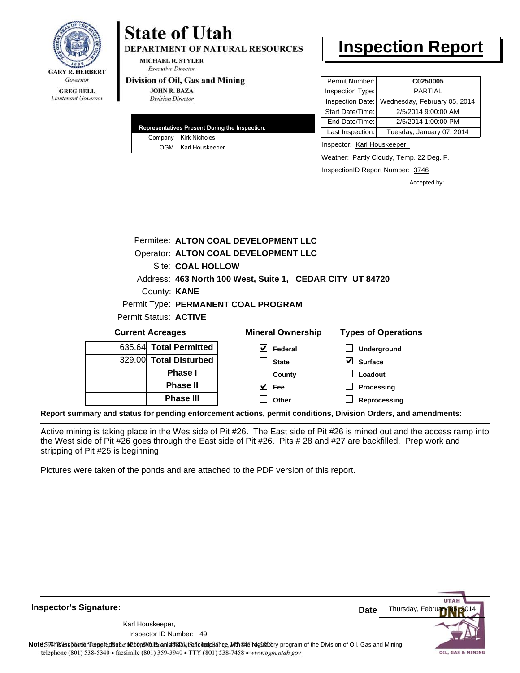

# **State of Utah**

**DEPARTMENT OF NATURAL RESOURCES** 

**MICHAEL R. STYLER Executive Director** 

#### Division of Oil, Gas and Mining

**JOHN R. BAZA Division Director** 

|  | Representatives Present During the Inspection: |
|--|------------------------------------------------|
|  | Company Kirk Nicholes                          |
|  | OGM Karl Houskeeper                            |

## **Inspection Report**

| Permit Number:   | C0250005                     |
|------------------|------------------------------|
| Inspection Type: | <b>PARTIAL</b>               |
| Inspection Date: | Wednesday, February 05, 2014 |
| Start Date/Time: | 2/5/2014 9:00:00 AM          |
| End Date/Time:   | 2/5/2014 1:00:00 PM          |
| Last Inspection: | Tuesday, January 07, 2014    |

Inspector: Karl Houskeeper,

**Loadout Processing**

Weather: **Partly Cloudy, Temp. 22 Deg. F.** 

InspectionID Report Number: 3746

Accepted by:

|                         |                   | Permitee: ALTON COAL DEVELOPMENT LLC                      |                            |
|-------------------------|-------------------|-----------------------------------------------------------|----------------------------|
|                         |                   | Operator: ALTON COAL DEVELOPMENT LLC                      |                            |
|                         | Site: COAL HOLLOW |                                                           |                            |
|                         |                   | Address: 463 North 100 West, Suite 1, CEDAR CITY UT 84720 |                            |
| County: <b>KANE</b>     |                   |                                                           |                            |
|                         |                   | Permit Type: PERMANENT COAL PROGRAM                       |                            |
| Permit Status: ACTIVE   |                   |                                                           |                            |
| <b>Current Acreages</b> |                   | <b>Mineral Ownership</b>                                  | <b>Types of Operations</b> |
| 635.64 Total Permitted  |                   | V<br>Federal                                              | <b>Underground</b>         |
| 329.00 Total Disturbed  |                   | <b>State</b>                                              | V<br><b>Surface</b>        |

|  | <b>Phase III</b> | Other                                                                                                          | Reprocessing |  |
|--|------------------|----------------------------------------------------------------------------------------------------------------|--------------|--|
|  |                  | Report summary and status for pending enforcement actions, permit conditions, Division Orders, and amendments: |              |  |

Active mining is taking place in the Wes side of Pit #26. The East side of Pit #26 is mined out and the access ramp into the West side of Pit #26 goes through the East side of Pit #26. Pits # 28 and #27 are backfilled. Prep work and stripping of Pit #25 is beginning.

 $\blacktriangledown$ 

**County Fee**

Pictures were taken of the ponds and are attached to the PDF version of this report.

**Phase I Phase II**

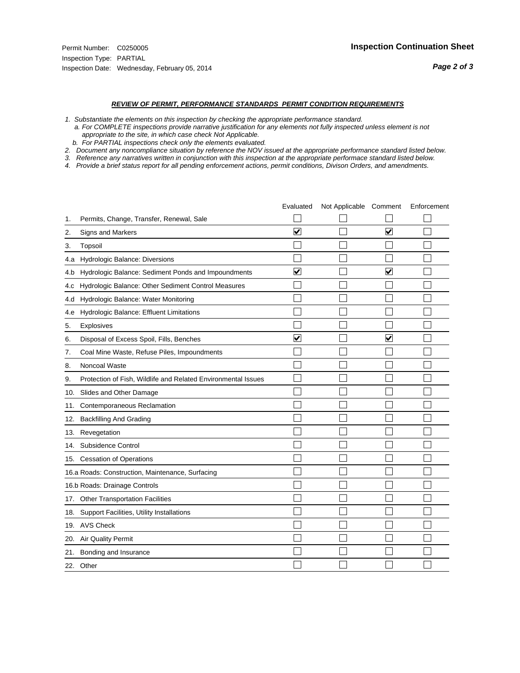#### *REVIEW OF PERMIT, PERFORMANCE STANDARDS PERMIT CONDITION REQUIREMENTS*

*1. Substantiate the elements on this inspection by checking the appropriate performance standard.*

 *a. For COMPLETE inspections provide narrative justification for any elements not fully inspected unless element is not appropriate to the site, in which case check Not Applicable.*

 *b. For PARTIAL inspections check only the elements evaluated.*

*2. Document any noncompliance situation by reference the NOV issued at the appropriate performance standard listed below.*

*3. Reference any narratives written in conjunction with this inspection at the appropriate performace standard listed below.*

|     |                                                               | Evaluated               | Not Applicable Comment |                         | Enforcement |
|-----|---------------------------------------------------------------|-------------------------|------------------------|-------------------------|-------------|
| 1.  | Permits, Change, Transfer, Renewal, Sale                      |                         |                        |                         |             |
| 2.  | Signs and Markers                                             | $\overline{\mathbf{v}}$ |                        | $\overline{\mathbf{v}}$ |             |
| 3.  | Topsoil                                                       |                         |                        |                         |             |
| 4.a | Hydrologic Balance: Diversions                                |                         |                        |                         |             |
| 4.b | Hydrologic Balance: Sediment Ponds and Impoundments           | ⊽                       |                        | V                       |             |
| 4.C | Hydrologic Balance: Other Sediment Control Measures           |                         |                        |                         |             |
| 4.d | Hydrologic Balance: Water Monitoring                          |                         |                        |                         |             |
| 4.e | Hydrologic Balance: Effluent Limitations                      |                         |                        |                         |             |
| 5.  | <b>Explosives</b>                                             |                         |                        |                         |             |
| 6.  | Disposal of Excess Spoil, Fills, Benches                      | $\blacktriangledown$    |                        | ⊻                       |             |
| 7.  | Coal Mine Waste, Refuse Piles, Impoundments                   |                         |                        |                         |             |
| 8.  | Noncoal Waste                                                 |                         |                        |                         |             |
| 9.  | Protection of Fish, Wildlife and Related Environmental Issues |                         |                        |                         |             |
| 10. | Slides and Other Damage                                       |                         |                        |                         |             |
| 11. | Contemporaneous Reclamation                                   |                         |                        |                         |             |
| 12. | <b>Backfilling And Grading</b>                                |                         |                        |                         |             |
| 13. | Revegetation                                                  |                         |                        |                         |             |
| 14. | Subsidence Control                                            |                         |                        |                         |             |
|     | 15. Cessation of Operations                                   |                         |                        |                         |             |
|     | 16.a Roads: Construction, Maintenance, Surfacing              |                         |                        |                         |             |
|     | 16.b Roads: Drainage Controls                                 |                         |                        |                         |             |
| 17. | <b>Other Transportation Facilities</b>                        |                         |                        |                         |             |
| 18. | Support Facilities, Utility Installations                     |                         |                        |                         |             |
| 19. | <b>AVS Check</b>                                              |                         |                        |                         |             |
| 20. | Air Quality Permit                                            |                         |                        |                         |             |
| 21. | Bonding and Insurance                                         |                         |                        |                         |             |
|     | 22. Other                                                     |                         |                        |                         |             |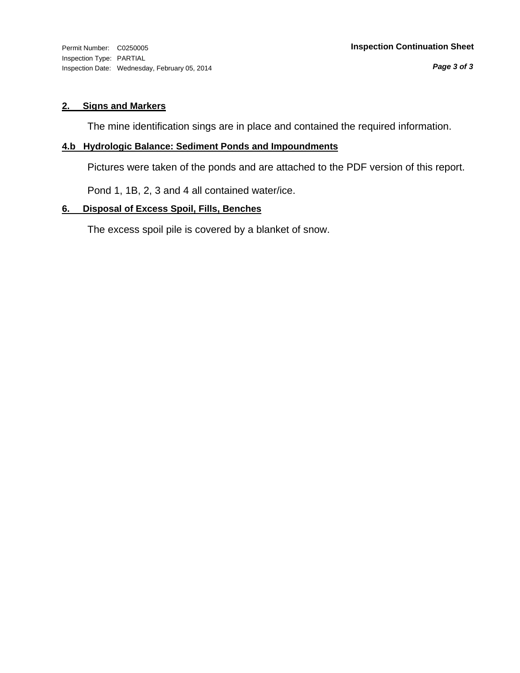Inspection Type: PARTIAL Inspection Date: Wednesday, February 05, 2014

#### **2. Signs and Markers**

The mine identification sings are in place and contained the required information.

### **4.b Hydrologic Balance: Sediment Ponds and Impoundments**

Pictures were taken of the ponds and are attached to the PDF version of this report.

Pond 1, 1B, 2, 3 and 4 all contained water/ice.

#### **6. Disposal of Excess Spoil, Fills, Benches**

The excess spoil pile is covered by a blanket of snow.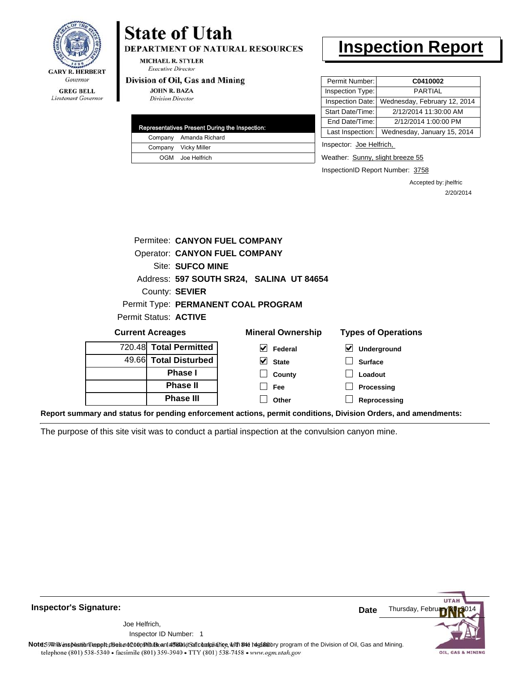

#### **GREG BELL** Lieutenant Governor

# **State of Utah**

DEPARTMENT OF NATURAL RESOURCES

**MICHAEL R. STYLER Executive Director** 

#### Division of Oil, Gas and Mining

**JOHN R. BAZA Division Director** 

| Representatives Present During the Inspection: |                        |  |
|------------------------------------------------|------------------------|--|
|                                                | Company Amanda Richard |  |
|                                                | Company Vicky Miller   |  |
|                                                | OGM Joe Helfrich       |  |

## **Inspection Report**

| Permit Number:   | C0410002                     |
|------------------|------------------------------|
| Inspection Type: | <b>PARTIAL</b>               |
| Inspection Date: | Wednesday, February 12, 2014 |
| Start Date/Time: | 2/12/2014 11:30:00 AM        |
| End Date/Time:   | 2/12/2014 1:00:00 PM         |
| Last Inspection: | Wednesday, January 15, 2014  |
|                  |                              |

Inspector: Joe Helfrich,

Weather: Sunny, slight breeze 55

InspectionID Report Number: 3758

Accepted by: jhelfric 2/20/2014

| Permitee: CANYON FUEL COMPANY        |                                          |                            |
|--------------------------------------|------------------------------------------|----------------------------|
| <b>Operator: CANYON FUEL COMPANY</b> |                                          |                            |
| Site: SUFCO MINE                     |                                          |                            |
|                                      | Address: 597 SOUTH SR24, SALINA UT 84654 |                            |
| County: SEVIER                       |                                          |                            |
|                                      | Permit Type: PERMANENT COAL PROGRAM      |                            |
| Permit Status: ACTIVE                |                                          |                            |
| <b>Current Acreages</b>              | <b>Mineral Ownership</b>                 | <b>Types of Operations</b> |
| 720.48 Total Permitted               | V<br>Federal                             | ⊻<br>Underground           |
| 49.66 Total Disturbed                | V<br><b>State</b>                        | <b>Surface</b>             |
| Phase I                              | County                                   | Loadout                    |
| <b>Phase II</b>                      | <b>Fee</b>                               | <b>Processing</b>          |
| <b>Phase III</b>                     | Other                                    | Reprocessing               |

**Report summary and status for pending enforcement actions, permit conditions, Division Orders, and amendments:**

The purpose of this site visit was to conduct a partial inspection at the convulsion canyon mine.



**Inspector's Signature:**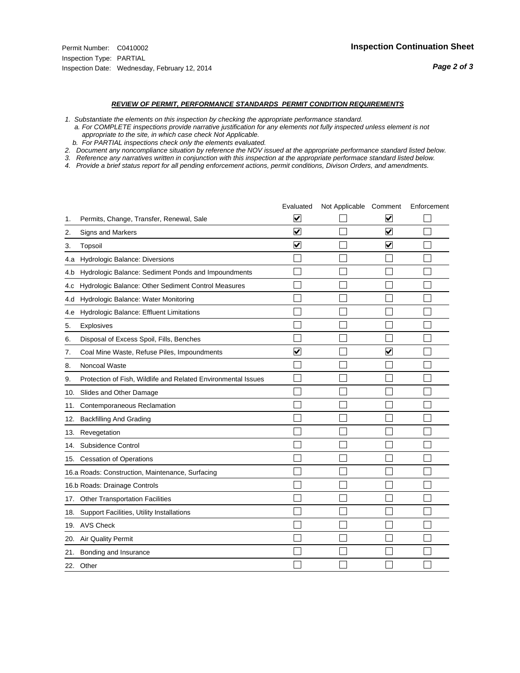#### *REVIEW OF PERMIT, PERFORMANCE STANDARDS PERMIT CONDITION REQUIREMENTS*

*1. Substantiate the elements on this inspection by checking the appropriate performance standard.*

 *a. For COMPLETE inspections provide narrative justification for any elements not fully inspected unless element is not appropriate to the site, in which case check Not Applicable.*

 *b. For PARTIAL inspections check only the elements evaluated.*

*2. Document any noncompliance situation by reference the NOV issued at the appropriate performance standard listed below.*

*3. Reference any narratives written in conjunction with this inspection at the appropriate performace standard listed below.*

|     |                                                               | Evaluated                       | Not Applicable Comment |                         | Enforcement |
|-----|---------------------------------------------------------------|---------------------------------|------------------------|-------------------------|-------------|
| 1.  | Permits, Change, Transfer, Renewal, Sale                      | $\overline{\mathbf{v}}$         |                        | V                       |             |
| 2.  | Signs and Markers                                             | $\overline{\mathbf{v}}$         |                        | $\blacktriangledown$    |             |
| 3.  | Topsoil                                                       | $\overline{\blacktriangledown}$ |                        | $\blacktriangledown$    |             |
| 4.a | Hydrologic Balance: Diversions                                |                                 |                        |                         |             |
| 4.b | Hydrologic Balance: Sediment Ponds and Impoundments           |                                 |                        |                         |             |
| 4.C | Hydrologic Balance: Other Sediment Control Measures           |                                 |                        |                         |             |
| 4.d | Hydrologic Balance: Water Monitoring                          |                                 |                        |                         |             |
| 4.e | Hydrologic Balance: Effluent Limitations                      |                                 |                        |                         |             |
| 5.  | <b>Explosives</b>                                             |                                 |                        |                         |             |
| 6.  | Disposal of Excess Spoil, Fills, Benches                      |                                 |                        |                         |             |
| 7.  | Coal Mine Waste, Refuse Piles, Impoundments                   | $\overline{\mathbf{v}}$         |                        | $\overline{\mathbf{v}}$ |             |
| 8.  | Noncoal Waste                                                 |                                 |                        |                         |             |
| 9.  | Protection of Fish, Wildlife and Related Environmental Issues |                                 |                        |                         |             |
| 10. | Slides and Other Damage                                       |                                 |                        |                         |             |
| 11. | Contemporaneous Reclamation                                   |                                 |                        |                         |             |
| 12. | <b>Backfilling And Grading</b>                                |                                 |                        |                         |             |
| 13. | Revegetation                                                  |                                 |                        |                         |             |
| 14. | Subsidence Control                                            |                                 |                        |                         |             |
|     | 15. Cessation of Operations                                   |                                 |                        |                         |             |
|     | 16.a Roads: Construction, Maintenance, Surfacing              |                                 |                        |                         |             |
|     | 16.b Roads: Drainage Controls                                 |                                 |                        |                         |             |
|     | 17. Other Transportation Facilities                           |                                 |                        |                         |             |
| 18. | Support Facilities, Utility Installations                     |                                 |                        |                         |             |
|     | 19. AVS Check                                                 |                                 |                        |                         |             |
| 20. | Air Quality Permit                                            |                                 |                        |                         |             |
| 21. | Bonding and Insurance                                         |                                 |                        |                         |             |
|     | 22. Other                                                     |                                 |                        |                         |             |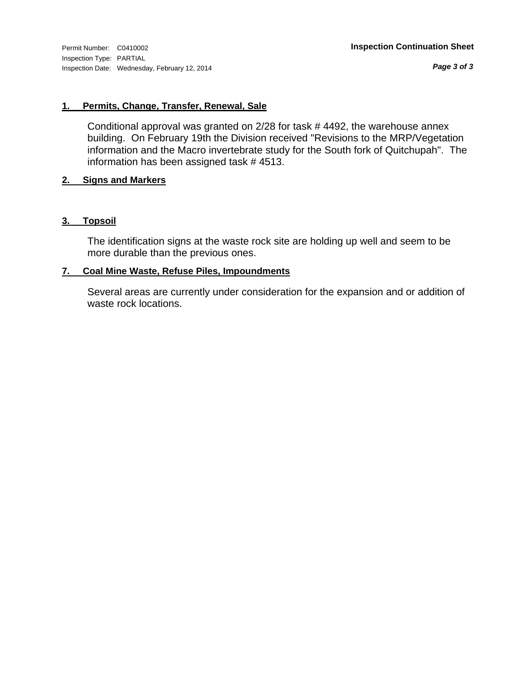*Page 3 of 3*

#### **1. Permits, Change, Transfer, Renewal, Sale**

Conditional approval was granted on 2/28 for task # 4492, the warehouse annex building. On February 19th the Division received "Revisions to the MRP/Vegetation information and the Macro invertebrate study for the South fork of Quitchupah". The information has been assigned task # 4513.

#### **2. Signs and Markers**

#### **3. Topsoil**

The identification signs at the waste rock site are holding up well and seem to be more durable than the previous ones.

#### **7. Coal Mine Waste, Refuse Piles, Impoundments**

Several areas are currently under consideration for the expansion and or addition of waste rock locations.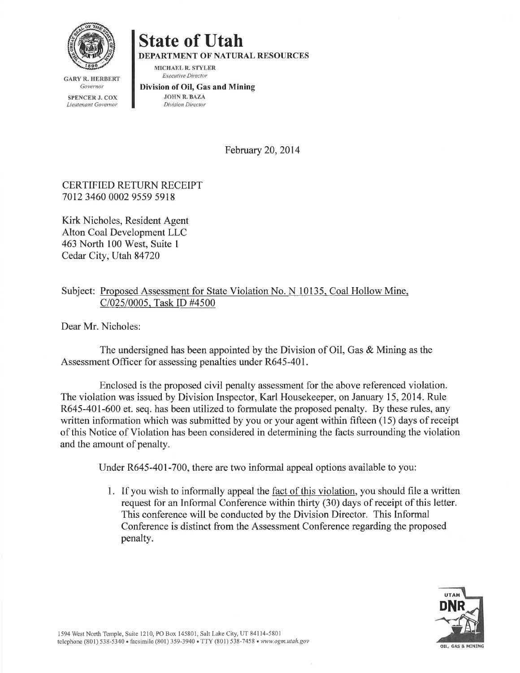

**GARY R. HERBERT** Governor

**SPENCER J. COX** Lieutenant Governor

# **State of Utah**

**DEPARTMENT OF NATURAL RESOURCES** 

MICHAEL R. STYLER **Executive Director** 

#### Division of Oil, Gas and Mining **JOHN R. BAZA**

Division Director

February 20, 2014

### **CERTIFIED RETURN RECEIPT** 7012 3460 0002 9559 5918

Kirk Nicholes, Resident Agent Alton Coal Development LLC 463 North 100 West, Suite 1 Cedar City, Utah 84720

### Subject: Proposed Assessment for State Violation No. N 10135, Coal Hollow Mine, C/025/0005, Task ID #4500

Dear Mr. Nicholes:

The undersigned has been appointed by the Division of Oil, Gas & Mining as the Assessment Officer for assessing penalties under R645-401.

Enclosed is the proposed civil penalty assessment for the above referenced violation. The violation was issued by Division Inspector, Karl Housekeeper, on January 15, 2014. Rule R645-401-600 et. seq. has been utilized to formulate the proposed penalty. By these rules, any written information which was submitted by you or your agent within fifteen (15) days of receipt of this Notice of Violation has been considered in determining the facts surrounding the violation and the amount of penalty.

Under R645-401-700, there are two informal appeal options available to you:

1. If you wish to informally appeal the fact of this violation, you should file a written request for an Informal Conference within thirty (30) days of receipt of this letter. This conference will be conducted by the Division Director. This Informal Conference is distinct from the Assessment Conference regarding the proposed penalty.

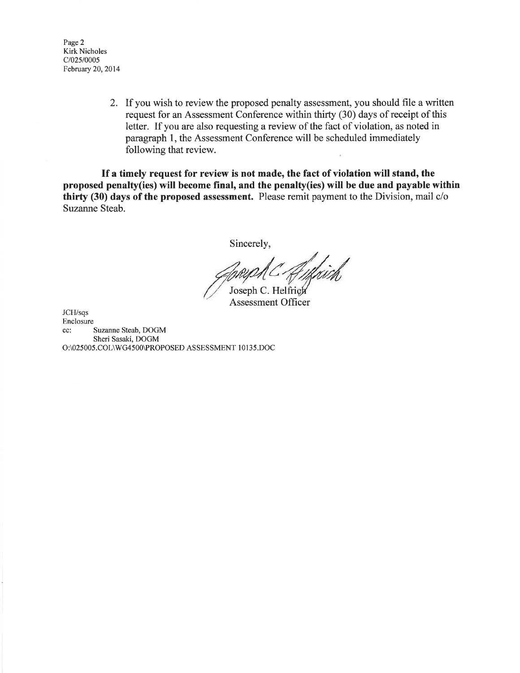Page 2 **Kirk Nicholes**  $C/025/0005$ February 20, 2014

> 2. If you wish to review the proposed penalty assessment, you should file a written request for an Assessment Conference within thirty (30) days of receipt of this letter. If you are also requesting a review of the fact of violation, as noted in paragraph 1, the Assessment Conference will be scheduled immediately following that review.

If a timely request for review is not made, the fact of violation will stand, the proposed penalty(ies) will become final, and the penalty(ies) will be due and payable within thirty (30) days of the proposed assessment. Please remit payment to the Division, mail c/o Suzanne Steab.

Sincerely,

f<br>/k/x10th Joseph C. Helfrich

**Assessment Officer** 

JCH/sqs Enclosure Suzanne Steab, DOGM cc: Sheri Sasaki, DOGM O:\025005.COL\WG4500\PROPOSED ASSESSMENT 10135.DOC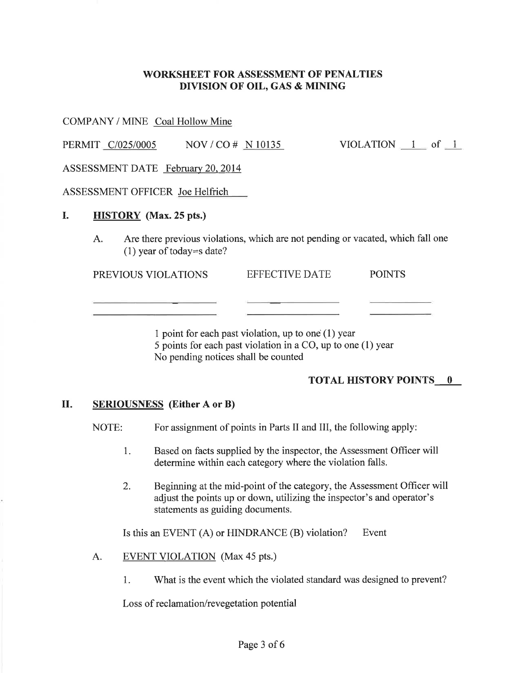### **WORKSHEET FOR ASSESSMENT OF PENALTIES** DIVISION OF OIL, GAS & MINING

COMPANY / MINE Coal Hollow Mine

PERMIT C/025/0005  $NOV / CO # N 10135$ VIOLATION  $1$  of  $1$ 

ASSESSMENT DATE February 20, 2014

ASSESSMENT OFFICER Joe Helfrich

#### I. **HISTORY** (Max. 25 pts.)

Are there previous violations, which are not pending or vacated, which fall one A.  $(1)$  year of today=s date?

PREVIOUS VIOLATIONS EFFECTIVE DATE **POINTS** 

> 1 point for each past violation, up to one  $(1)$  year 5 points for each past violation in a CO, up to one (1) year No pending notices shall be counted

### **TOTAL HISTORY POINTS 0**

#### П. **SERIOUSNESS** (Either A or B)

NOTE: For assignment of points in Parts II and III, the following apply:

- Based on facts supplied by the inspector, the Assessment Officer will 1. determine within each category where the violation falls.
- $2.$ Beginning at the mid-point of the category, the Assessment Officer will adjust the points up or down, utilizing the inspector's and operator's statements as guiding documents.

Is this an EVENT (A) or HINDRANCE (B) violation? Event

- **EVENT VIOLATION** (Max 45 pts.) A.
	- What is the event which the violated standard was designed to prevent? 1.

Loss of reclamation/revegetation potential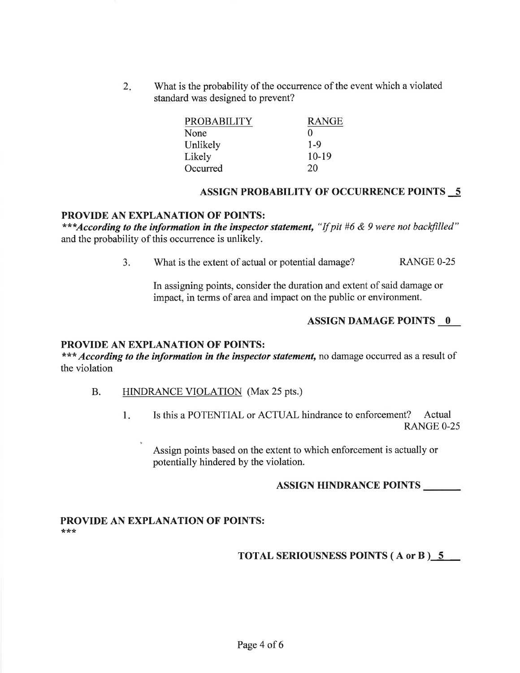What is the probability of the occurrence of the event which a violated  $2.$ standard was designed to prevent?

| <b>PROBABILITY</b> | <b>RANGE</b> |
|--------------------|--------------|
| None               | 0            |
| Unlikely           | $1-9$        |
| Likely             | $10-19$      |
| Occurred           | 20           |

#### **ASSIGN PROBABILITY OF OCCURRENCE POINTS 5**

#### PROVIDE AN EXPLANATION OF POINTS:

\*\*\*According to the information in the inspector statement, "If pit #6 & 9 were not backfilled" and the probability of this occurrence is unlikely.

> $3<sub>1</sub>$ What is the extent of actual or potential damage? **RANGE 0-25**

In assigning points, consider the duration and extent of said damage or impact, in terms of area and impact on the public or environment.

#### **ASSIGN DAMAGE POINTS 0**

#### PROVIDE AN EXPLANATION OF POINTS:

\*\*\* According to the information in the inspector statement, no damage occurred as a result of the violation

- $B<sub>1</sub>$ HINDRANCE VIOLATION (Max 25 pts.)
	- Is this a POTENTIAL or ACTUAL hindrance to enforcement? Actual  $1<sub>z</sub>$ **RANGE 0-25**

Assign points based on the extent to which enforcement is actually or potentially hindered by the violation.

#### **ASSIGN HINDRANCE POINTS**

#### PROVIDE AN EXPLANATION OF POINTS: \*\*\*

#### **TOTAL SERIOUSNESS POINTS (A or B) 5**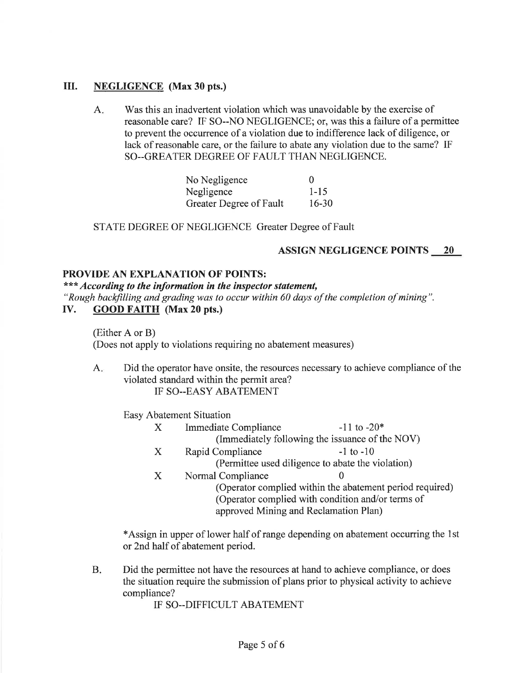#### III. **NEGLIGENCE** (Max 30 pts.)

Was this an inadvertent violation which was unavoidable by the exercise of  $A_{\cdot}$ reasonable care? IF SO--NO NEGLIGENCE; or, was this a failure of a permittee to prevent the occurrence of a violation due to indifference lack of diligence, or lack of reasonable care, or the failure to abate any violation due to the same? IF SO--GREATER DEGREE OF FAULT THAN NEGLIGENCE.

| No Negligence           | $\theta$  |
|-------------------------|-----------|
| Negligence              | $1 - 15$  |
| Greater Degree of Fault | $16 - 30$ |

STATE DEGREE OF NEGLIGENCE Greater Degree of Fault

### **ASSIGN NEGLIGENCE POINTS 20**

#### **PROVIDE AN EXPLANATION OF POINTS:**

\*\*\* According to the information in the inspector statement, "Rough backfilling and grading was to occur within 60 days of the completion of mining".

**GOOD FAITH** (Max 20 pts.) IV.

> (Either A or B) (Does not apply to violations requiring no abatement measures)

Did the operator have onsite, the resources necessary to achieve compliance of the  $A_{\cdot\cdot}$ violated standard within the permit area? IF SO--EASY ABATEMENT

Easy Abatement Situation

- $\mathbf{X}$ **Immediate Compliance**  $-11$  to  $-20*$ (Immediately following the issuance of the NOV)
- Rapid Compliance  $-1$  to  $-10$  $\mathbf{X}$ (Permittee used diligence to abate the violation)
- Normal Compliance  $\mathbf{X}$ (Operator complied within the abatement period required) (Operator complied with condition and/or terms of approved Mining and Reclamation Plan)

\*Assign in upper of lower half of range depending on abatement occurring the 1st or 2nd half of abatement period.

**B.** Did the permittee not have the resources at hand to achieve compliance, or does the situation require the submission of plans prior to physical activity to achieve compliance?

IF SO--DIFFICULT ABATEMENT